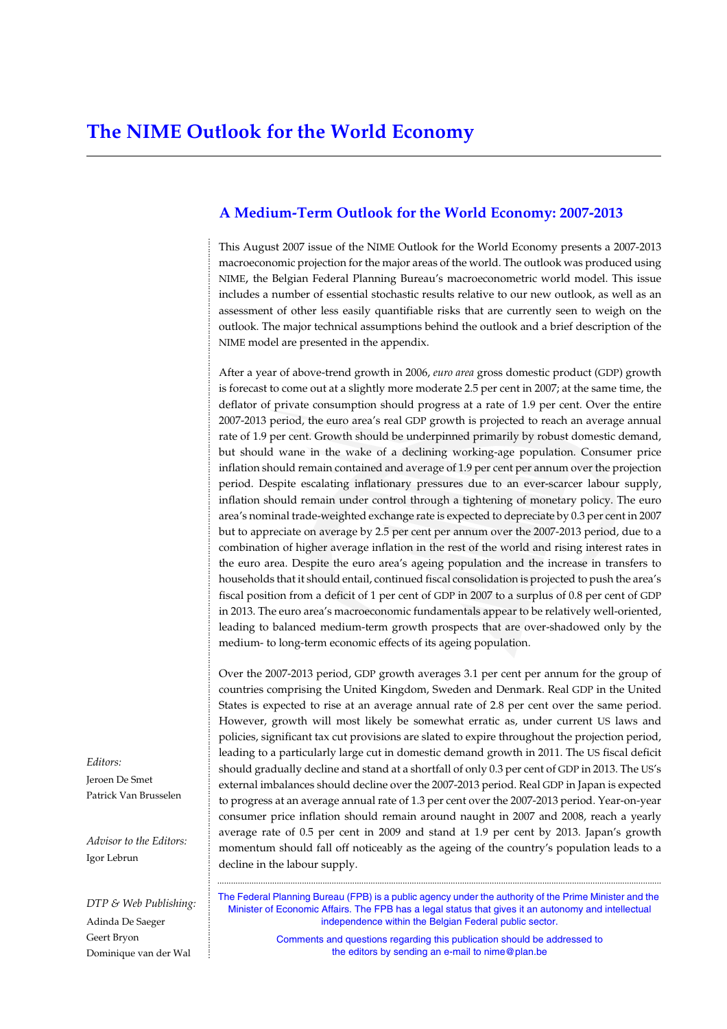### **A Medium-Term Outlook for the World Economy: 2007-2013**

This August 2007 issue of the NIME Outlook for the World Economy presents a 2007-2013 macroeconomic projection for the major areas of the world. The outlook was produced using NIME, the Belgian Federal Planning Bureau's macroeconometric world model. This issue includes a number of essential stochastic results relative to our new outlook, as well as an assessment of other less easily quantifiable risks that are currently seen to weigh on the outlook. The major technical assumptions behind the outlook and a brief description of the NIME model are presented in the appendix.

After a year of above-trend growth in 2006, *euro area* gross domestic product (GDP) growth is forecast to come out at a slightly more moderate 2.5 per cent in 2007; at the same time, the deflator of private consumption should progress at a rate of 1.9 per cent. Over the entire 2007-2013 period, the euro area's real GDP growth is projected to reach an average annual rate of 1.9 per cent. Growth should be underpinned primarily by robust domestic demand, but should wane in the wake of a declining working-age population. Consumer price inflation should remain contained and average of 1.9 per cent per annum over the projection period. Despite escalating inflationary pressures due to an ever-scarcer labour supply, inflation should remain under control through a tightening of monetary policy. The euro area's nominal trade-weighted exchange rate is expected to depreciate by 0.3 per cent in 2007 but to appreciate on average by 2.5 per cent per annum over the 2007-2013 period, due to a combination of higher average inflation in the rest of the world and rising interest rates in the euro area. Despite the euro area's ageing population and the increase in transfers to households that it should entail, continued fiscal consolidation is projected to push the area's fiscal position from a deficit of 1 per cent of GDP in 2007 to a surplus of 0.8 per cent of GDP in 2013. The euro area's macroeconomic fundamentals appear to be relatively well-oriented, leading to balanced medium-term growth prospects that are over-shadowed only by the medium- to long-term economic effects of its ageing population.

Over the 2007-2013 period, GDP growth averages 3.1 per cent per annum for the group of countries comprising the United Kingdom, Sweden and Denmark. Real GDP in the United States is expected to rise at an average annual rate of 2.8 per cent over the same period. However, growth will most likely be somewhat erratic as, under current US laws and policies, significant tax cut provisions are slated to expire throughout the projection period, leading to a particularly large cut in domestic demand growth in 2011. The US fiscal deficit should gradually decline and stand at a shortfall of only 0.3 per cent of GDP in 2013. The US's external imbalances should decline over the 2007-2013 period. Real GDP in Japan is expected to progress at an average annual rate of 1.3 per cent over the 2007-2013 period. Year-on-year consumer price inflation should remain around naught in 2007 and 2008, reach a yearly average rate of 0.5 per cent in 2009 and stand at 1.9 per cent by 2013. Japan's growth momentum should fall off noticeably as the ageing of the country's population leads to a decline in the labour supply.

The Federal Planning Bureau (FPB) is a public agency under the authority of the Prime Minister and the Minister of Economic Affairs. The FPB has a legal status that gives it an autonomy and intellectual independence within the Belgian Federal public sector.

..................................................................................................................................................................................................

Comments and questions regarding this publication should be addressed to the editors by sending an e-mail to nime@plan.be

*Editors:* Jeroen De Smet Patrick Van Brusselen ...................................................................................................................................................................................................................................................................................................

*Advisor to the Editors:* Igor Lebrun

*DTP & Web Publishing:* Adinda De Saeger Geert Bryon Dominique van der Wal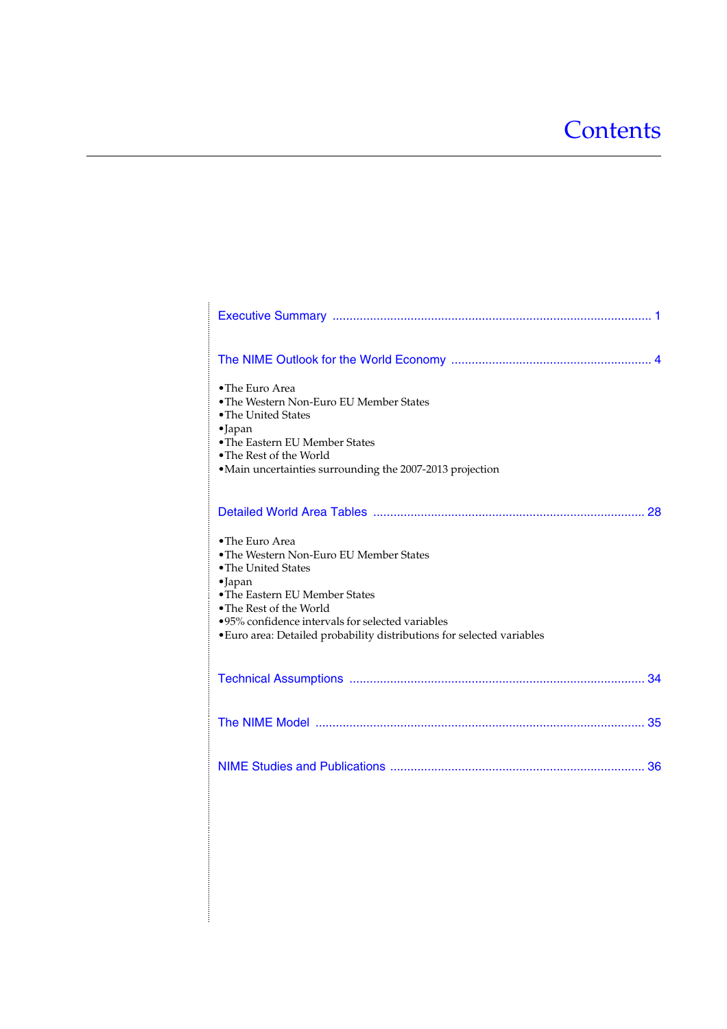# **Contents**

| • The Euro Area<br>• The Western Non-Euro EU Member States<br>• The United States<br>·Japan<br>• The Eastern EU Member States<br>• The Rest of the World<br>·Main uncertainties surrounding the 2007-2013 projection                                                                            |
|-------------------------------------------------------------------------------------------------------------------------------------------------------------------------------------------------------------------------------------------------------------------------------------------------|
|                                                                                                                                                                                                                                                                                                 |
| • The Euro Area<br>• The Western Non-Euro EU Member States<br>• The United States<br>$\bullet$ Japan<br>• The Eastern EU Member States<br>• The Rest of the World<br>.95% confidence intervals for selected variables<br>• Euro area: Detailed probability distributions for selected variables |
|                                                                                                                                                                                                                                                                                                 |
|                                                                                                                                                                                                                                                                                                 |
|                                                                                                                                                                                                                                                                                                 |
|                                                                                                                                                                                                                                                                                                 |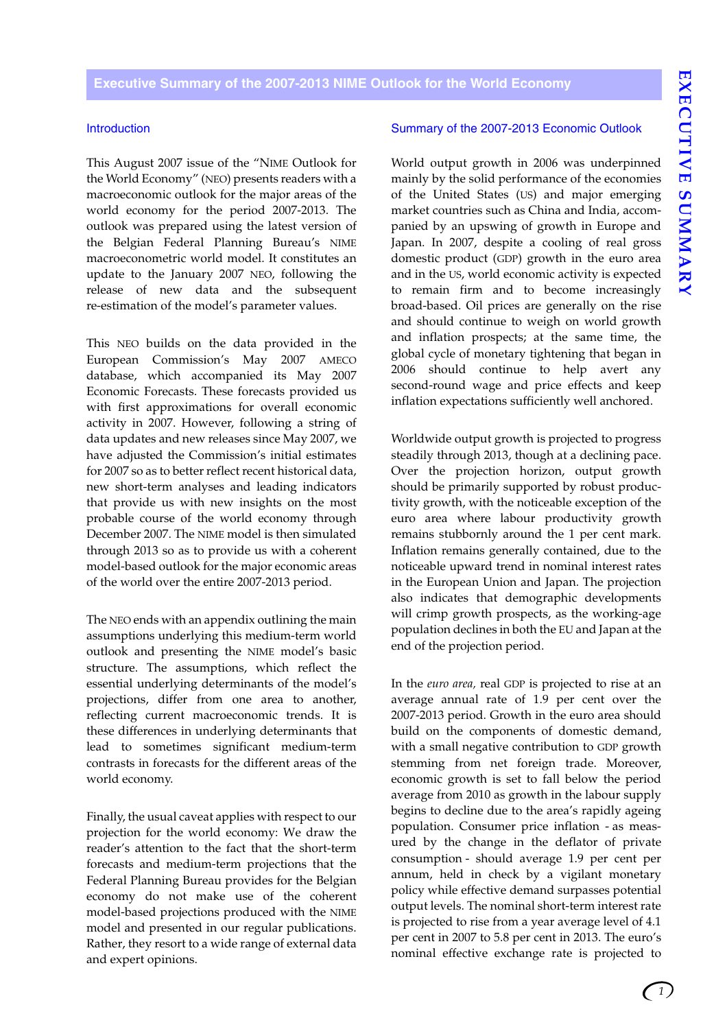<span id="page-4-0"></span>**Executive Summary of the 2007-2013 NIME Outlook for the World Economy**

### **Introduction**

This August 2007 issue of the "NIME Outlook for the World Economy" (NEO) presents readers with a macroeconomic outlook for the major areas of the world economy for the period 2007-2013. The outlook was prepared using the latest version of the Belgian Federal Planning Bureau's NIME macroeconometric world model. It constitutes an update to the January 2007 NEO, following the release of new data and the subsequent re-estimation of the model's parameter values.

This NEO builds on the data provided in the European Commission's May 2007 AMECO database, which accompanied its May 2007 Economic Forecasts. These forecasts provided us with first approximations for overall economic activity in 2007. However, following a string of data updates and new releases since May 2007, we have adjusted the Commission's initial estimates for 2007 so as to better reflect recent historical data, new short-term analyses and leading indicators that provide us with new insights on the most probable course of the world economy through December 2007. The NIME model is then simulated through 2013 so as to provide us with a coherent model-based outlook for the major economic areas of the world over the entire 2007-2013 period.

The NEO ends with an appendix outlining the main assumptions underlying this medium-term world outlook and presenting the NIME model's basic structure. The assumptions, which reflect the essential underlying determinants of the model's projections, differ from one area to another, reflecting current macroeconomic trends. It is these differences in underlying determinants that lead to sometimes significant medium-term contrasts in forecasts for the different areas of the world economy.

Finally, the usual caveat applies with respect to our projection for the world economy: We draw the reader's attention to the fact that the short-term forecasts and medium-term projections that the Federal Planning Bureau provides for the Belgian economy do not make use of the coherent model-based projections produced with the NIME model and presented in our regular publications. Rather, they resort to a wide range of external data and expert opinions.

### Summary of the 2007-2013 Economic Outlook

World output growth in 2006 was underpinned mainly by the solid performance of the economies of the United States (US) and major emerging market countries such as China and India, accompanied by an upswing of growth in Europe and Japan. In 2007, despite a cooling of real gross domestic product (GDP) growth in the euro area and in the US, world economic activity is expected to remain firm and to become increasingly broad-based. Oil prices are generally on the rise and should continue to weigh on world growth and inflation prospects; at the same time, the global cycle of monetary tightening that began in 2006 should continue to help avert any second-round wage and price effects and keep inflation expectations sufficiently well anchored.

Worldwide output growth is projected to progress steadily through 2013, though at a declining pace. Over the projection horizon, output growth should be primarily supported by robust productivity growth, with the noticeable exception of the euro area where labour productivity growth remains stubbornly around the 1 per cent mark. Inflation remains generally contained, due to the noticeable upward trend in nominal interest rates in the European Union and Japan. The projection also indicates that demographic developments will crimp growth prospects, as the working-age population declines in both the EU and Japan at the end of the projection period.

In the *euro area,* real GDP is projected to rise at an average annual rate of 1.9 per cent over the 2007-2013 period. Growth in the euro area should build on the components of domestic demand, with a small negative contribution to GDP growth stemming from net foreign trade. Moreover, economic growth is set to fall below the period average from 2010 as growth in the labour supply begins to decline due to the area's rapidly ageing population. Consumer price inflation - as measured by the change in the deflator of private consumption - should average 1.9 per cent per annum, held in check by a vigilant monetary policy while effective demand surpasses potential output levels. The nominal short-term interest rate is projected to rise from a year average level of 4.1 per cent in 2007 to 5.8 per cent in 2013. The euro's nominal effective exchange rate is projected to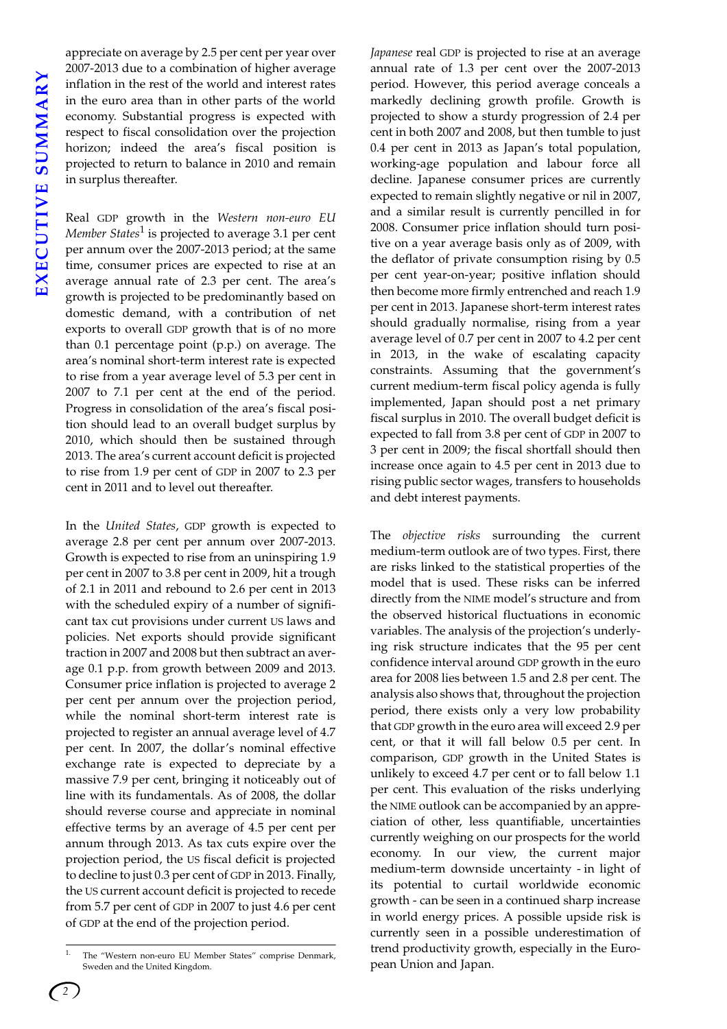appreciate on average by 2.5 per cent per year over 2007-2013 due to a combination of higher average inflation in the rest of the world and interest rates in the euro area than in other parts of the world economy. Substantial progress is expected with respect to fiscal consolidation over the projection horizon; indeed the area's fiscal position is projected to return to balance in 2010 and remain in surplus thereafter.

Real GDP growth in the *Western non-euro EU Member States*<sup>1</sup> is projected to average 3.1 per cent per annum over the 2007-2013 period; at the same time, consumer prices are expected to rise at an average annual rate of 2.3 per cent. The area's growth is projected to be predominantly based on domestic demand, with a contribution of net exports to overall GDP growth that is of no more than 0.1 percentage point (p.p.) on average. The area's nominal short-term interest rate is expected to rise from a year average level of 5.3 per cent in 2007 to 7.1 per cent at the end of the period. Progress in consolidation of the area's fiscal position should lead to an overall budget surplus by 2010, which should then be sustained through 2013. The area's current account deficit is projected to rise from 1.9 per cent of GDP in 2007 to 2.3 per cent in 2011 and to level out thereafter.

In the *United States*, GDP growth is expected to average 2.8 per cent per annum over 2007-2013. Growth is expected to rise from an uninspiring 1.9 per cent in 2007 to 3.8 per cent in 2009, hit a trough of 2.1 in 2011 and rebound to 2.6 per cent in 2013 with the scheduled expiry of a number of significant tax cut provisions under current US laws and policies. Net exports should provide significant traction in 2007 and 2008 but then subtract an average 0.1 p.p. from growth between 2009 and 2013. Consumer price inflation is projected to average 2 per cent per annum over the projection period, while the nominal short-term interest rate is projected to register an annual average level of 4.7 per cent. In 2007, the dollar's nominal effective exchange rate is expected to depreciate by a massive 7.9 per cent, bringing it noticeably out of line with its fundamentals. As of 2008, the dollar should reverse course and appreciate in nominal effective terms by an average of 4.5 per cent per annum through 2013. As tax cuts expire over the projection period, the US fiscal deficit is projected to decline to just 0.3 per cent of GDP in 2013. Finally, the US current account deficit is projected to recede from 5.7 per cent of GDP in 2007 to just 4.6 per cent of GDP at the end of the projection period.

*Japanese* real GDP is projected to rise at an average annual rate of 1.3 per cent over the 2007-2013 period. However, this period average conceals a markedly declining growth profile. Growth is projected to show a sturdy progression of 2.4 per cent in both 2007 and 2008, but then tumble to just 0.4 per cent in 2013 as Japan's total population, working-age population and labour force all decline. Japanese consumer prices are currently expected to remain slightly negative or nil in 2007, and a similar result is currently pencilled in for 2008. Consumer price inflation should turn positive on a year average basis only as of 2009, with the deflator of private consumption rising by 0.5 per cent year-on-year; positive inflation should then become more firmly entrenched and reach 1.9 per cent in 2013. Japanese short-term interest rates should gradually normalise, rising from a year average level of 0.7 per cent in 2007 to 4.2 per cent in 2013, in the wake of escalating capacity constraints. Assuming that the government's current medium-term fiscal policy agenda is fully implemented, Japan should post a net primary fiscal surplus in 2010. The overall budget deficit is expected to fall from 3.8 per cent of GDP in 2007 to 3 per cent in 2009; the fiscal shortfall should then increase once again to 4.5 per cent in 2013 due to rising public sector wages, transfers to households and debt interest payments.

The *objective risks* surrounding the current medium-term outlook are of two types. First, there are risks linked to the statistical properties of the model that is used. These risks can be inferred directly from the NIME model's structure and from the observed historical fluctuations in economic variables. The analysis of the projection's underlying risk structure indicates that the 95 per cent confidence interval around GDP growth in the euro area for 2008 lies between 1.5 and 2.8 per cent. The analysis also shows that, throughout the projection period, there exists only a very low probability that GDP growth in the euro area will exceed 2.9 per cent, or that it will fall below 0.5 per cent. In comparison, GDP growth in the United States is unlikely to exceed 4.7 per cent or to fall below 1.1 per cent. This evaluation of the risks underlying the NIME outlook can be accompanied by an appreciation of other, less quantifiable, uncertainties currently weighing on our prospects for the world economy. In our view, the current major medium-term downside uncertainty - in light of its potential to curtail worldwide economic growth - can be seen in a continued sharp increase in world energy prices. A possible upside risk is currently seen in a possible underestimation of trend productivity growth, especially in the European Union and Japan.

The "Western non-euro EU Member States" comprise Denmark, Sweden and the United Kingdom.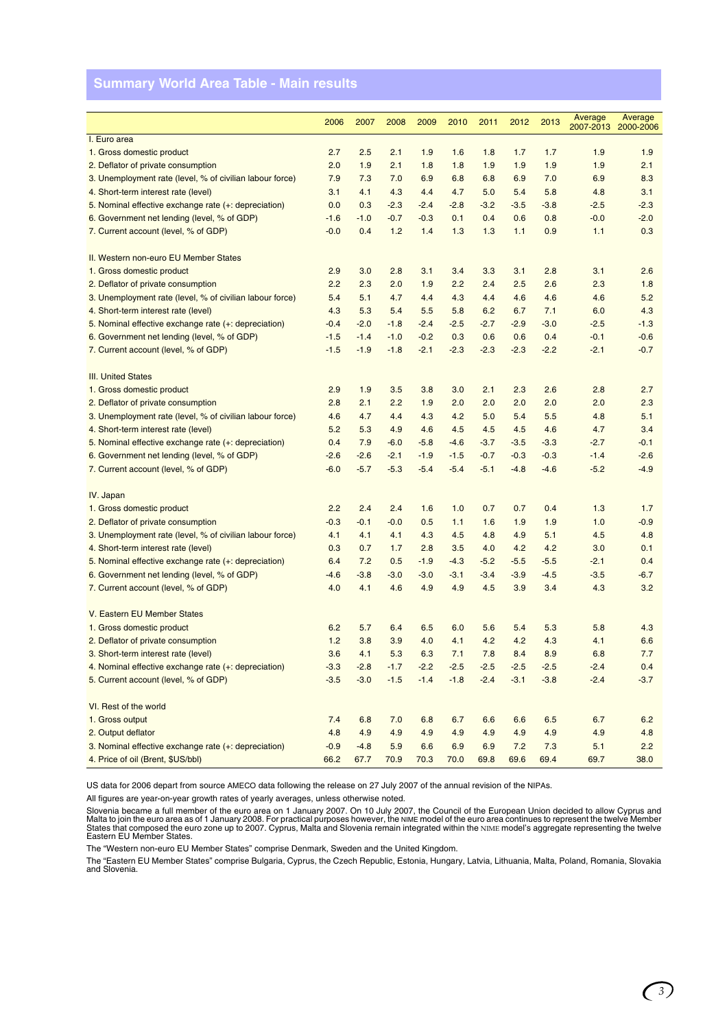# **Summary World Area Table - Main results**

|                                                          | 2006   | 2007   | 2008   | 2009   | 2010   | 2011   | 2012   | 2013   | Average<br>2007-2013 | Average<br>2000-2006 |
|----------------------------------------------------------|--------|--------|--------|--------|--------|--------|--------|--------|----------------------|----------------------|
| I. Euro area                                             |        |        |        |        |        |        |        |        |                      |                      |
| 1. Gross domestic product                                | 2.7    | 2.5    | 2.1    | 1.9    | 1.6    | 1.8    | 1.7    | 1.7    | 1.9                  | 1.9                  |
| 2. Deflator of private consumption                       | 2.0    | 1.9    | 2.1    | 1.8    | 1.8    | 1.9    | 1.9    | 1.9    | 1.9                  | 2.1                  |
| 3. Unemployment rate (level, % of civilian labour force) | 7.9    | 7.3    | 7.0    | 6.9    | 6.8    | 6.8    | 6.9    | 7.0    | 6.9                  | 8.3                  |
| 4. Short-term interest rate (level)                      | 3.1    | 4.1    | 4.3    | 4.4    | 4.7    | 5.0    | 5.4    | 5.8    | 4.8                  | 3.1                  |
| 5. Nominal effective exchange rate (+: depreciation)     | 0.0    | 0.3    | $-2.3$ | $-2.4$ | $-2.8$ | $-3.2$ | $-3.5$ | $-3.8$ | $-2.5$               | $-2.3$               |
| 6. Government net lending (level, % of GDP)              | $-1.6$ | $-1.0$ | $-0.7$ | $-0.3$ | 0.1    | 0.4    | 0.6    | 0.8    | $-0.0$               | $-2.0$               |
| 7. Current account (level, % of GDP)                     | $-0.0$ | 0.4    | 1.2    | 1.4    | 1.3    | 1.3    | 1.1    | 0.9    | 1.1                  | 0.3                  |
|                                                          |        |        |        |        |        |        |        |        |                      |                      |
| II. Western non-euro EU Member States                    |        |        |        |        |        |        |        |        |                      |                      |
| 1. Gross domestic product                                | 2.9    | 3.0    | 2.8    | 3.1    | 3.4    | 3.3    | 3.1    | 2.8    | 3.1                  | 2.6                  |
| 2. Deflator of private consumption                       | 2.2    | 2.3    | 2.0    | 1.9    | 2.2    | 2.4    | 2.5    | 2.6    | 2.3                  | 1.8                  |
| 3. Unemployment rate (level, % of civilian labour force) | 5.4    | 5.1    | 4.7    | 4.4    | 4.3    | 4.4    | 4.6    | 4.6    | 4.6                  | 5.2                  |
| 4. Short-term interest rate (level)                      | 4.3    | 5.3    | 5.4    | 5.5    | 5.8    | 6.2    | 6.7    | 7.1    | 6.0                  | 4.3                  |
| 5. Nominal effective exchange rate (+: depreciation)     | $-0.4$ | $-2.0$ | $-1.8$ | $-2.4$ | $-2.5$ | $-2.7$ | $-2.9$ | $-3.0$ | $-2.5$               | $-1.3$               |
| 6. Government net lending (level, % of GDP)              | $-1.5$ | $-1.4$ | $-1.0$ | $-0.2$ | 0.3    | 0.6    | 0.6    | 0.4    | $-0.1$               | $-0.6$               |
| 7. Current account (level, % of GDP)                     | $-1.5$ | $-1.9$ | $-1.8$ | $-2.1$ | $-2.3$ | $-2.3$ | $-2.3$ | $-2.2$ | $-2.1$               | $-0.7$               |
|                                                          |        |        |        |        |        |        |        |        |                      |                      |
| <b>III. United States</b>                                |        |        |        |        |        |        |        |        |                      |                      |
| 1. Gross domestic product                                | 2.9    | 1.9    | 3.5    | 3.8    | 3.0    | 2.1    | 2.3    | 2.6    | 2.8                  | 2.7                  |
| 2. Deflator of private consumption                       | 2.8    | 2.1    | 2.2    | 1.9    | 2.0    | 2.0    | 2.0    | 2.0    | 2.0                  | 2.3                  |
| 3. Unemployment rate (level, % of civilian labour force) | 4.6    | 4.7    | 4.4    | 4.3    | 4.2    | 5.0    | 5.4    | 5.5    | 4.8                  | 5.1                  |
| 4. Short-term interest rate (level)                      | 5.2    | 5.3    | 4.9    | 4.6    | 4.5    | 4.5    | 4.5    | 4.6    | 4.7                  | 3.4                  |
| 5. Nominal effective exchange rate (+: depreciation)     | 0.4    | 7.9    | $-6.0$ | $-5.8$ | $-4.6$ | $-3.7$ | $-3.5$ | $-3.3$ | $-2.7$               | $-0.1$               |
| 6. Government net lending (level, % of GDP)              | $-2.6$ | $-2.6$ | $-2.1$ | $-1.9$ | $-1.5$ | $-0.7$ | $-0.3$ | $-0.3$ | $-1.4$               | $-2.6$               |
| 7. Current account (level, % of GDP)                     | $-6.0$ | $-5.7$ | $-5.3$ | $-5.4$ | $-5.4$ | $-5.1$ | $-4.8$ | $-4.6$ | $-5.2$               | $-4.9$               |
|                                                          |        |        |        |        |        |        |        |        |                      |                      |
| IV. Japan                                                |        |        |        |        |        |        |        |        |                      |                      |
| 1. Gross domestic product                                | 2.2    | 2.4    | 2.4    | 1.6    | 1.0    | 0.7    | 0.7    | 0.4    | 1.3                  | 1.7                  |
| 2. Deflator of private consumption                       | $-0.3$ | $-0.1$ | $-0.0$ | 0.5    | 1.1    | 1.6    | 1.9    | 1.9    | 1.0                  | $-0.9$               |
| 3. Unemployment rate (level, % of civilian labour force) | 4.1    | 4.1    | 4.1    | 4.3    | 4.5    | 4.8    | 4.9    | 5.1    | 4.5                  | 4.8                  |
| 4. Short-term interest rate (level)                      | 0.3    | 0.7    | 1.7    | 2.8    | 3.5    | 4.0    | 4.2    | 4.2    | 3.0                  | 0.1                  |
| 5. Nominal effective exchange rate (+: depreciation)     | 6.4    | 7.2    | 0.5    | $-1.9$ | $-4.3$ | $-5.2$ | $-5.5$ | $-5.5$ | $-2.1$               | 0.4                  |
| 6. Government net lending (level, % of GDP)              | $-4.6$ | $-3.8$ | $-3.0$ | $-3.0$ | $-3.1$ | $-3.4$ | $-3.9$ | $-4.5$ | $-3.5$               | $-6.7$               |
| 7. Current account (level, % of GDP)                     | 4.0    | 4.1    | 4.6    | 4.9    | 4.9    | 4.5    | 3.9    | 3.4    | 4.3                  | 3.2                  |
| V. Eastern EU Member States                              |        |        |        |        |        |        |        |        |                      |                      |
| 1. Gross domestic product                                | 6.2    | 5.7    | 6.4    | 6.5    | 6.0    | 5.6    | 5.4    | 5.3    | 5.8                  | 4.3                  |
| 2. Deflator of private consumption                       | 1.2    | 3.8    | 3.9    | 4.0    | 4.1    | 4.2    | 4.2    | 4.3    | 4.1                  | 6.6                  |
| 3. Short-term interest rate (level)                      | 3.6    | 4.1    | 5.3    | 6.3    | 7.1    | 7.8    | 8.4    | 8.9    | 6.8                  | 7.7                  |
| 4. Nominal effective exchange rate (+: depreciation)     | $-3.3$ | $-2.8$ | $-1.7$ | $-2.2$ | $-2.5$ | $-2.5$ | $-2.5$ | $-2.5$ | $-2.4$               | 0.4                  |
| 5. Current account (level, % of GDP)                     | $-3.5$ | $-3.0$ | $-1.5$ | $-1.4$ | $-1.8$ | $-2.4$ | $-3.1$ | $-3.8$ | $-2.4$               | $-3.7$               |
|                                                          |        |        |        |        |        |        |        |        |                      |                      |
| VI. Rest of the world                                    |        |        |        |        |        |        |        |        |                      |                      |
| 1. Gross output                                          | 7.4    | 6.8    | 7.0    | 6.8    | 6.7    | 6.6    | 6.6    | 6.5    | 6.7                  | 6.2                  |
| 2. Output deflator                                       | 4.8    | 4.9    | 4.9    | 4.9    | 4.9    | 4.9    | 4.9    | 4.9    | 4.9                  | 4.8                  |
| 3. Nominal effective exchange rate (+: depreciation)     | $-0.9$ | $-4.8$ | 5.9    | 6.6    | 6.9    | 6.9    | 7.2    | 7.3    | 5.1                  | 2.2                  |
| 4. Price of oil (Brent, \$US/bbl)                        | 66.2   | 67.7   | 70.9   | 70.3   | 70.0   | 69.8   | 69.6   | 69.4   | 69.7                 | 38.0                 |

US data for 2006 depart from source AMECO data following the release on 27 July 2007 of the annual revision of the NIPAs.

All figures are year-on-year growth rates of yearly averages, unless otherwise noted.

Slovenia became a full member of the euro area on 1 January 2007. On 10 July 2007, the Council of the European Union decided to allow Cyprus and<br>Malta to join the euro area as of 1 January 2008. For practical purposes how

The "Western non-euro EU Member States" comprise Denmark, Sweden and the United Kingdom.

The "Eastern EU Member States" comprise Bulgaria, Cyprus, the Czech Republic, Estonia, Hungary, Latvia, Lithuania, Malta, Poland, Romania, Slovakia and Slovenia.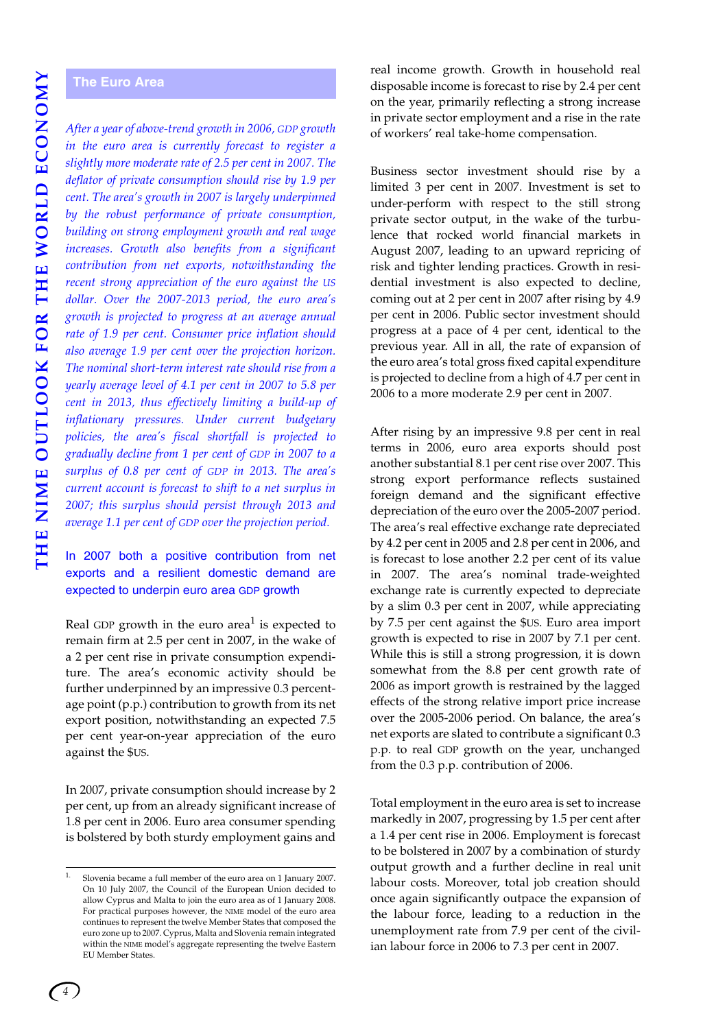# **THE NIME OUTLOOK FOR THE WORLD ECONOMY** THE NIME OUTLOOK FOR THE WORLD ECONOMY

### <span id="page-7-1"></span><span id="page-7-0"></span>**The Euro Area**

*After a year of above-trend growth in 2006, GDP growth in the euro area is currently forecast to register a slightly more moderate rate of 2.5 per cent in 2007. The deflator of private consumption should rise by 1.9 per cent. The area's growth in 2007 is largely underpinned by the robust performance of private consumption, building on strong employment growth and real wage increases. Growth also benefits from a significant contribution from net exports, notwithstanding the recent strong appreciation of the euro against the US dollar. Over the 2007-2013 period, the euro area's growth is projected to progress at an average annual rate of 1.9 per cent. Consumer price inflation should also average 1.9 per cent over the projection horizon. The nominal short-term interest rate should rise from a yearly average level of 4.1 per cent in 2007 to 5.8 per cent in 2013, thus effectively limiting a build-up of inflationary pressures. Under current budgetary policies, the area's fiscal shortfall is projected to gradually decline from 1 per cent of GDP in 2007 to a surplus of 0.8 per cent of GDP in 2013. The area's current account is forecast to shift to a net surplus in 2007; this surplus should persist through 2013 and average 1.1 per cent of GDP over the projection period.*

### In 2007 both a positive contribution from net exports and a resilient domestic demand are expected to underpin euro area GDP growth

Real GDP growth in the euro area<sup>1</sup> is expected to remain firm at 2.5 per cent in 2007, in the wake of a 2 per cent rise in private consumption expenditure. The area's economic activity should be further underpinned by an impressive 0.3 percentage point (p.p.) contribution to growth from its net export position, notwithstanding an expected 7.5 per cent year-on-year appreciation of the euro against the \$US.

In 2007, private consumption should increase by 2 per cent, up from an already significant increase of 1.8 per cent in 2006. Euro area consumer spending is bolstered by both sturdy employment gains and real income growth. Growth in household real disposable income is forecast to rise by 2.4 per cent on the year, primarily reflecting a strong increase in private sector employment and a rise in the rate of workers' real take-home compensation.

Business sector investment should rise by a limited 3 per cent in 2007. Investment is set to under-perform with respect to the still strong private sector output, in the wake of the turbulence that rocked world financial markets in August 2007, leading to an upward repricing of risk and tighter lending practices. Growth in residential investment is also expected to decline, coming out at 2 per cent in 2007 after rising by 4.9 per cent in 2006. Public sector investment should progress at a pace of 4 per cent, identical to the previous year. All in all, the rate of expansion of the euro area's total gross fixed capital expenditure is projected to decline from a high of 4.7 per cent in 2006 to a more moderate 2.9 per cent in 2007.

After rising by an impressive 9.8 per cent in real terms in 2006, euro area exports should post another substantial 8.1 per cent rise over 2007. This strong export performance reflects sustained foreign demand and the significant effective depreciation of the euro over the 2005-2007 period. The area's real effective exchange rate depreciated by 4.2 per cent in 2005 and 2.8 per cent in 2006, and is forecast to lose another 2.2 per cent of its value in 2007. The area's nominal trade-weighted exchange rate is currently expected to depreciate by a slim 0.3 per cent in 2007, while appreciating by 7.5 per cent against the \$US. Euro area import growth is expected to rise in 2007 by 7.1 per cent. While this is still a strong progression, it is down somewhat from the 8.8 per cent growth rate of 2006 as import growth is restrained by the lagged effects of the strong relative import price increase over the 2005-2006 period. On balance, the area's net exports are slated to contribute a significant 0.3 p.p. to real GDP growth on the year, unchanged from the 0.3 p.p. contribution of 2006.

Total employment in the euro area is set to increase markedly in 2007, progressing by 1.5 per cent after a 1.4 per cent rise in 2006. Employment is forecast to be bolstered in 2007 by a combination of sturdy output growth and a further decline in real unit labour costs. Moreover, total job creation should once again significantly outpace the expansion of the labour force, leading to a reduction in the unemployment rate from 7.9 per cent of the civilian labour force in 2006 to 7.3 per cent in 2007.

<sup>1.</sup> Slovenia became a full member of the euro area on 1 January 2007. On 10 July 2007, the Council of the European Union decided to allow Cyprus and Malta to join the euro area as of 1 January 2008. For practical purposes however, the NIME model of the euro area continues to represent the twelve Member States that composed the euro zone up to 2007. Cyprus, Malta and Slovenia remain integrated within the NIME model's aggregate representing the twelve Eastern EU Member States.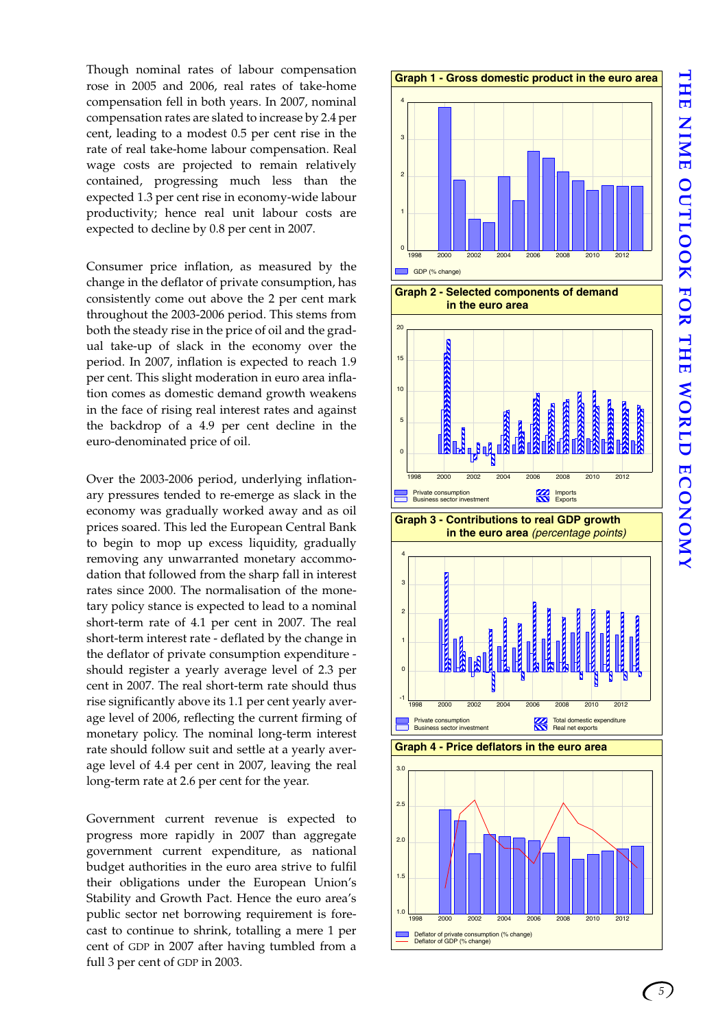Though nominal rates of labour compensation rose in 2005 and 2006, real rates of take-home compensation fell in both years. In 2007, nominal compensation rates are slated to increase by 2.4 per cent, leading to a modest 0.5 per cent rise in the rate of real take-home labour compensation. Real wage costs are projected to remain relatively contained, progressing much less than the expected 1.3 per cent rise in economy-wide labour productivity; hence real unit labour costs are expected to decline by 0.8 per cent in 2007.

Consumer price inflation, as measured by the change in the deflator of private consumption, has consistently come out above the 2 per cent mark throughout the 2003-2006 period. This stems from both the steady rise in the price of oil and the gradual take-up of slack in the economy over the period. In 2007, inflation is expected to reach 1.9 per cent. This slight moderation in euro area inflation comes as domestic demand growth weakens in the face of rising real interest rates and against the backdrop of a 4.9 per cent decline in the euro-denominated price of oil.

Over the 2003-2006 period, underlying inflationary pressures tended to re-emerge as slack in the economy was gradually worked away and as oil prices soared. This led the European Central Bank to begin to mop up excess liquidity, gradually removing any unwarranted monetary accommodation that followed from the sharp fall in interest rates since 2000. The normalisation of the monetary policy stance is expected to lead to a nominal short-term rate of 4.1 per cent in 2007. The real short-term interest rate - deflated by the change in the deflator of private consumption expenditure should register a yearly average level of 2.3 per cent in 2007. The real short-term rate should thus rise significantly above its 1.1 per cent yearly average level of 2006, reflecting the current firming of monetary policy. The nominal long-term interest rate should follow suit and settle at a yearly average level of 4.4 per cent in 2007, leaving the real long-term rate at 2.6 per cent for the year.

Government current revenue is expected to progress more rapidly in 2007 than aggregate government current expenditure, as national budget authorities in the euro area strive to fulfil their obligations under the European Union's Stability and Growth Pact. Hence the euro area's public sector net borrowing requirement is forecast to continue to shrink, totalling a mere 1 per cent of GDP in 2007 after having tumbled from a full 3 per cent of GDP in 2003.



*5*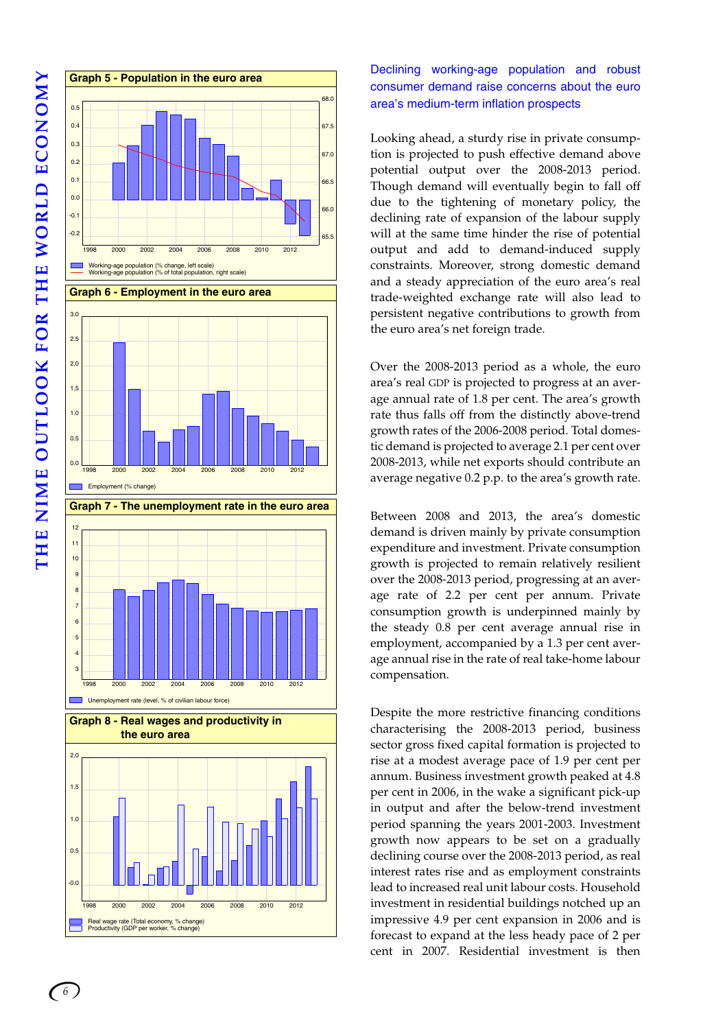



Declining working-age population and robust consumer demand raise concerns about the euro area's medium-term inflation prospects

Looking ahead, a sturdy rise in private consumption is projected to push effective demand above potential output over the 2008-2013 period. Though demand will eventually begin to fall off due to the tightening of monetary policy, the declining rate of expansion of the labour supply will at the same time hinder the rise of potential output and add to demand-induced supply constraints. Moreover, strong domestic demand and a steady appreciation of the euro area's real trade-weighted exchange rate will also lead to persistent negative contributions to growth from the euro area's net foreign trade.

Over the 2008-2013 period as a whole, the euro area's real GDP is projected to progress at an average annual rate of 1.8 per cent. The area's growth rate thus falls off from the distinctly above-trend growth rates of the 2006-2008 period. Total domestic demand is projected to average 2.1 per cent over 2008-2013, while net exports should contribute an average negative 0.2 p.p. to the area's growth rate.

Between 2008 and 2013, the area's domestic demand is driven mainly by private consumption expenditure and investment. Private consumption growth is projected to remain relatively resilient over the 2008-2013 period, progressing at an average rate of 2.2 per cent per annum. Private consumption growth is underpinned mainly by the steady 0.8 per cent average annual rise in employment, accompanied by a 1.3 per cent average annual rise in the rate of real take-home labour compensation.

Despite the more restrictive financing conditions characterising the 2008-2013 period, business sector gross fixed capital formation is projected to rise at a modest average pace of 1.9 per cent per annum. Business investment growth peaked at 4.8 per cent in 2006, in the wake a significant pick-up in output and after the below-trend investment period spanning the years 2001-2003. Investment growth now appears to be set on a gradually declining course over the 2008-2013 period, as real interest rates rise and as employment constraints lead to increased real unit labour costs. Household investment in residential buildings notched up an impressive 4.9 per cent expansion in 2006 and is forecast to expand at the less heady pace of 2 per cent in 2007. Residential investment is then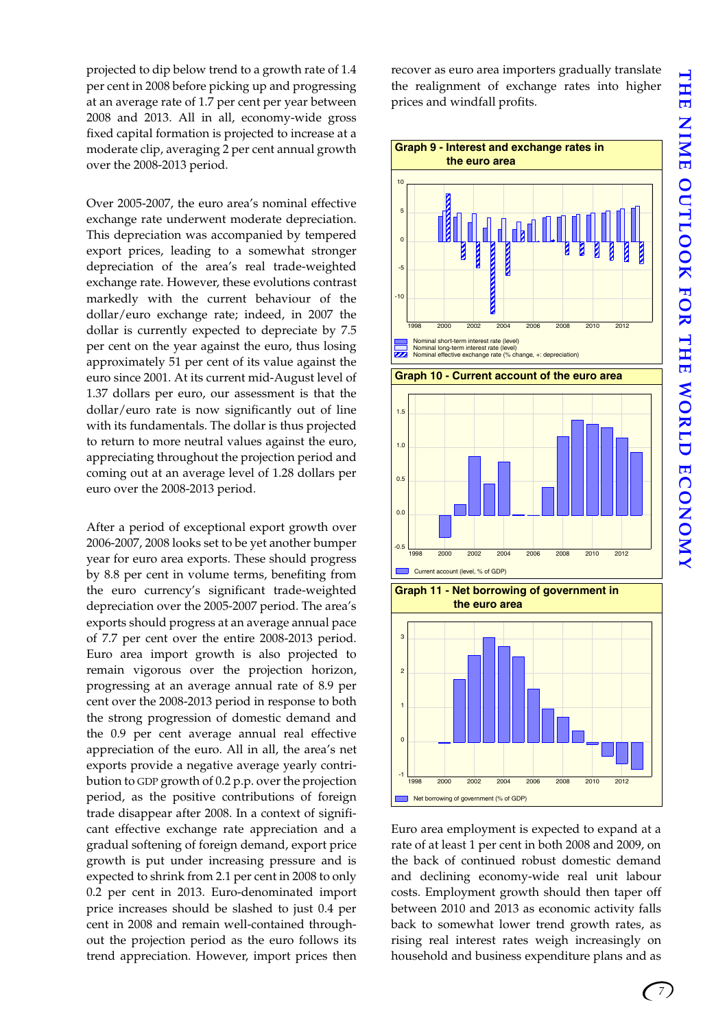projected to dip below trend to a growth rate of 1.4 per cent in 2008 before picking up and progressing at an average rate of 1.7 per cent per year between 2008 and 2013. All in all, economy-wide gross fixed capital formation is projected to increase at a moderate clip, averaging 2 per cent annual growth over the 2008-2013 period.

Over 2005-2007, the euro area's nominal effective exchange rate underwent moderate depreciation. This depreciation was accompanied by tempered export prices, leading to a somewhat stronger depreciation of the area's real trade-weighted exchange rate. However, these evolutions contrast markedly with the current behaviour of the dollar/euro exchange rate; indeed, in 2007 the dollar is currently expected to depreciate by 7.5 per cent on the year against the euro, thus losing approximately 51 per cent of its value against the euro since 2001. At its current mid-August level of 1.37 dollars per euro, our assessment is that the dollar/euro rate is now significantly out of line with its fundamentals. The dollar is thus projected to return to more neutral values against the euro, appreciating throughout the projection period and coming out at an average level of 1.28 dollars per euro over the 2008-2013 period.

After a period of exceptional export growth over 2006-2007, 2008 looks set to be yet another bumper year for euro area exports. These should progress by 8.8 per cent in volume terms, benefiting from the euro currency's significant trade-weighted depreciation over the 2005-2007 period. The area's exports should progress at an average annual pace of 7.7 per cent over the entire 2008-2013 period. Euro area import growth is also projected to remain vigorous over the projection horizon, progressing at an average annual rate of 8.9 per cent over the 2008-2013 period in response to both the strong progression of domestic demand and the 0.9 per cent average annual real effective appreciation of the euro. All in all, the area's net exports provide a negative average yearly contribution to GDP growth of 0.2 p.p. over the projection period, as the positive contributions of foreign trade disappear after 2008. In a context of significant effective exchange rate appreciation and a gradual softening of foreign demand, export price growth is put under increasing pressure and is expected to shrink from 2.1 per cent in 2008 to only 0.2 per cent in 2013. Euro-denominated import price increases should be slashed to just 0.4 per cent in 2008 and remain well-contained throughout the projection period as the euro follows its trend appreciation. However, import prices then recover as euro area importers gradually translate the realignment of exchange rates into higher prices and windfall profits.



Euro area employment is expected to expand at a rate of at least 1 per cent in both 2008 and 2009, on the back of continued robust domestic demand and declining economy-wide real unit labour costs. Employment growth should then taper off between 2010 and 2013 as economic activity falls back to somewhat lower trend growth rates, as rising real interest rates weigh increasingly on household and business expenditure plans and as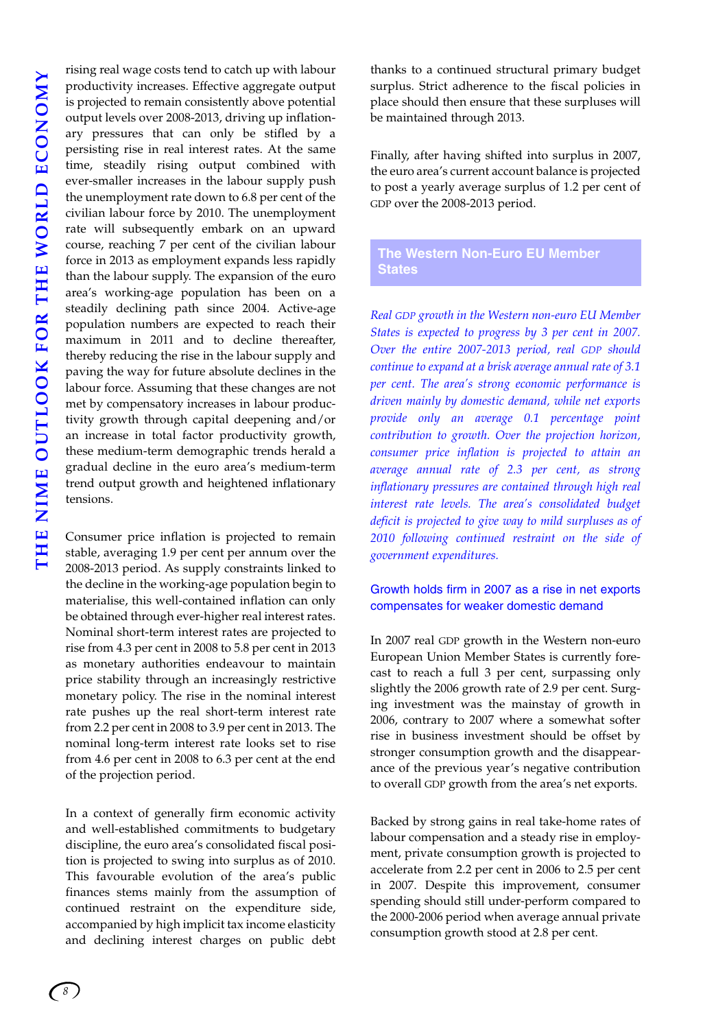rising real wage costs tend to catch up with labour productivity increases. Effective aggregate output is projected to remain consistently above potential output levels over 2008-2013, driving up inflationary pressures that can only be stifled by a persisting rise in real interest rates. At the same time, steadily rising output combined with ever-smaller increases in the labour supply push the unemployment rate down to 6.8 per cent of the civilian labour force by 2010. The unemployment rate will subsequently embark on an upward course, reaching 7 per cent of the civilian labour force in 2013 as employment expands less rapidly than the labour supply. The expansion of the euro area's working-age population has been on a steadily declining path since 2004. Active-age population numbers are expected to reach their maximum in 2011 and to decline thereafter, thereby reducing the rise in the labour supply and paving the way for future absolute declines in the labour force. Assuming that these changes are not met by compensatory increases in labour productivity growth through capital deepening and/or an increase in total factor productivity growth, these medium-term demographic trends herald a gradual decline in the euro area's medium-term trend output growth and heightened inflationary tensions.

Consumer price inflation is projected to remain stable, averaging 1.9 per cent per annum over the 2008-2013 period. As supply constraints linked to the decline in the working-age population begin to materialise, this well-contained inflation can only be obtained through ever-higher real interest rates. Nominal short-term interest rates are projected to rise from 4.3 per cent in 2008 to 5.8 per cent in 2013 as monetary authorities endeavour to maintain price stability through an increasingly restrictive monetary policy. The rise in the nominal interest rate pushes up the real short-term interest rate from 2.2 per cent in 2008 to 3.9 per cent in 2013. The nominal long-term interest rate looks set to rise from 4.6 per cent in 2008 to 6.3 per cent at the end of the projection period.

In a context of generally firm economic activity and well-established commitments to budgetary discipline, the euro area's consolidated fiscal position is projected to swing into surplus as of 2010. This favourable evolution of the area's public finances stems mainly from the assumption of continued restraint on the expenditure side, accompanied by high implicit tax income elasticity and declining interest charges on public debt

thanks to a continued structural primary budget surplus. Strict adherence to the fiscal policies in place should then ensure that these surpluses will be maintained through 2013.

Finally, after having shifted into surplus in 2007, the euro area's current account balance is projected to post a yearly average surplus of 1.2 per cent of GDP over the 2008-2013 period.

<span id="page-11-0"></span>**The Western Non-Euro EU Member States** 

*Real GDP growth in the Western non-euro EU Member States is expected to progress by 3 per cent in 2007. Over the entire 2007-2013 period, real GDP should continue to expand at a brisk average annual rate of 3.1 per cent. The area's strong economic performance is driven mainly by domestic demand, while net exports provide only an average 0.1 percentage point contribution to growth. Over the projection horizon, consumer price inflation is projected to attain an average annual rate of 2.3 per cent, as strong inflationary pressures are contained through high real interest rate levels. The area's consolidated budget deficit is projected to give way to mild surpluses as of 2010 following continued restraint on the side of government expenditures.*

### Growth holds firm in 2007 as a rise in net exports compensates for weaker domestic demand

In 2007 real GDP growth in the Western non-euro European Union Member States is currently forecast to reach a full 3 per cent, surpassing only slightly the 2006 growth rate of 2.9 per cent. Surging investment was the mainstay of growth in 2006, contrary to 2007 where a somewhat softer rise in business investment should be offset by stronger consumption growth and the disappearance of the previous year's negative contribution to overall GDP growth from the area's net exports.

Backed by strong gains in real take-home rates of labour compensation and a steady rise in employment, private consumption growth is projected to accelerate from 2.2 per cent in 2006 to 2.5 per cent in 2007. Despite this improvement, consumer spending should still under-perform compared to the 2000-2006 period when average annual private consumption growth stood at 2.8 per cent.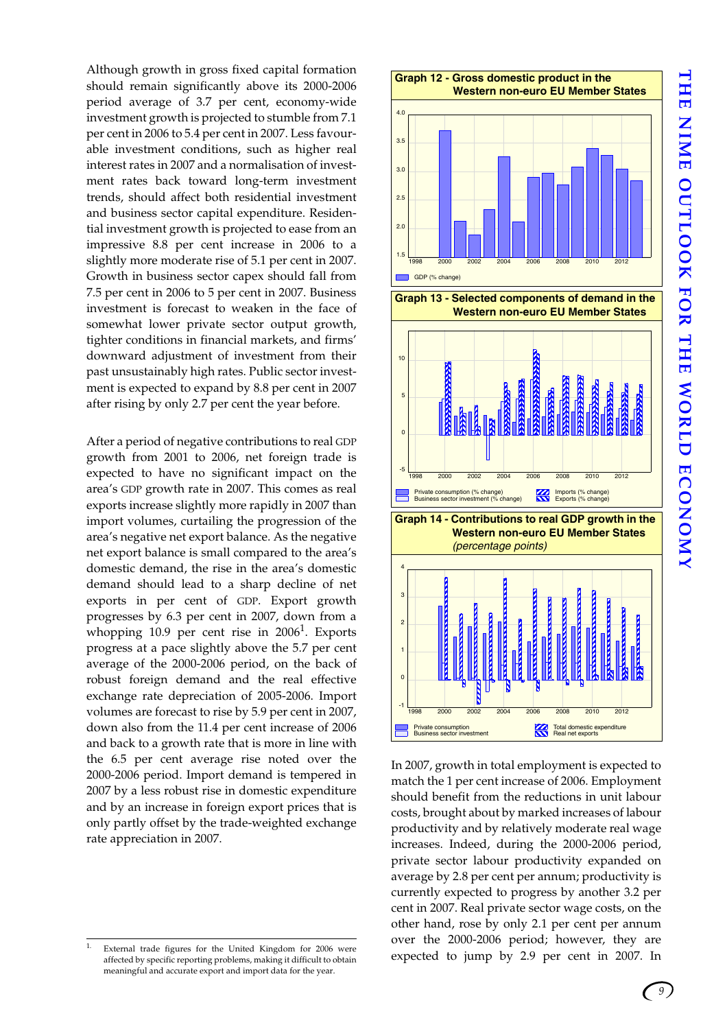**THE NIME OUTLOOK FOR THE WORLD ECONOMY** THE NIME OUTLOOK FOR THE WORLD ECONOMY

Although growth in gross fixed capital formation should remain significantly above its 2000-2006 period average of 3.7 per cent, economy-wide investment growth is projected to stumble from 7.1 per cent in 2006 to 5.4 per cent in 2007. Less favourable investment conditions, such as higher real interest rates in 2007 and a normalisation of investment rates back toward long-term investment trends, should affect both residential investment and business sector capital expenditure. Residential investment growth is projected to ease from an impressive 8.8 per cent increase in 2006 to a slightly more moderate rise of 5.1 per cent in 2007. Growth in business sector capex should fall from 7.5 per cent in 2006 to 5 per cent in 2007. Business investment is forecast to weaken in the face of somewhat lower private sector output growth, tighter conditions in financial markets, and firms' downward adjustment of investment from their past unsustainably high rates. Public sector investment is expected to expand by 8.8 per cent in 2007 after rising by only 2.7 per cent the year before.

After a period of negative contributions to real GDP growth from 2001 to 2006, net foreign trade is expected to have no significant impact on the area's GDP growth rate in 2007. This comes as real exports increase slightly more rapidly in 2007 than import volumes, curtailing the progression of the area's negative net export balance. As the negative net export balance is small compared to the area's domestic demand, the rise in the area's domestic demand should lead to a sharp decline of net exports in per cent of GDP. Export growth progresses by 6.3 per cent in 2007, down from a whopping 10.9 per cent rise in  $2006<sup>1</sup>$ . Exports progress at a pace slightly above the 5.7 per cent average of the 2000-2006 period, on the back of robust foreign demand and the real effective exchange rate depreciation of 2005-2006. Import volumes are forecast to rise by 5.9 per cent in 2007, down also from the 11.4 per cent increase of 2006 and back to a growth rate that is more in line with the 6.5 per cent average rise noted over the 2000-2006 period. Import demand is tempered in 2007 by a less robust rise in domestic expenditure and by an increase in foreign export prices that is only partly offset by the trade-weighted exchange rate appreciation in 2007.





**Graph 14 - Contributions to real GDP growth in the Western non-euro EU Member States** 



In 2007, growth in total employment is expected to match the 1 per cent increase of 2006. Employment should benefit from the reductions in unit labour costs, brought about by marked increases of labour productivity and by relatively moderate real wage increases. Indeed, during the 2000-2006 period, private sector labour productivity expanded on average by 2.8 per cent per annum; productivity is currently expected to progress by another 3.2 per cent in 2007. Real private sector wage costs, on the other hand, rose by only 2.1 per cent per annum over the 2000-2006 period; however, they are External trade figures for the United Kingdom for 2006 were<br>affected to jump by 2.9 per cent in 2007. In

affected by specific reporting problems, making it difficult to obtain meaningful and accurate export and import data for the year.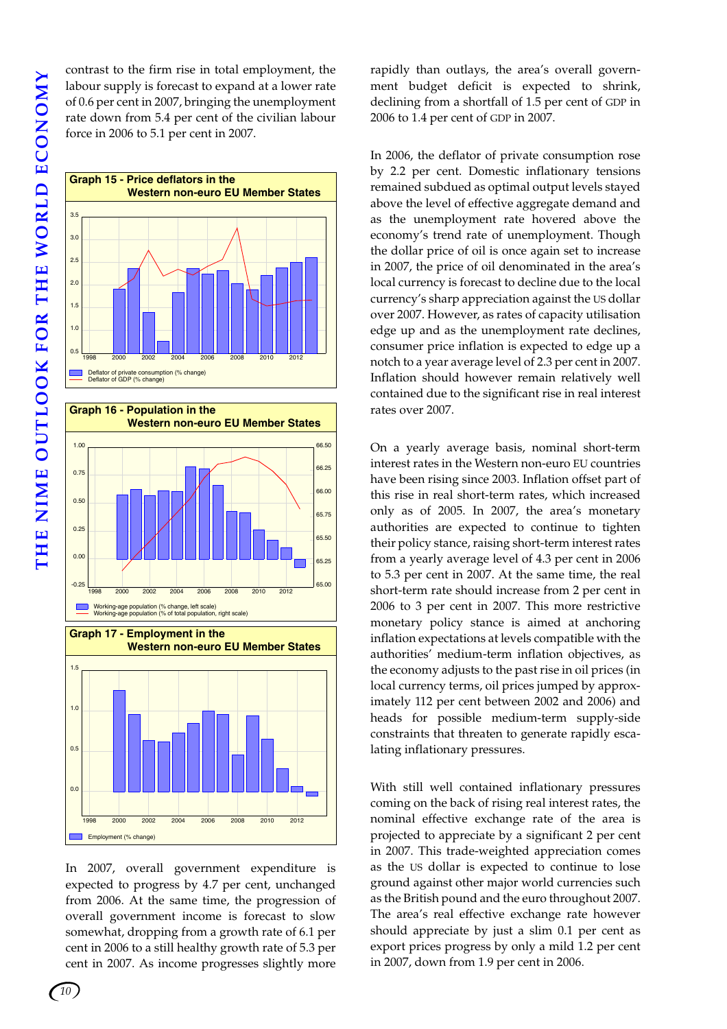**THE NIME OUTLOOK FOR THE WORLD ECONOMY** THE NIME OUTLOOK FOR THE WORLD ECONOMY

contrast to the firm rise in total employment, the labour supply is forecast to expand at a lower rate of 0.6 per cent in 2007, bringing the unemployment rate down from 5.4 per cent of the civilian labour force in 2006 to 5.1 per cent in 2007.





In 2007, overall government expenditure is expected to progress by 4.7 per cent, unchanged from 2006. At the same time, the progression of overall government income is forecast to slow somewhat, dropping from a growth rate of 6.1 per cent in 2006 to a still healthy growth rate of 5.3 per cent in 2007. As income progresses slightly more rapidly than outlays, the area's overall government budget deficit is expected to shrink, declining from a shortfall of 1.5 per cent of GDP in 2006 to 1.4 per cent of GDP in 2007.

In 2006, the deflator of private consumption rose by 2.2 per cent. Domestic inflationary tensions remained subdued as optimal output levels stayed above the level of effective aggregate demand and as the unemployment rate hovered above the economy's trend rate of unemployment. Though the dollar price of oil is once again set to increase in 2007, the price of oil denominated in the area's local currency is forecast to decline due to the local currency's sharp appreciation against the US dollar over 2007. However, as rates of capacity utilisation edge up and as the unemployment rate declines, consumer price inflation is expected to edge up a notch to a year average level of 2.3 per cent in 2007. Inflation should however remain relatively well contained due to the significant rise in real interest rates over 2007.

On a yearly average basis, nominal short-term interest rates in the Western non-euro EU countries have been rising since 2003. Inflation offset part of this rise in real short-term rates, which increased only as of 2005. In 2007, the area's monetary authorities are expected to continue to tighten their policy stance, raising short-term interest rates from a yearly average level of 4.3 per cent in 2006 to 5.3 per cent in 2007. At the same time, the real short-term rate should increase from 2 per cent in 2006 to 3 per cent in 2007. This more restrictive monetary policy stance is aimed at anchoring inflation expectations at levels compatible with the authorities' medium-term inflation objectives, as the economy adjusts to the past rise in oil prices (in local currency terms, oil prices jumped by approximately 112 per cent between 2002 and 2006) and heads for possible medium-term supply-side constraints that threaten to generate rapidly escalating inflationary pressures.

With still well contained inflationary pressures coming on the back of rising real interest rates, the nominal effective exchange rate of the area is projected to appreciate by a significant 2 per cent in 2007. This trade-weighted appreciation comes as the US dollar is expected to continue to lose ground against other major world currencies such as the British pound and the euro throughout 2007. The area's real effective exchange rate however should appreciate by just a slim 0.1 per cent as export prices progress by only a mild 1.2 per cent in 2007, down from 1.9 per cent in 2006.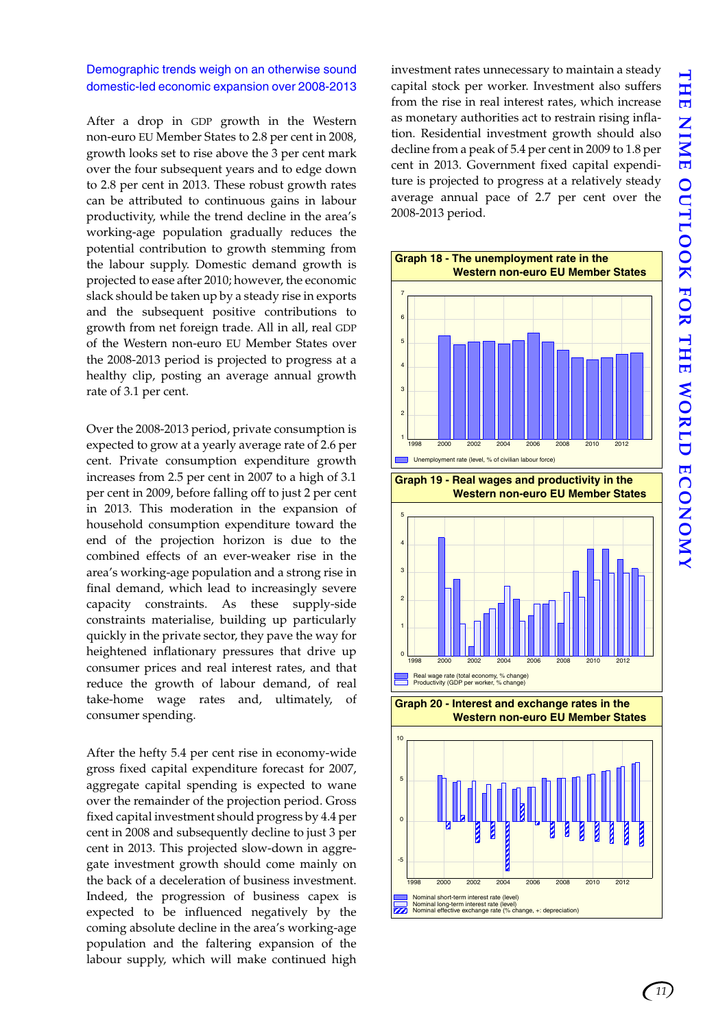*11*

### Demographic trends weigh on an otherwise sound domestic-led economic expansion over 2008-2013

After a drop in GDP growth in the Western non-euro EU Member States to 2.8 per cent in 2008, growth looks set to rise above the 3 per cent mark over the four subsequent years and to edge down to 2.8 per cent in 2013. These robust growth rates can be attributed to continuous gains in labour productivity, while the trend decline in the area's working-age population gradually reduces the potential contribution to growth stemming from the labour supply. Domestic demand growth is projected to ease after 2010; however, the economic slack should be taken up by a steady rise in exports and the subsequent positive contributions to growth from net foreign trade. All in all, real GDP of the Western non-euro EU Member States over the 2008-2013 period is projected to progress at a healthy clip, posting an average annual growth rate of 3.1 per cent.

Over the 2008-2013 period, private consumption is expected to grow at a yearly average rate of 2.6 per cent. Private consumption expenditure growth increases from 2.5 per cent in 2007 to a high of 3.1 per cent in 2009, before falling off to just 2 per cent in 2013. This moderation in the expansion of household consumption expenditure toward the end of the projection horizon is due to the combined effects of an ever-weaker rise in the area's working-age population and a strong rise in final demand, which lead to increasingly severe capacity constraints. As these supply-side constraints materialise, building up particularly quickly in the private sector, they pave the way for heightened inflationary pressures that drive up consumer prices and real interest rates, and that reduce the growth of labour demand, of real take-home wage rates and, ultimately, of consumer spending.

After the hefty 5.4 per cent rise in economy-wide gross fixed capital expenditure forecast for 2007, aggregate capital spending is expected to wane over the remainder of the projection period. Gross fixed capital investment should progress by 4.4 per cent in 2008 and subsequently decline to just 3 per cent in 2013. This projected slow-down in aggregate investment growth should come mainly on the back of a deceleration of business investment. Indeed, the progression of business capex is expected to be influenced negatively by the coming absolute decline in the area's working-age population and the faltering expansion of the labour supply, which will make continued high investment rates unnecessary to maintain a steady capital stock per worker. Investment also suffers from the rise in real interest rates, which increase as monetary authorities act to restrain rising inflation. Residential investment growth should also decline from a peak of 5.4 per cent in 2009 to 1.8 per cent in 2013. Government fixed capital expenditure is projected to progress at a relatively steady average annual pace of 2.7 per cent over the 2008-2013 period.

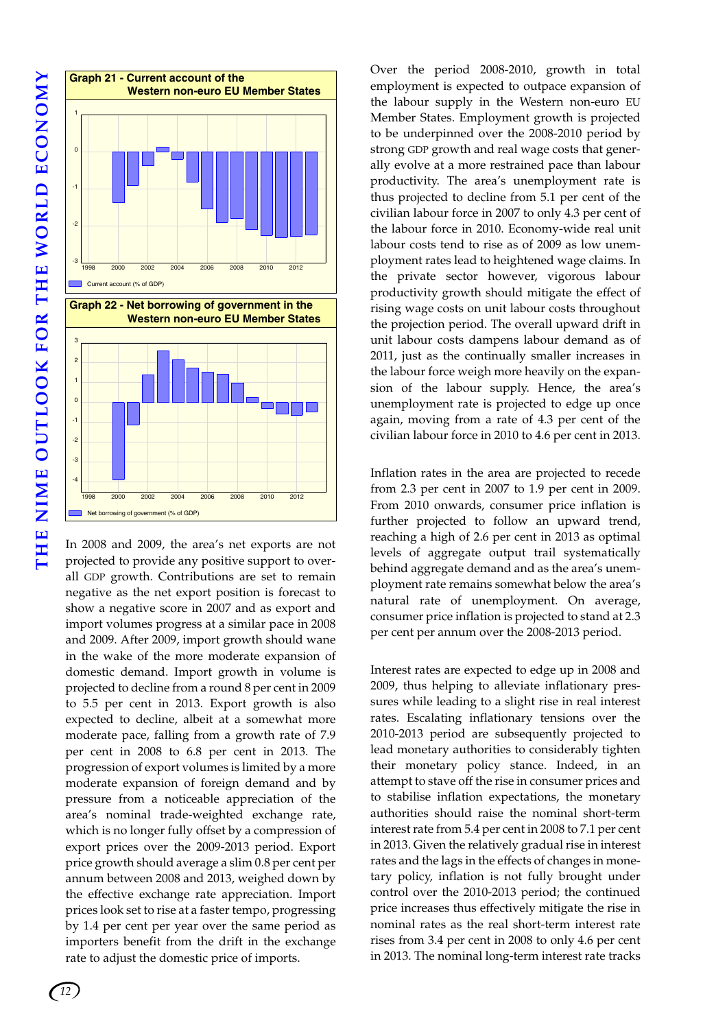

In 2008 and 2009, the area's net exports are not projected to provide any positive support to overall GDP growth. Contributions are set to remain negative as the net export position is forecast to show a negative score in 2007 and as export and import volumes progress at a similar pace in 2008 and 2009. After 2009, import growth should wane in the wake of the more moderate expansion of domestic demand. Import growth in volume is projected to decline from a round 8 per cent in 2009 to 5.5 per cent in 2013. Export growth is also expected to decline, albeit at a somewhat more moderate pace, falling from a growth rate of 7.9 per cent in 2008 to 6.8 per cent in 2013. The progression of export volumes is limited by a more moderate expansion of foreign demand and by pressure from a noticeable appreciation of the area's nominal trade-weighted exchange rate, which is no longer fully offset by a compression of export prices over the 2009-2013 period. Export price growth should average a slim 0.8 per cent per annum between 2008 and 2013, weighed down by the effective exchange rate appreciation. Import prices look set to rise at a faster tempo, progressing by 1.4 per cent per year over the same period as importers benefit from the drift in the exchange rate to adjust the domestic price of imports.

Over the period 2008-2010, growth in total employment is expected to outpace expansion of the labour supply in the Western non-euro EU Member States. Employment growth is projected to be underpinned over the 2008-2010 period by strong GDP growth and real wage costs that generally evolve at a more restrained pace than labour productivity. The area's unemployment rate is thus projected to decline from 5.1 per cent of the civilian labour force in 2007 to only 4.3 per cent of the labour force in 2010. Economy-wide real unit labour costs tend to rise as of 2009 as low unemployment rates lead to heightened wage claims. In the private sector however, vigorous labour productivity growth should mitigate the effect of rising wage costs on unit labour costs throughout the projection period. The overall upward drift in unit labour costs dampens labour demand as of 2011, just as the continually smaller increases in the labour force weigh more heavily on the expansion of the labour supply. Hence, the area's unemployment rate is projected to edge up once again, moving from a rate of 4.3 per cent of the civilian labour force in 2010 to 4.6 per cent in 2013.

Inflation rates in the area are projected to recede from 2.3 per cent in 2007 to 1.9 per cent in 2009. From 2010 onwards, consumer price inflation is further projected to follow an upward trend, reaching a high of 2.6 per cent in 2013 as optimal levels of aggregate output trail systematically behind aggregate demand and as the area's unemployment rate remains somewhat below the area's natural rate of unemployment. On average, consumer price inflation is projected to stand at 2.3 per cent per annum over the 2008-2013 period.

Interest rates are expected to edge up in 2008 and 2009, thus helping to alleviate inflationary pressures while leading to a slight rise in real interest rates. Escalating inflationary tensions over the 2010-2013 period are subsequently projected to lead monetary authorities to considerably tighten their monetary policy stance. Indeed, in an attempt to stave off the rise in consumer prices and to stabilise inflation expectations, the monetary authorities should raise the nominal short-term interest rate from 5.4 per cent in 2008 to 7.1 per cent in 2013. Given the relatively gradual rise in interest rates and the lags in the effects of changes in monetary policy, inflation is not fully brought under control over the 2010-2013 period; the continued price increases thus effectively mitigate the rise in nominal rates as the real short-term interest rate rises from 3.4 per cent in 2008 to only 4.6 per cent in 2013. The nominal long-term interest rate tracks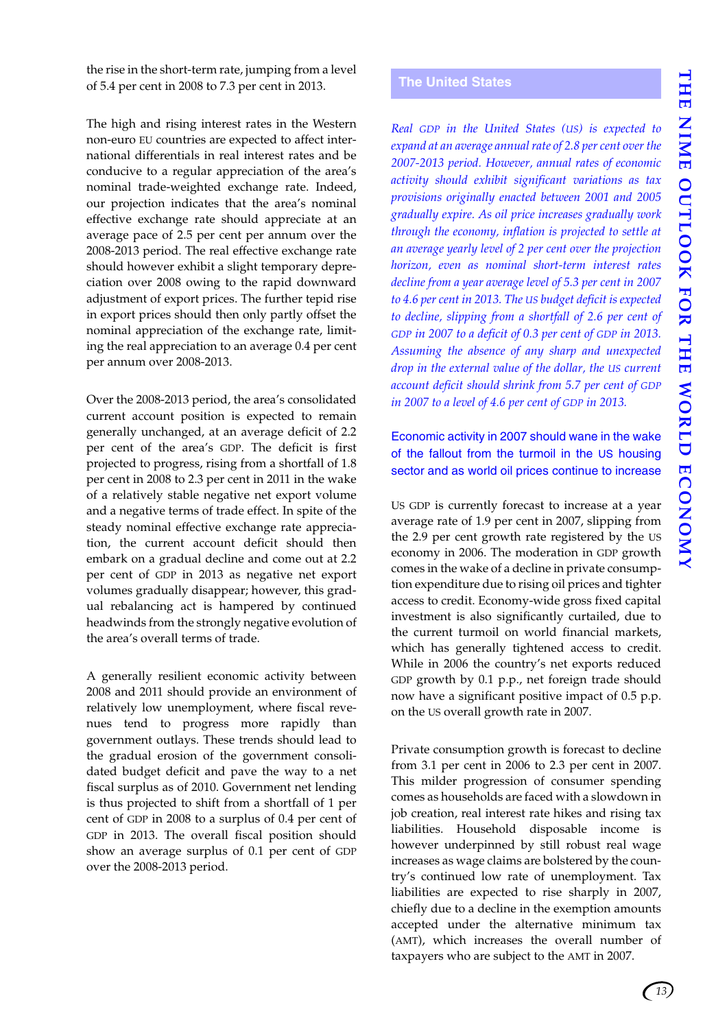the rise in the short-term rate, jumping from a level of 5.4 per cent in 2008 to 7.3 per cent in 2013.

The high and rising interest rates in the Western non-euro EU countries are expected to affect international differentials in real interest rates and be conducive to a regular appreciation of the area's nominal trade-weighted exchange rate. Indeed, our projection indicates that the area's nominal effective exchange rate should appreciate at an average pace of 2.5 per cent per annum over the 2008-2013 period. The real effective exchange rate should however exhibit a slight temporary depreciation over 2008 owing to the rapid downward adjustment of export prices. The further tepid rise in export prices should then only partly offset the nominal appreciation of the exchange rate, limiting the real appreciation to an average 0.4 per cent per annum over 2008-2013.

Over the 2008-2013 period, the area's consolidated current account position is expected to remain generally unchanged, at an average deficit of 2.2 per cent of the area's GDP. The deficit is first projected to progress, rising from a shortfall of 1.8 per cent in 2008 to 2.3 per cent in 2011 in the wake of a relatively stable negative net export volume and a negative terms of trade effect. In spite of the steady nominal effective exchange rate appreciation, the current account deficit should then embark on a gradual decline and come out at 2.2 per cent of GDP in 2013 as negative net export volumes gradually disappear; however, this gradual rebalancing act is hampered by continued headwinds from the strongly negative evolution of the area's overall terms of trade.

A generally resilient economic activity between 2008 and 2011 should provide an environment of relatively low unemployment, where fiscal revenues tend to progress more rapidly than government outlays. These trends should lead to the gradual erosion of the government consolidated budget deficit and pave the way to a net fiscal surplus as of 2010. Government net lending is thus projected to shift from a shortfall of 1 per cent of GDP in 2008 to a surplus of 0.4 per cent of GDP in 2013. The overall fiscal position should show an average surplus of 0.1 per cent of GDP over the 2008-2013 period.

### <span id="page-16-0"></span>**The United States**

*Real GDP in the United States (US) is expected to expand at an average annual rate of 2.8 per cent over the 2007-2013 period. However, annual rates of economic activity should exhibit significant variations as tax provisions originally enacted between 2001 and 2005 gradually expire. As oil price increases gradually work through the economy, inflation is projected to settle at an average yearly level of 2 per cent over the projection horizon, even as nominal short-term interest rates decline from a year average level of 5.3 per cent in 2007 to 4.6 per cent in 2013. The US budget deficit is expected to decline, slipping from a shortfall of 2.6 per cent of GDP in 2007 to a deficit of 0.3 per cent of GDP in 2013. Assuming the absence of any sharp and unexpected drop in the external value of the dollar, the US current account deficit should shrink from 5.7 per cent of GDP in 2007 to a level of 4.6 per cent of GDP in 2013.*

Economic activity in 2007 should wane in the wake of the fallout from the turmoil in the US housing sector and as world oil prices continue to increase

US GDP is currently forecast to increase at a year average rate of 1.9 per cent in 2007, slipping from the 2.9 per cent growth rate registered by the US economy in 2006. The moderation in GDP growth comes in the wake of a decline in private consumption expenditure due to rising oil prices and tighter access to credit. Economy-wide gross fixed capital investment is also significantly curtailed, due to the current turmoil on world financial markets, which has generally tightened access to credit. While in 2006 the country's net exports reduced GDP growth by 0.1 p.p., net foreign trade should now have a significant positive impact of 0.5 p.p. on the US overall growth rate in 2007.

Private consumption growth is forecast to decline from 3.1 per cent in 2006 to 2.3 per cent in 2007. This milder progression of consumer spending comes as households are faced with a slowdown in job creation, real interest rate hikes and rising tax liabilities. Household disposable income is however underpinned by still robust real wage increases as wage claims are bolstered by the country's continued low rate of unemployment. Tax liabilities are expected to rise sharply in 2007, chiefly due to a decline in the exemption amounts accepted under the alternative minimum tax (AMT), which increases the overall number of taxpayers who are subject to the AMT in 2007.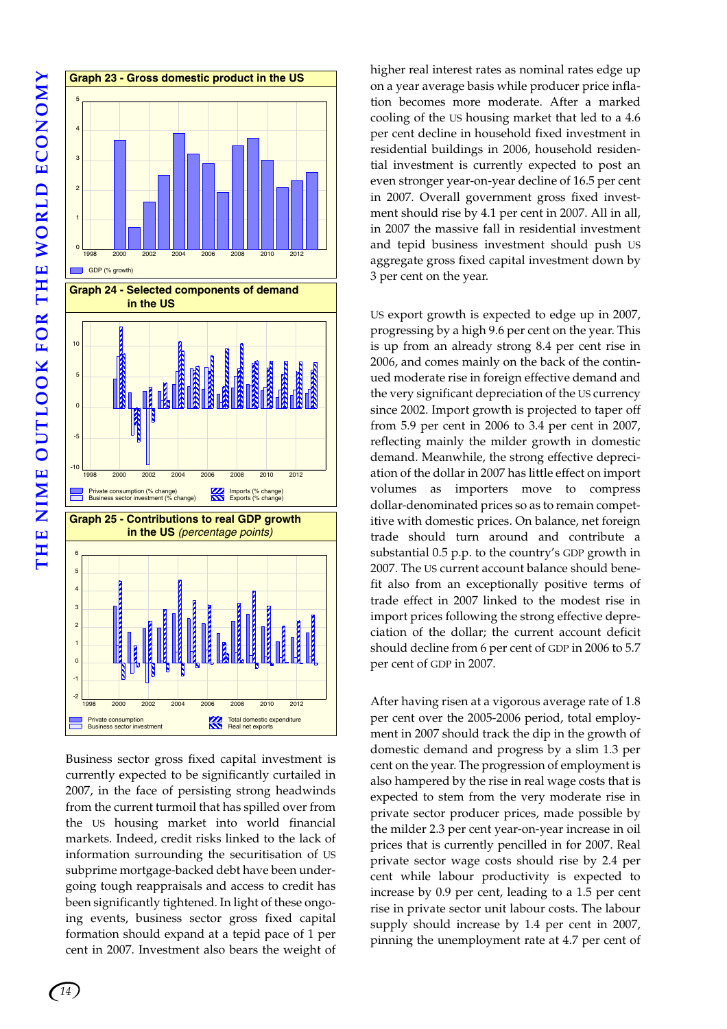**THE NIME OUTLOOK FOR THE WORLD ECONOMY** THE NIME OUTLOOK FOR THE WORLD ECONOMY



Business sector gross fixed capital investment is currently expected to be significantly curtailed in 2007, in the face of persisting strong headwinds from the current turmoil that has spilled over from the US housing market into world financial markets. Indeed, credit risks linked to the lack of information surrounding the securitisation of US subprime mortgage-backed debt have been undergoing tough reappraisals and access to credit has been significantly tightened. In light of these ongoing events, business sector gross fixed capital formation should expand at a tepid pace of 1 per cent in 2007. Investment also bears the weight of higher real interest rates as nominal rates edge up on a year average basis while producer price inflation becomes more moderate. After a marked cooling of the US housing market that led to a 4.6 per cent decline in household fixed investment in residential buildings in 2006, household residential investment is currently expected to post an even stronger year-on-year decline of 16.5 per cent in 2007. Overall government gross fixed investment should rise by 4.1 per cent in 2007. All in all, in 2007 the massive fall in residential investment and tepid business investment should push US aggregate gross fixed capital investment down by 3 per cent on the year.

US export growth is expected to edge up in 2007, progressing by a high 9.6 per cent on the year. This is up from an already strong 8.4 per cent rise in 2006, and comes mainly on the back of the continued moderate rise in foreign effective demand and the very significant depreciation of the US currency since 2002. Import growth is projected to taper off from 5.9 per cent in 2006 to 3.4 per cent in 2007, reflecting mainly the milder growth in domestic demand. Meanwhile, the strong effective depreciation of the dollar in 2007 has little effect on import volumes as importers move to compress dollar-denominated prices so as to remain competitive with domestic prices. On balance, net foreign trade should turn around and contribute a substantial 0.5 p.p. to the country's GDP growth in 2007. The US current account balance should benefit also from an exceptionally positive terms of trade effect in 2007 linked to the modest rise in import prices following the strong effective depreciation of the dollar; the current account deficit should decline from 6 per cent of GDP in 2006 to 5.7 per cent of GDP in 2007.

After having risen at a vigorous average rate of 1.8 per cent over the 2005-2006 period, total employment in 2007 should track the dip in the growth of domestic demand and progress by a slim 1.3 per cent on the year. The progression of employment is also hampered by the rise in real wage costs that is expected to stem from the very moderate rise in private sector producer prices, made possible by the milder 2.3 per cent year-on-year increase in oil prices that is currently pencilled in for 2007. Real private sector wage costs should rise by 2.4 per cent while labour productivity is expected to increase by 0.9 per cent, leading to a 1.5 per cent rise in private sector unit labour costs. The labour supply should increase by 1.4 per cent in 2007, pinning the unemployment rate at 4.7 per cent of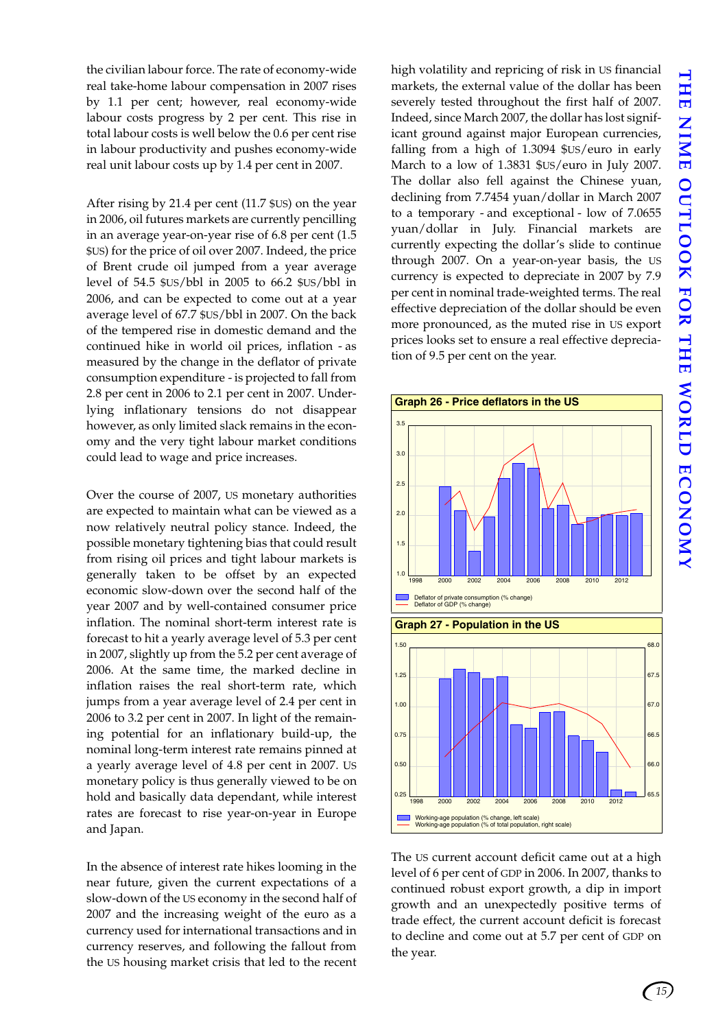the civilian labour force. The rate of economy-wide real take-home labour compensation in 2007 rises by 1.1 per cent; however, real economy-wide labour costs progress by 2 per cent. This rise in total labour costs is well below the 0.6 per cent rise in labour productivity and pushes economy-wide real unit labour costs up by 1.4 per cent in 2007.

After rising by 21.4 per cent (11.7 \$US) on the year in 2006, oil futures markets are currently pencilling in an average year-on-year rise of 6.8 per cent (1.5 \$US) for the price of oil over 2007. Indeed, the price of Brent crude oil jumped from a year average level of 54.5 \$US/bbl in 2005 to 66.2 \$US/bbl in 2006, and can be expected to come out at a year average level of 67.7 \$US/bbl in 2007. On the back of the tempered rise in domestic demand and the continued hike in world oil prices, inflation - as measured by the change in the deflator of private consumption expenditure - is projected to fall from 2.8 per cent in 2006 to 2.1 per cent in 2007. Underlying inflationary tensions do not disappear however, as only limited slack remains in the economy and the very tight labour market conditions could lead to wage and price increases.

Over the course of 2007, US monetary authorities are expected to maintain what can be viewed as a now relatively neutral policy stance. Indeed, the possible monetary tightening bias that could result from rising oil prices and tight labour markets is generally taken to be offset by an expected economic slow-down over the second half of the year 2007 and by well-contained consumer price inflation. The nominal short-term interest rate is forecast to hit a yearly average level of 5.3 per cent in 2007, slightly up from the 5.2 per cent average of 2006. At the same time, the marked decline in inflation raises the real short-term rate, which jumps from a year average level of 2.4 per cent in 2006 to 3.2 per cent in 2007. In light of the remaining potential for an inflationary build-up, the nominal long-term interest rate remains pinned at a yearly average level of 4.8 per cent in 2007. US monetary policy is thus generally viewed to be on hold and basically data dependant, while interest rates are forecast to rise year-on-year in Europe and Japan.

In the absence of interest rate hikes looming in the near future, given the current expectations of a slow-down of the US economy in the second half of 2007 and the increasing weight of the euro as a currency used for international transactions and in currency reserves, and following the fallout from the US housing market crisis that led to the recent high volatility and repricing of risk in US financial markets, the external value of the dollar has been severely tested throughout the first half of 2007. Indeed, since March 2007, the dollar has lost significant ground against major European currencies, falling from a high of 1.3094 \$US/euro in early March to a low of 1.3831 \$US/euro in July 2007. The dollar also fell against the Chinese yuan, declining from 7.7454 yuan/dollar in March 2007 to a temporary - and exceptional - low of 7.0655 yuan/dollar in July. Financial markets are currently expecting the dollar's slide to continue through 2007. On a year-on-year basis, the US currency is expected to depreciate in 2007 by 7.9 per cent in nominal trade-weighted terms. The real effective depreciation of the dollar should be even more pronounced, as the muted rise in US export prices looks set to ensure a real effective depreciation of 9.5 per cent on the year.



The US current account deficit came out at a high level of 6 per cent of GDP in 2006. In 2007, thanks to continued robust export growth, a dip in import growth and an unexpectedly positive terms of trade effect, the current account deficit is forecast to decline and come out at 5.7 per cent of GDP on the year.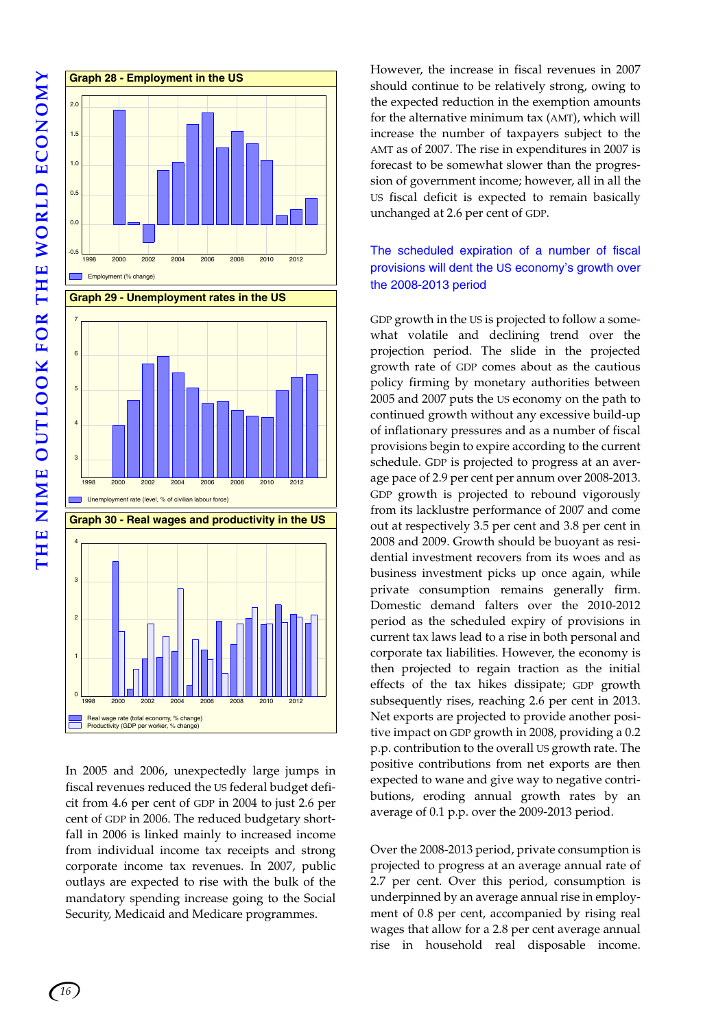

In 2005 and 2006, unexpectedly large jumps in fiscal revenues reduced the US federal budget deficit from 4.6 per cent of GDP in 2004 to just 2.6 per cent of GDP in 2006. The reduced budgetary shortfall in 2006 is linked mainly to increased income from individual income tax receipts and strong corporate income tax revenues. In 2007, public outlays are expected to rise with the bulk of the mandatory spending increase going to the Social Security, Medicaid and Medicare programmes.

However, the increase in fiscal revenues in 2007 should continue to be relatively strong, owing to the expected reduction in the exemption amounts for the alternative minimum tax (AMT), which will increase the number of taxpayers subject to the AMT as of 2007. The rise in expenditures in 2007 is forecast to be somewhat slower than the progression of government income; however, all in all the US fiscal deficit is expected to remain basically unchanged at 2.6 per cent of GDP.

### The scheduled expiration of a number of fiscal provisions will dent the US economy's growth over the 2008-2013 period

GDP growth in the US is projected to follow a somewhat volatile and declining trend over the projection period. The slide in the projected growth rate of GDP comes about as the cautious policy firming by monetary authorities between 2005 and 2007 puts the US economy on the path to continued growth without any excessive build-up of inflationary pressures and as a number of fiscal provisions begin to expire according to the current schedule. GDP is projected to progress at an average pace of 2.9 per cent per annum over 2008-2013. GDP growth is projected to rebound vigorously from its lacklustre performance of 2007 and come out at respectively 3.5 per cent and 3.8 per cent in 2008 and 2009. Growth should be buoyant as residential investment recovers from its woes and as business investment picks up once again, while private consumption remains generally firm. Domestic demand falters over the 2010-2012 period as the scheduled expiry of provisions in current tax laws lead to a rise in both personal and corporate tax liabilities. However, the economy is then projected to regain traction as the initial effects of the tax hikes dissipate; GDP growth subsequently rises, reaching 2.6 per cent in 2013. Net exports are projected to provide another positive impact on GDP growth in 2008, providing a 0.2 p.p. contribution to the overall US growth rate. The positive contributions from net exports are then expected to wane and give way to negative contributions, eroding annual growth rates by an average of 0.1 p.p. over the 2009-2013 period.

Over the 2008-2013 period, private consumption is projected to progress at an average annual rate of 2.7 per cent. Over this period, consumption is underpinned by an average annual rise in employment of 0.8 per cent, accompanied by rising real wages that allow for a 2.8 per cent average annual rise in household real disposable income.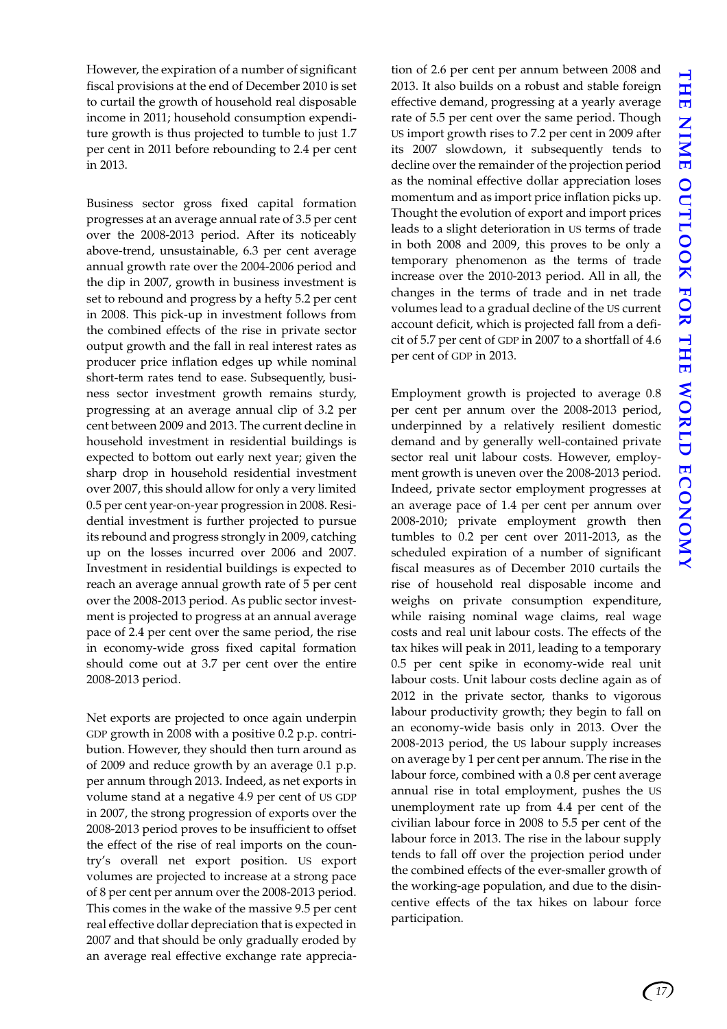However, the expiration of a number of significant fiscal provisions at the end of December 2010 is set to curtail the growth of household real disposable income in 2011; household consumption expenditure growth is thus projected to tumble to just 1.7 per cent in 2011 before rebounding to 2.4 per cent in 2013.

Business sector gross fixed capital formation progresses at an average annual rate of 3.5 per cent over the 2008-2013 period. After its noticeably above-trend, unsustainable, 6.3 per cent average annual growth rate over the 2004-2006 period and the dip in 2007, growth in business investment is set to rebound and progress by a hefty 5.2 per cent in 2008. This pick-up in investment follows from the combined effects of the rise in private sector output growth and the fall in real interest rates as producer price inflation edges up while nominal short-term rates tend to ease. Subsequently, business sector investment growth remains sturdy, progressing at an average annual clip of 3.2 per cent between 2009 and 2013. The current decline in household investment in residential buildings is expected to bottom out early next year; given the sharp drop in household residential investment over 2007, this should allow for only a very limited 0.5 per cent year-on-year progression in 2008. Residential investment is further projected to pursue its rebound and progress strongly in 2009, catching up on the losses incurred over 2006 and 2007. Investment in residential buildings is expected to reach an average annual growth rate of 5 per cent over the 2008-2013 period. As public sector investment is projected to progress at an annual average pace of 2.4 per cent over the same period, the rise in economy-wide gross fixed capital formation should come out at 3.7 per cent over the entire 2008-2013 period.

Net exports are projected to once again underpin GDP growth in 2008 with a positive 0.2 p.p. contribution. However, they should then turn around as of 2009 and reduce growth by an average 0.1 p.p. per annum through 2013. Indeed, as net exports in volume stand at a negative 4.9 per cent of US GDP in 2007, the strong progression of exports over the 2008-2013 period proves to be insufficient to offset the effect of the rise of real imports on the country's overall net export position. US export volumes are projected to increase at a strong pace of 8 per cent per annum over the 2008-2013 period. This comes in the wake of the massive 9.5 per cent real effective dollar depreciation that is expected in 2007 and that should be only gradually eroded by an average real effective exchange rate appreciation of 2.6 per cent per annum between 2008 and 2013. It also builds on a robust and stable foreign effective demand, progressing at a yearly average rate of 5.5 per cent over the same period. Though US import growth rises to 7.2 per cent in 2009 after its 2007 slowdown, it subsequently tends to decline over the remainder of the projection period as the nominal effective dollar appreciation loses momentum and as import price inflation picks up. Thought the evolution of export and import prices leads to a slight deterioration in US terms of trade in both 2008 and 2009, this proves to be only a temporary phenomenon as the terms of trade increase over the 2010-2013 period. All in all, the changes in the terms of trade and in net trade volumes lead to a gradual decline of the US current account deficit, which is projected fall from a deficit of 5.7 per cent of GDP in 2007 to a shortfall of 4.6 per cent of GDP in 2013.

Employment growth is projected to average 0.8 per cent per annum over the 2008-2013 period, underpinned by a relatively resilient domestic demand and by generally well-contained private sector real unit labour costs. However, employment growth is uneven over the 2008-2013 period. Indeed, private sector employment progresses at an average pace of 1.4 per cent per annum over 2008-2010; private employment growth then tumbles to 0.2 per cent over 2011-2013, as the scheduled expiration of a number of significant fiscal measures as of December 2010 curtails the rise of household real disposable income and weighs on private consumption expenditure, while raising nominal wage claims, real wage costs and real unit labour costs. The effects of the tax hikes will peak in 2011, leading to a temporary 0.5 per cent spike in economy-wide real unit labour costs. Unit labour costs decline again as of 2012 in the private sector, thanks to vigorous labour productivity growth; they begin to fall on an economy-wide basis only in 2013. Over the 2008-2013 period, the US labour supply increases on average by 1 per cent per annum. The rise in the labour force, combined with a 0.8 per cent average annual rise in total employment, pushes the US unemployment rate up from 4.4 per cent of the civilian labour force in 2008 to 5.5 per cent of the labour force in 2013. The rise in the labour supply tends to fall off over the projection period under the combined effects of the ever-smaller growth of the working-age population, and due to the disincentive effects of the tax hikes on labour force participation.

*17*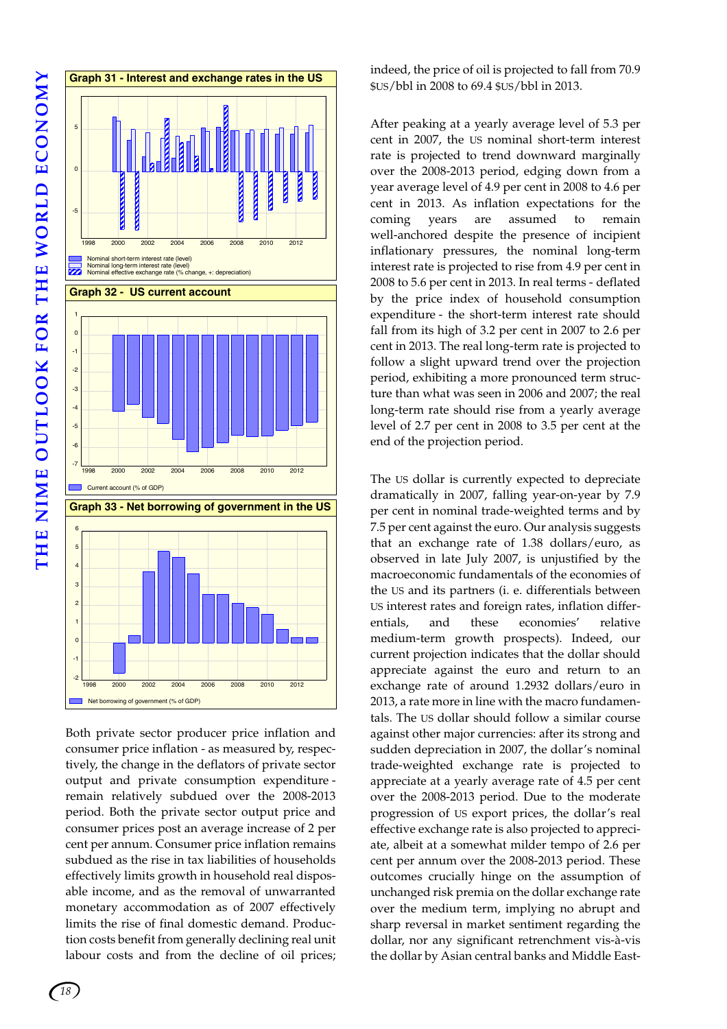

Both private sector producer price inflation and consumer price inflation - as measured by, respectively, the change in the deflators of private sector output and private consumption expenditure remain relatively subdued over the 2008-2013 period. Both the private sector output price and consumer prices post an average increase of 2 per cent per annum. Consumer price inflation remains subdued as the rise in tax liabilities of households effectively limits growth in household real disposable income, and as the removal of unwarranted monetary accommodation as of 2007 effectively limits the rise of final domestic demand. Production costs benefit from generally declining real unit labour costs and from the decline of oil prices;

indeed, the price of oil is projected to fall from 70.9 \$US/bbl in 2008 to 69.4 \$US/bbl in 2013.

After peaking at a yearly average level of 5.3 per cent in 2007, the US nominal short-term interest rate is projected to trend downward marginally over the 2008-2013 period, edging down from a year average level of 4.9 per cent in 2008 to 4.6 per cent in 2013. As inflation expectations for the coming years are assumed to remain well-anchored despite the presence of incipient inflationary pressures, the nominal long-term interest rate is projected to rise from 4.9 per cent in 2008 to 5.6 per cent in 2013. In real terms - deflated by the price index of household consumption expenditure - the short-term interest rate should fall from its high of 3.2 per cent in 2007 to 2.6 per cent in 2013. The real long-term rate is projected to follow a slight upward trend over the projection period, exhibiting a more pronounced term structure than what was seen in 2006 and 2007; the real long-term rate should rise from a yearly average level of 2.7 per cent in 2008 to 3.5 per cent at the end of the projection period.

The US dollar is currently expected to depreciate dramatically in 2007, falling year-on-year by 7.9 per cent in nominal trade-weighted terms and by 7.5 per cent against the euro. Our analysis suggests that an exchange rate of 1.38 dollars/euro, as observed in late July 2007, is unjustified by the macroeconomic fundamentals of the economies of the US and its partners (i. e. differentials between US interest rates and foreign rates, inflation differentials, and these economies' relative medium-term growth prospects). Indeed, our current projection indicates that the dollar should appreciate against the euro and return to an exchange rate of around 1.2932 dollars/euro in 2013, a rate more in line with the macro fundamentals. The US dollar should follow a similar course against other major currencies: after its strong and sudden depreciation in 2007, the dollar's nominal trade-weighted exchange rate is projected to appreciate at a yearly average rate of 4.5 per cent over the 2008-2013 period. Due to the moderate progression of US export prices, the dollar's real effective exchange rate is also projected to appreciate, albeit at a somewhat milder tempo of 2.6 per cent per annum over the 2008-2013 period. These outcomes crucially hinge on the assumption of unchanged risk premia on the dollar exchange rate over the medium term, implying no abrupt and sharp reversal in market sentiment regarding the dollar, nor any significant retrenchment vis-à-vis the dollar by Asian central banks and Middle East-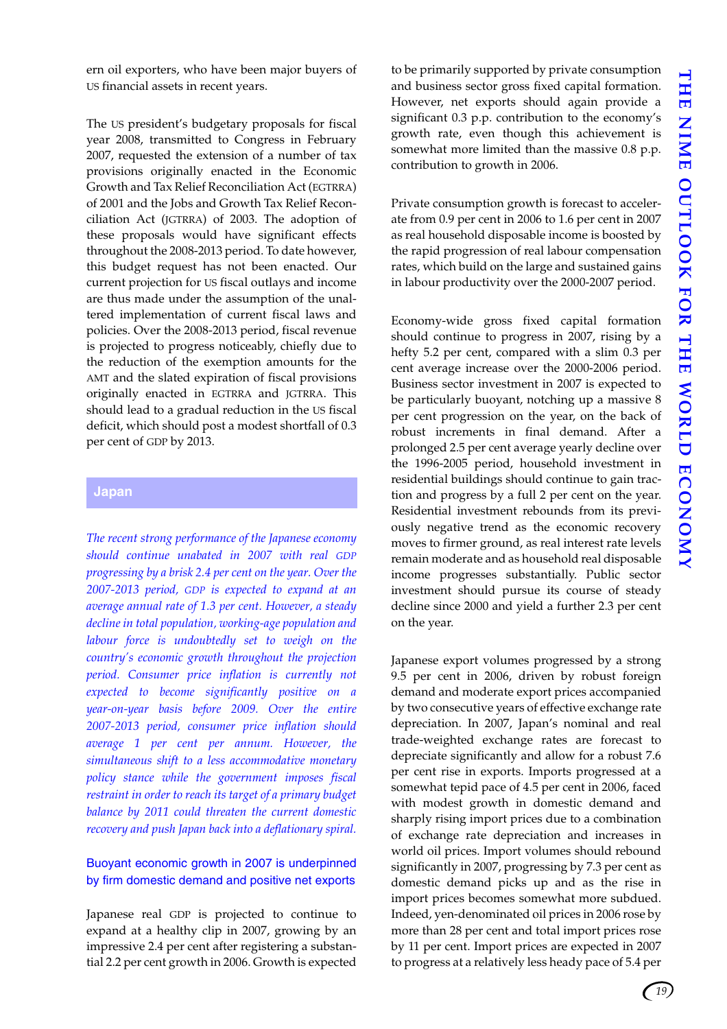ern oil exporters, who have been major buyers of US financial assets in recent years.

The US president's budgetary proposals for fiscal year 2008, transmitted to Congress in February 2007, requested the extension of a number of tax provisions originally enacted in the Economic Growth and Tax Relief Reconciliation Act (EGTRRA) of 2001 and the Jobs and Growth Tax Relief Reconciliation Act (JGTRRA) of 2003. The adoption of these proposals would have significant effects throughout the 2008-2013 period. To date however, this budget request has not been enacted. Our current projection for US fiscal outlays and income are thus made under the assumption of the unaltered implementation of current fiscal laws and policies. Over the 2008-2013 period, fiscal revenue is projected to progress noticeably, chiefly due to the reduction of the exemption amounts for the AMT and the slated expiration of fiscal provisions originally enacted in EGTRRA and JGTRRA. This should lead to a gradual reduction in the US fiscal deficit, which should post a modest shortfall of 0.3 per cent of GDP by 2013.

### <span id="page-22-0"></span>**Japan**

*The recent strong performance of the Japanese economy should continue unabated in 2007 with real GDP progressing by a brisk 2.4 per cent on the year. Over the 2007-2013 period, GDP is expected to expand at an average annual rate of 1.3 per cent. However, a steady decline in total population, working-age population and labour force is undoubtedly set to weigh on the country's economic growth throughout the projection period. Consumer price inflation is currently not expected to become significantly positive on a year-on-year basis before 2009. Over the entire 2007-2013 period, consumer price inflation should average 1 per cent per annum. However, the simultaneous shift to a less accommodative monetary policy stance while the government imposes fiscal restraint in order to reach its target of a primary budget balance by 2011 could threaten the current domestic recovery and push Japan back into a deflationary spiral.*

### Buoyant economic growth in 2007 is underpinned by firm domestic demand and positive net exports

Japanese real GDP is projected to continue to expand at a healthy clip in 2007, growing by an impressive 2.4 per cent after registering a substantial 2.2 per cent growth in 2006. Growth is expected

to be primarily supported by private consumption and business sector gross fixed capital formation. However, net exports should again provide a significant 0.3 p.p. contribution to the economy's growth rate, even though this achievement is somewhat more limited than the massive 0.8 p.p. contribution to growth in 2006.

Private consumption growth is forecast to accelerate from 0.9 per cent in 2006 to 1.6 per cent in 2007 as real household disposable income is boosted by the rapid progression of real labour compensation rates, which build on the large and sustained gains in labour productivity over the 2000-2007 period.

Economy-wide gross fixed capital formation should continue to progress in 2007, rising by a hefty 5.2 per cent, compared with a slim 0.3 per cent average increase over the 2000-2006 period. Business sector investment in 2007 is expected to be particularly buoyant, notching up a massive 8 per cent progression on the year, on the back of robust increments in final demand. After a prolonged 2.5 per cent average yearly decline over the 1996-2005 period, household investment in residential buildings should continue to gain traction and progress by a full 2 per cent on the year. Residential investment rebounds from its previously negative trend as the economic recovery moves to firmer ground, as real interest rate levels remain moderate and as household real disposable income progresses substantially. Public sector investment should pursue its course of steady decline since 2000 and yield a further 2.3 per cent on the year.

Japanese export volumes progressed by a strong 9.5 per cent in 2006, driven by robust foreign demand and moderate export prices accompanied by two consecutive years of effective exchange rate depreciation. In 2007, Japan's nominal and real trade-weighted exchange rates are forecast to depreciate significantly and allow for a robust 7.6 per cent rise in exports. Imports progressed at a somewhat tepid pace of 4.5 per cent in 2006, faced with modest growth in domestic demand and sharply rising import prices due to a combination of exchange rate depreciation and increases in world oil prices. Import volumes should rebound significantly in 2007, progressing by 7.3 per cent as domestic demand picks up and as the rise in import prices becomes somewhat more subdued. Indeed, yen-denominated oil prices in 2006 rose by more than 28 per cent and total import prices rose by 11 per cent. Import prices are expected in 2007 to progress at a relatively less heady pace of 5.4 per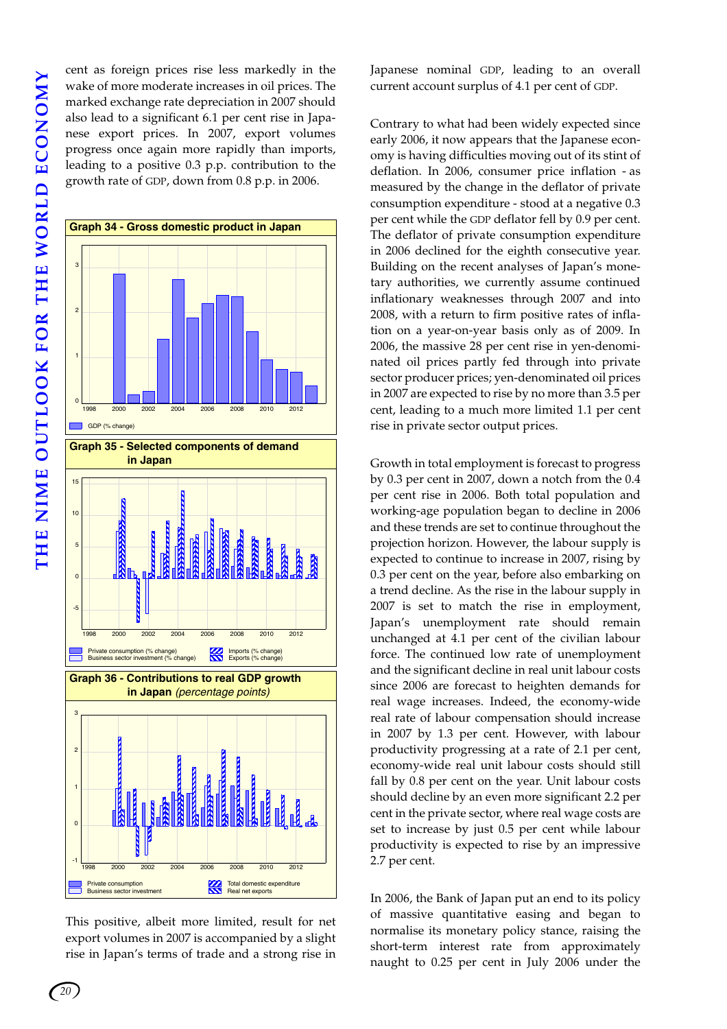cent as foreign prices rise less markedly in the wake of more moderate increases in oil prices. The marked exchange rate depreciation in 2007 should also lead to a significant 6.1 per cent rise in Japanese export prices. In 2007, export volumes progress once again more rapidly than imports, leading to a positive 0.3 p.p. contribution to the growth rate of GDP, down from 0.8 p.p. in 2006.



This positive, albeit more limited, result for net export volumes in 2007 is accompanied by a slight rise in Japan's terms of trade and a strong rise in

Japanese nominal GDP, leading to an overall current account surplus of 4.1 per cent of GDP.

Contrary to what had been widely expected since early 2006, it now appears that the Japanese economy is having difficulties moving out of its stint of deflation. In 2006, consumer price inflation - as measured by the change in the deflator of private consumption expenditure - stood at a negative 0.3 per cent while the GDP deflator fell by 0.9 per cent. The deflator of private consumption expenditure in 2006 declined for the eighth consecutive year. Building on the recent analyses of Japan's monetary authorities, we currently assume continued inflationary weaknesses through 2007 and into 2008, with a return to firm positive rates of inflation on a year-on-year basis only as of 2009. In 2006, the massive 28 per cent rise in yen-denominated oil prices partly fed through into private sector producer prices; yen-denominated oil prices in 2007 are expected to rise by no more than 3.5 per cent, leading to a much more limited 1.1 per cent rise in private sector output prices.

Growth in total employment is forecast to progress by 0.3 per cent in 2007, down a notch from the 0.4 per cent rise in 2006. Both total population and working-age population began to decline in 2006 and these trends are set to continue throughout the projection horizon. However, the labour supply is expected to continue to increase in 2007, rising by 0.3 per cent on the year, before also embarking on a trend decline. As the rise in the labour supply in 2007 is set to match the rise in employment, Japan's unemployment rate should remain unchanged at 4.1 per cent of the civilian labour force. The continued low rate of unemployment and the significant decline in real unit labour costs since 2006 are forecast to heighten demands for real wage increases. Indeed, the economy-wide real rate of labour compensation should increase in 2007 by 1.3 per cent. However, with labour productivity progressing at a rate of 2.1 per cent, economy-wide real unit labour costs should still fall by 0.8 per cent on the year. Unit labour costs should decline by an even more significant 2.2 per cent in the private sector, where real wage costs are set to increase by just 0.5 per cent while labour productivity is expected to rise by an impressive 2.7 per cent.

In 2006, the Bank of Japan put an end to its policy of massive quantitative easing and began to normalise its monetary policy stance, raising the short-term interest rate from approximately naught to 0.25 per cent in July 2006 under the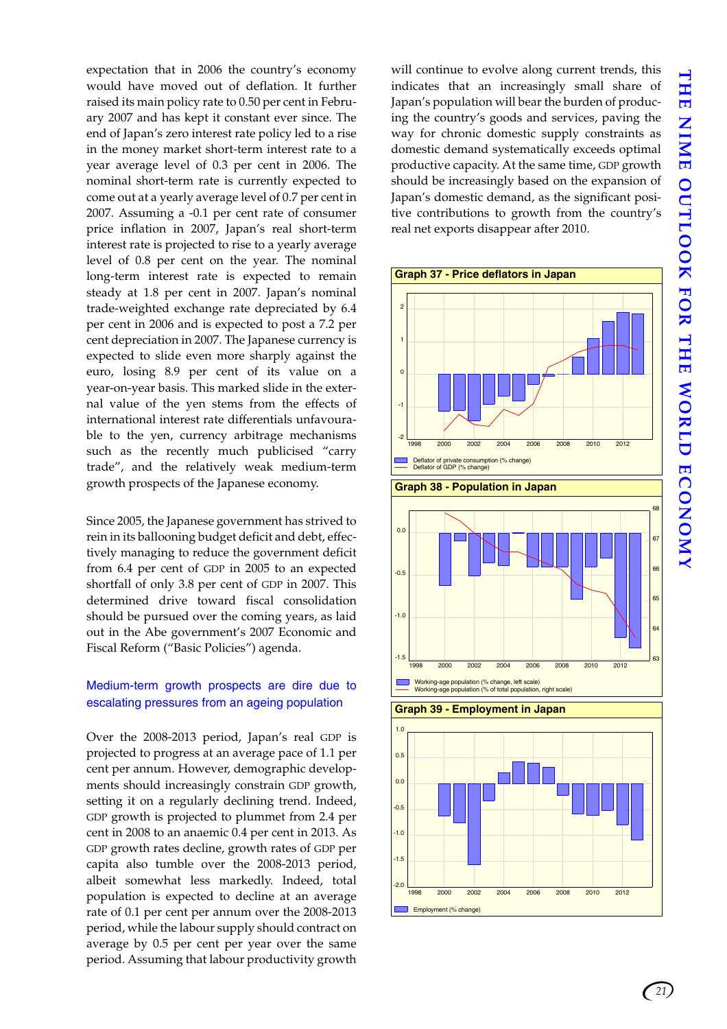THE NIME OUTLOOK FOR THE WORLD ECONOMY **THE NIME OUTLOOK FOR THE WORLD ECONOMY**

expectation that in 2006 the country's economy would have moved out of deflation. It further raised its main policy rate to 0.50 per cent in February 2007 and has kept it constant ever since. The end of Japan's zero interest rate policy led to a rise in the money market short-term interest rate to a year average level of 0.3 per cent in 2006. The nominal short-term rate is currently expected to come out at a yearly average level of 0.7 per cent in 2007. Assuming a -0.1 per cent rate of consumer price inflation in 2007, Japan's real short-term interest rate is projected to rise to a yearly average level of 0.8 per cent on the year. The nominal long-term interest rate is expected to remain steady at 1.8 per cent in 2007. Japan's nominal trade-weighted exchange rate depreciated by 6.4 per cent in 2006 and is expected to post a 7.2 per cent depreciation in 2007. The Japanese currency is expected to slide even more sharply against the euro, losing 8.9 per cent of its value on a year-on-year basis. This marked slide in the external value of the yen stems from the effects of international interest rate differentials unfavourable to the yen, currency arbitrage mechanisms such as the recently much publicised "carry trade", and the relatively weak medium-term growth prospects of the Japanese economy.

Since 2005, the Japanese government has strived to rein in its ballooning budget deficit and debt, effectively managing to reduce the government deficit from 6.4 per cent of GDP in 2005 to an expected shortfall of only 3.8 per cent of GDP in 2007. This determined drive toward fiscal consolidation should be pursued over the coming years, as laid out in the Abe government's 2007 Economic and Fiscal Reform ("Basic Policies") agenda.

### Medium-term growth prospects are dire due to escalating pressures from an ageing population

Over the 2008-2013 period, Japan's real GDP is projected to progress at an average pace of 1.1 per cent per annum. However, demographic developments should increasingly constrain GDP growth, setting it on a regularly declining trend. Indeed, GDP growth is projected to plummet from 2.4 per cent in 2008 to an anaemic 0.4 per cent in 2013. As GDP growth rates decline, growth rates of GDP per capita also tumble over the 2008-2013 period, albeit somewhat less markedly. Indeed, total population is expected to decline at an average rate of 0.1 per cent per annum over the 2008-2013 period, while the labour supply should contract on average by 0.5 per cent per year over the same period. Assuming that labour productivity growth

will continue to evolve along current trends, this indicates that an increasingly small share of Japan's population will bear the burden of producing the country's goods and services, paving the way for chronic domestic supply constraints as domestic demand systematically exceeds optimal productive capacity. At the same time, GDP growth should be increasingly based on the expansion of Japan's domestic demand, as the significant positive contributions to growth from the country's real net exports disappear after 2010.



*21*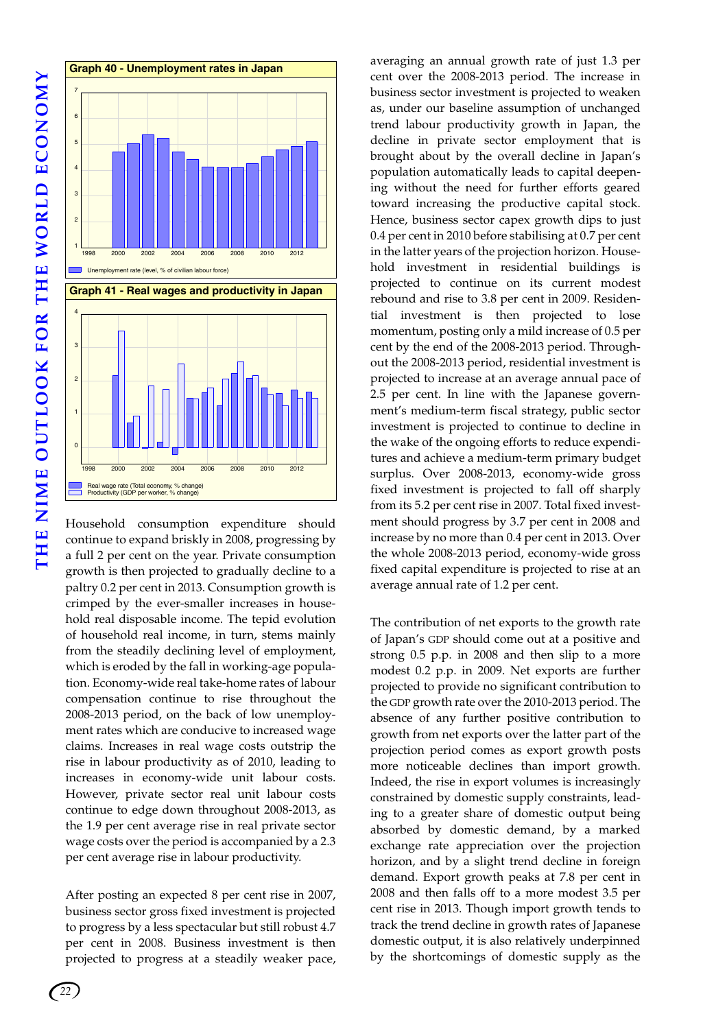

Household consumption expenditure should continue to expand briskly in 2008, progressing by a full 2 per cent on the year. Private consumption growth is then projected to gradually decline to a paltry 0.2 per cent in 2013. Consumption growth is crimped by the ever-smaller increases in household real disposable income. The tepid evolution of household real income, in turn, stems mainly from the steadily declining level of employment, which is eroded by the fall in working-age population. Economy-wide real take-home rates of labour compensation continue to rise throughout the 2008-2013 period, on the back of low unemployment rates which are conducive to increased wage claims. Increases in real wage costs outstrip the rise in labour productivity as of 2010, leading to increases in economy-wide unit labour costs. However, private sector real unit labour costs continue to edge down throughout 2008-2013, as the 1.9 per cent average rise in real private sector wage costs over the period is accompanied by a 2.3 per cent average rise in labour productivity.

After posting an expected 8 per cent rise in 2007, business sector gross fixed investment is projected to progress by a less spectacular but still robust 4.7 per cent in 2008. Business investment is then projected to progress at a steadily weaker pace, averaging an annual growth rate of just 1.3 per cent over the 2008-2013 period. The increase in business sector investment is projected to weaken as, under our baseline assumption of unchanged trend labour productivity growth in Japan, the decline in private sector employment that is brought about by the overall decline in Japan's population automatically leads to capital deepening without the need for further efforts geared toward increasing the productive capital stock. Hence, business sector capex growth dips to just 0.4 per cent in 2010 before stabilising at 0.7 per cent in the latter years of the projection horizon. Household investment in residential buildings is projected to continue on its current modest rebound and rise to 3.8 per cent in 2009. Residential investment is then projected to lose momentum, posting only a mild increase of 0.5 per cent by the end of the 2008-2013 period. Throughout the 2008-2013 period, residential investment is projected to increase at an average annual pace of 2.5 per cent. In line with the Japanese government's medium-term fiscal strategy, public sector investment is projected to continue to decline in the wake of the ongoing efforts to reduce expenditures and achieve a medium-term primary budget surplus. Over 2008-2013, economy-wide gross fixed investment is projected to fall off sharply from its 5.2 per cent rise in 2007. Total fixed investment should progress by 3.7 per cent in 2008 and increase by no more than 0.4 per cent in 2013. Over the whole 2008-2013 period, economy-wide gross fixed capital expenditure is projected to rise at an average annual rate of 1.2 per cent.

The contribution of net exports to the growth rate of Japan's GDP should come out at a positive and strong 0.5 p.p. in 2008 and then slip to a more modest 0.2 p.p. in 2009. Net exports are further projected to provide no significant contribution to the GDP growth rate over the 2010-2013 period. The absence of any further positive contribution to growth from net exports over the latter part of the projection period comes as export growth posts more noticeable declines than import growth. Indeed, the rise in export volumes is increasingly constrained by domestic supply constraints, leading to a greater share of domestic output being absorbed by domestic demand, by a marked exchange rate appreciation over the projection horizon, and by a slight trend decline in foreign demand. Export growth peaks at 7.8 per cent in 2008 and then falls off to a more modest 3.5 per cent rise in 2013. Though import growth tends to track the trend decline in growth rates of Japanese domestic output, it is also relatively underpinned by the shortcomings of domestic supply as the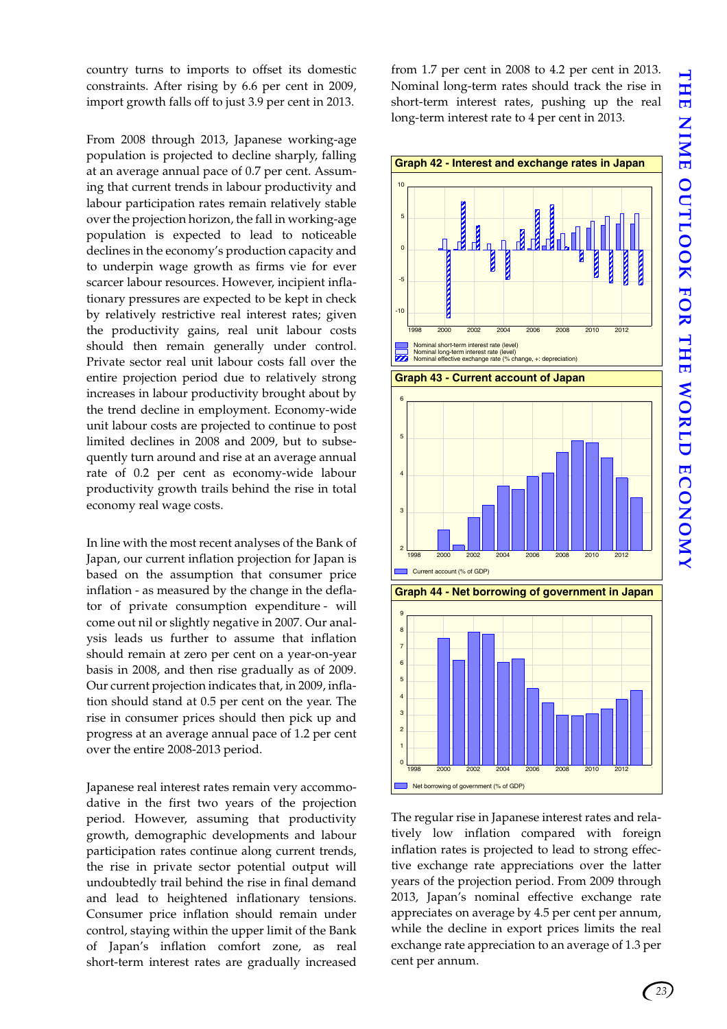country turns to imports to offset its domestic constraints. After rising by 6.6 per cent in 2009, import growth falls off to just 3.9 per cent in 2013.

From 2008 through 2013, Japanese working-age population is projected to decline sharply, falling at an average annual pace of 0.7 per cent. Assuming that current trends in labour productivity and labour participation rates remain relatively stable over the projection horizon, the fall in working-age population is expected to lead to noticeable declines in the economy's production capacity and to underpin wage growth as firms vie for ever scarcer labour resources. However, incipient inflationary pressures are expected to be kept in check by relatively restrictive real interest rates; given the productivity gains, real unit labour costs should then remain generally under control. Private sector real unit labour costs fall over the entire projection period due to relatively strong increases in labour productivity brought about by the trend decline in employment. Economy-wide unit labour costs are projected to continue to post limited declines in 2008 and 2009, but to subsequently turn around and rise at an average annual rate of 0.2 per cent as economy-wide labour productivity growth trails behind the rise in total economy real wage costs.

In line with the most recent analyses of the Bank of Japan, our current inflation projection for Japan is based on the assumption that consumer price inflation - as measured by the change in the deflator of private consumption expenditure - will come out nil or slightly negative in 2007. Our analysis leads us further to assume that inflation should remain at zero per cent on a year-on-year basis in 2008, and then rise gradually as of 2009. Our current projection indicates that, in 2009, inflation should stand at 0.5 per cent on the year. The rise in consumer prices should then pick up and progress at an average annual pace of 1.2 per cent over the entire 2008-2013 period.

Japanese real interest rates remain very accommodative in the first two years of the projection period. However, assuming that productivity growth, demographic developments and labour participation rates continue along current trends, the rise in private sector potential output will undoubtedly trail behind the rise in final demand and lead to heightened inflationary tensions. Consumer price inflation should remain under control, staying within the upper limit of the Bank of Japan's inflation comfort zone, as real short-term interest rates are gradually increased from 1.7 per cent in 2008 to 4.2 per cent in 2013. Nominal long-term rates should track the rise in short-term interest rates, pushing up the real long-term interest rate to 4 per cent in 2013.



The regular rise in Japanese interest rates and relatively low inflation compared with foreign inflation rates is projected to lead to strong effective exchange rate appreciations over the latter years of the projection period. From 2009 through 2013, Japan's nominal effective exchange rate appreciates on average by 4.5 per cent per annum, while the decline in export prices limits the real exchange rate appreciation to an average of 1.3 per cent per annum.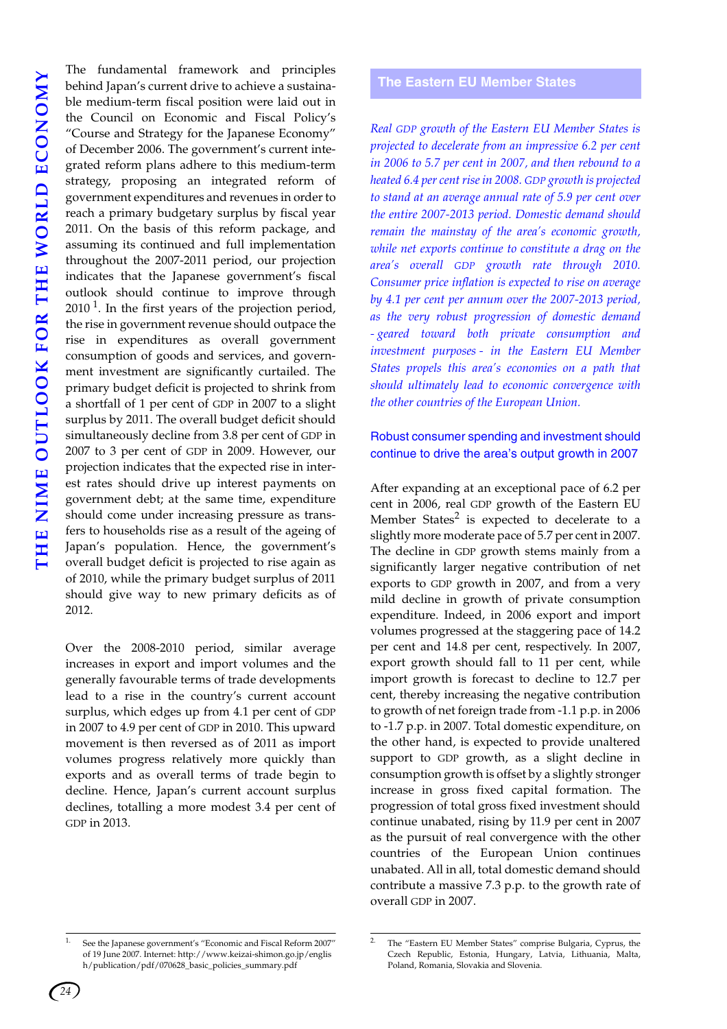The fundamental framework and principles behind Japan's current drive to achieve a sustainable medium-term fiscal position were laid out in the Council on Economic and Fiscal Policy's "Course and Strategy for the Japanese Economy" of December 2006. The government's current integrated reform plans adhere to this medium-term strategy, proposing an integrated reform of government expenditures and revenues in order to reach a primary budgetary surplus by fiscal year 2011. On the basis of this reform package, and assuming its continued and full implementation throughout the 2007-2011 period, our projection indicates that the Japanese government's fiscal outlook should continue to improve through  $2010<sup>1</sup>$ . In the first years of the projection period, the rise in government revenue should outpace the rise in expenditures as overall government consumption of goods and services, and government investment are significantly curtailed. The primary budget deficit is projected to shrink from a shortfall of 1 per cent of GDP in 2007 to a slight surplus by 2011. The overall budget deficit should simultaneously decline from 3.8 per cent of GDP in 2007 to 3 per cent of GDP in 2009. However, our projection indicates that the expected rise in interest rates should drive up interest payments on government debt; at the same time, expenditure should come under increasing pressure as transfers to households rise as a result of the ageing of Japan's population. Hence, the government's overall budget deficit is projected to rise again as of 2010, while the primary budget surplus of 2011 should give way to new primary deficits as of 2012.

Over the 2008-2010 period, similar average increases in export and import volumes and the generally favourable terms of trade developments lead to a rise in the country's current account surplus, which edges up from 4.1 per cent of GDP in 2007 to 4.9 per cent of GDP in 2010. This upward movement is then reversed as of 2011 as import volumes progress relatively more quickly than exports and as overall terms of trade begin to decline. Hence, Japan's current account surplus declines, totalling a more modest 3.4 per cent of GDP in 2013.

### <span id="page-27-0"></span>**The Eastern EU Member States**

*Real GDP growth of the Eastern EU Member States is projected to decelerate from an impressive 6.2 per cent in 2006 to 5.7 per cent in 2007, and then rebound to a heated 6.4 per cent rise in 2008. GDP growth is projected to stand at an average annual rate of 5.9 per cent over the entire 2007-2013 period. Domestic demand should remain the mainstay of the area's economic growth, while net exports continue to constitute a drag on the area's overall GDP growth rate through 2010. Consumer price inflation is expected to rise on average by 4.1 per cent per annum over the 2007-2013 period, as the very robust progression of domestic demand - geared toward both private consumption and investment purposes - in the Eastern EU Member States propels this area's economies on a path that should ultimately lead to economic convergence with the other countries of the European Union.*

### Robust consumer spending and investment should continue to drive the area's output growth in 2007

After expanding at an exceptional pace of 6.2 per cent in 2006, real GDP growth of the Eastern EU Member States<sup>2</sup> is expected to decelerate to a slightly more moderate pace of 5.7 per cent in 2007. The decline in GDP growth stems mainly from a significantly larger negative contribution of net exports to GDP growth in 2007, and from a very mild decline in growth of private consumption expenditure. Indeed, in 2006 export and import volumes progressed at the staggering pace of 14.2 per cent and 14.8 per cent, respectively. In 2007, export growth should fall to 11 per cent, while import growth is forecast to decline to 12.7 per cent, thereby increasing the negative contribution to growth of net foreign trade from -1.1 p.p. in 2006 to -1.7 p.p. in 2007. Total domestic expenditure, on the other hand, is expected to provide unaltered support to GDP growth, as a slight decline in consumption growth is offset by a slightly stronger increase in gross fixed capital formation. The progression of total gross fixed investment should continue unabated, rising by 11.9 per cent in 2007 as the pursuit of real convergence with the other countries of the European Union continues unabated. All in all, total domestic demand should contribute a massive 7.3 p.p. to the growth rate of overall GDP in 2007.

<sup>1.</sup> See the Japanese government's "Economic and Fiscal Reform 2007" of 19 June 2007. Internet: http://www.keizai-shimon.go.jp/englis h/publication/pdf/070628\_basic\_policies\_summary.pdf

<sup>2.</sup> The "Eastern EU Member States" comprise Bulgaria, Cyprus, the Czech Republic, Estonia, Hungary, Latvia, Lithuania, Malta, Poland, Romania, Slovakia and Slovenia.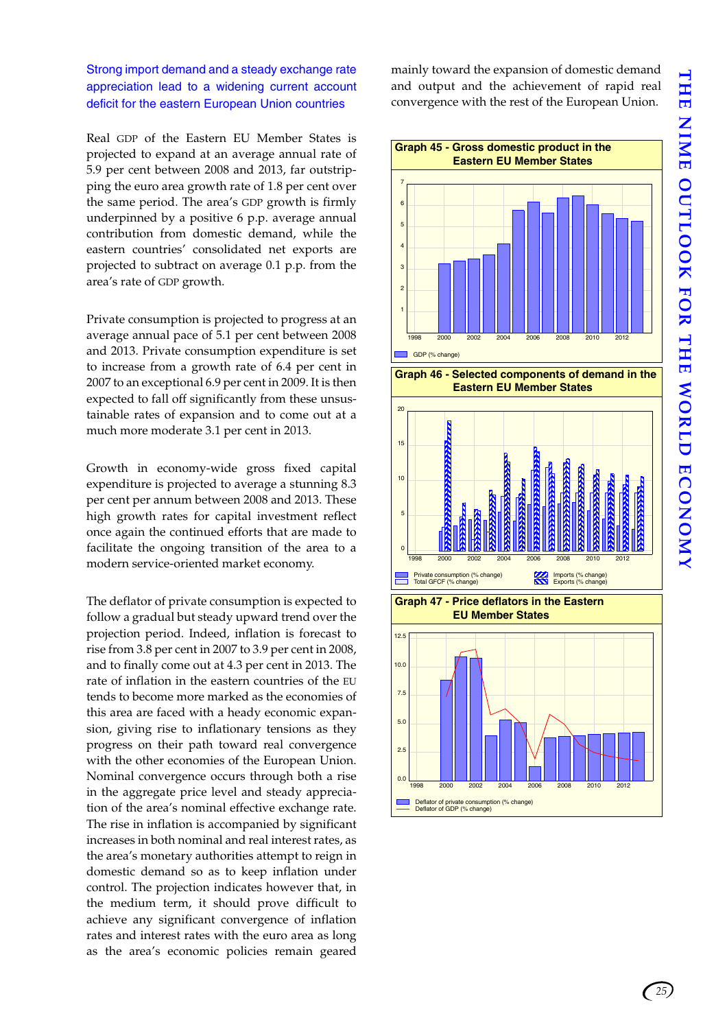### Strong import demand and a steady exchange rate appreciation lead to a widening current account deficit for the eastern European Union countries

Real GDP of the Eastern EU Member States is projected to expand at an average annual rate of 5.9 per cent between 2008 and 2013, far outstripping the euro area growth rate of 1.8 per cent over the same period. The area's GDP growth is firmly underpinned by a positive 6 p.p. average annual contribution from domestic demand, while the eastern countries' consolidated net exports are projected to subtract on average 0.1 p.p. from the area's rate of GDP growth.

Private consumption is projected to progress at an average annual pace of 5.1 per cent between 2008 and 2013. Private consumption expenditure is set to increase from a growth rate of 6.4 per cent in 2007 to an exceptional 6.9 per cent in 2009. It is then expected to fall off significantly from these unsustainable rates of expansion and to come out at a much more moderate 3.1 per cent in 2013.

Growth in economy-wide gross fixed capital expenditure is projected to average a stunning 8.3 per cent per annum between 2008 and 2013. These high growth rates for capital investment reflect once again the continued efforts that are made to facilitate the ongoing transition of the area to a modern service-oriented market economy.

The deflator of private consumption is expected to follow a gradual but steady upward trend over the projection period. Indeed, inflation is forecast to rise from 3.8 per cent in 2007 to 3.9 per cent in 2008, and to finally come out at 4.3 per cent in 2013. The rate of inflation in the eastern countries of the EU tends to become more marked as the economies of this area are faced with a heady economic expansion, giving rise to inflationary tensions as they progress on their path toward real convergence with the other economies of the European Union. Nominal convergence occurs through both a rise in the aggregate price level and steady appreciation of the area's nominal effective exchange rate. The rise in inflation is accompanied by significant increases in both nominal and real interest rates, as the area's monetary authorities attempt to reign in domestic demand so as to keep inflation under control. The projection indicates however that, in the medium term, it should prove difficult to achieve any significant convergence of inflation rates and interest rates with the euro area as long as the area's economic policies remain geared mainly toward the expansion of domestic demand and output and the achievement of rapid real convergence with the rest of the European Union.



*25*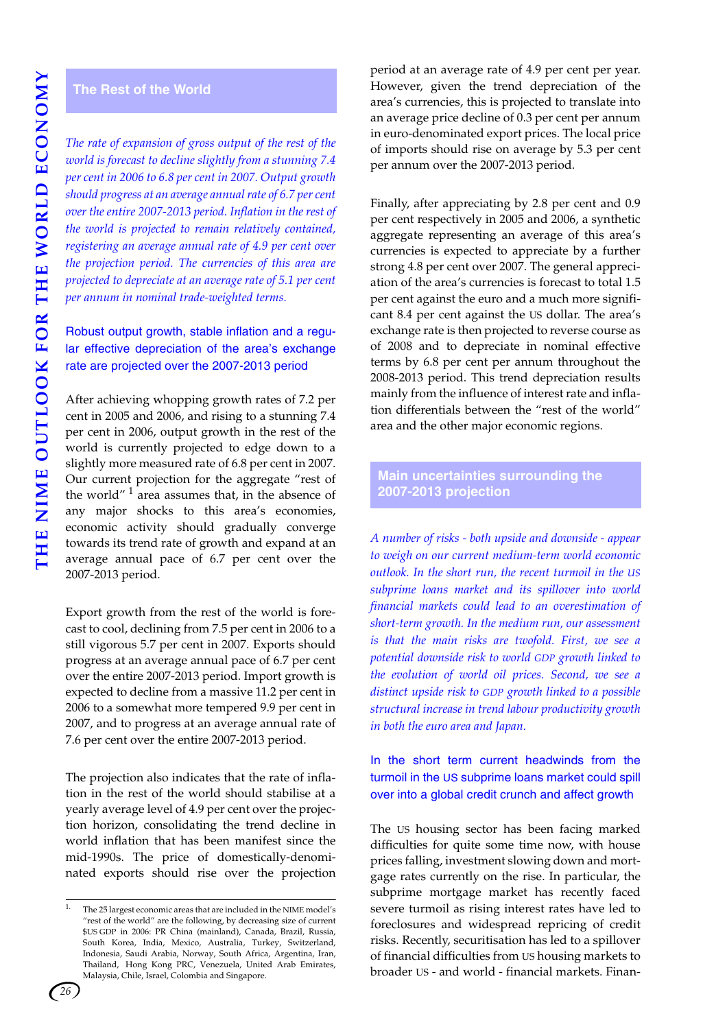# **THE NIME OUTLOOK FOR THE WORLD ECONOMY** THE NIME OUTLOOK FOR THE WORLD ECONOMY

### <span id="page-29-0"></span>**The Rest of the World**

*The rate of expansion of gross output of the rest of the world is forecast to decline slightly from a stunning 7.4 per cent in 2006 to 6.8 per cent in 2007. Output growth should progress at an average annual rate of 6.7 per cent over the entire 2007-2013 period. Inflation in the rest of the world is projected to remain relatively contained, registering an average annual rate of 4.9 per cent over the projection period. The currencies of this area are projected to depreciate at an average rate of 5.1 per cent per annum in nominal trade-weighted terms.*

### Robust output growth, stable inflation and a regular effective depreciation of the area's exchange rate are projected over the 2007-2013 period

After achieving whopping growth rates of 7.2 per cent in 2005 and 2006, and rising to a stunning 7.4 per cent in 2006, output growth in the rest of the world is currently projected to edge down to a slightly more measured rate of 6.8 per cent in 2007. Our current projection for the aggregate "rest of the world" $1$  area assumes that, in the absence of any major shocks to this area's economies, economic activity should gradually converge towards its trend rate of growth and expand at an average annual pace of 6.7 per cent over the 2007-2013 period.

Export growth from the rest of the world is forecast to cool, declining from 7.5 per cent in 2006 to a still vigorous 5.7 per cent in 2007. Exports should progress at an average annual pace of 6.7 per cent over the entire 2007-2013 period. Import growth is expected to decline from a massive 11.2 per cent in 2006 to a somewhat more tempered 9.9 per cent in 2007, and to progress at an average annual rate of 7.6 per cent over the entire 2007-2013 period.

The projection also indicates that the rate of inflation in the rest of the world should stabilise at a yearly average level of 4.9 per cent over the projection horizon, consolidating the trend decline in world inflation that has been manifest since the mid-1990s. The price of domestically-denominated exports should rise over the projection

period at an average rate of 4.9 per cent per year. However, given the trend depreciation of the area's currencies, this is projected to translate into an average price decline of 0.3 per cent per annum in euro-denominated export prices. The local price of imports should rise on average by 5.3 per cent per annum over the 2007-2013 period.

Finally, after appreciating by 2.8 per cent and 0.9 per cent respectively in 2005 and 2006, a synthetic aggregate representing an average of this area's currencies is expected to appreciate by a further strong 4.8 per cent over 2007. The general appreciation of the area's currencies is forecast to total 1.5 per cent against the euro and a much more significant 8.4 per cent against the US dollar. The area's exchange rate is then projected to reverse course as of 2008 and to depreciate in nominal effective terms by 6.8 per cent per annum throughout the 2008-2013 period. This trend depreciation results mainly from the influence of interest rate and inflation differentials between the "rest of the world" area and the other major economic regions.

### <span id="page-29-1"></span>**Main uncertainties surrounding the 2007-2013 projection**

*A number of risks - both upside and downside - appear to weigh on our current medium-term world economic outlook. In the short run, the recent turmoil in the US subprime loans market and its spillover into world financial markets could lead to an overestimation of short-term growth. In the medium run, our assessment is that the main risks are twofold. First, we see a potential downside risk to world GDP growth linked to the evolution of world oil prices. Second, we see a distinct upside risk to GDP growth linked to a possible structural increase in trend labour productivity growth in both the euro area and Japan.*

In the short term current headwinds from the turmoil in the US subprime loans market could spill over into a global credit crunch and affect growth

The US housing sector has been facing marked difficulties for quite some time now, with house prices falling, investment slowing down and mortgage rates currently on the rise. In particular, the subprime mortgage market has recently faced severe turmoil as rising interest rates have led to foreclosures and widespread repricing of credit risks. Recently, securitisation has led to a spillover of financial difficulties from US housing markets to broader US - and world - financial markets. Finan-



<sup>&</sup>lt;sup>1.</sup> The 25 largest economic areas that are included in the NIME model's "rest of the world" are the following, by decreasing size of current \$US GDP in 2006: PR China (mainland), Canada, Brazil, Russia, South Korea, India, Mexico, Australia, Turkey, Switzerland, Indonesia, Saudi Arabia, Norway, South Africa, Argentina, Iran, Thailand, Hong Kong PRC, Venezuela, United Arab Emirates, Malaysia, Chile, Israel, Colombia and Singapore.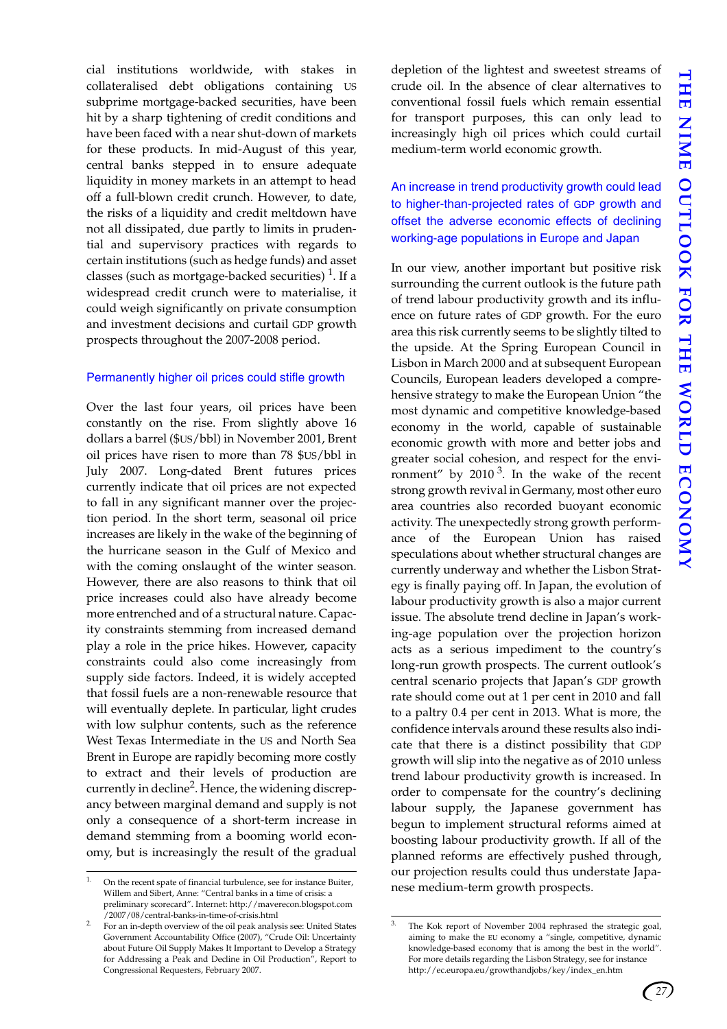cial institutions worldwide, with stakes in collateralised debt obligations containing US subprime mortgage-backed securities, have been hit by a sharp tightening of credit conditions and have been faced with a near shut-down of markets for these products. In mid-August of this year, central banks stepped in to ensure adequate liquidity in money markets in an attempt to head off a full-blown credit crunch. However, to date, the risks of a liquidity and credit meltdown have not all dissipated, due partly to limits in prudential and supervisory practices with regards to certain institutions (such as hedge funds) and asset classes (such as mortgage-backed securities)  $^1$ . If a widespread credit crunch were to materialise, it could weigh significantly on private consumption and investment decisions and curtail GDP growth prospects throughout the 2007-2008 period.

### Permanently higher oil prices could stifle growth

Over the last four years, oil prices have been constantly on the rise. From slightly above 16 dollars a barrel (\$US/bbl) in November 2001, Brent oil prices have risen to more than 78 \$US/bbl in July 2007. Long-dated Brent futures prices currently indicate that oil prices are not expected to fall in any significant manner over the projection period. In the short term, seasonal oil price increases are likely in the wake of the beginning of the hurricane season in the Gulf of Mexico and with the coming onslaught of the winter season. However, there are also reasons to think that oil price increases could also have already become more entrenched and of a structural nature. Capacity constraints stemming from increased demand play a role in the price hikes. However, capacity constraints could also come increasingly from supply side factors. Indeed, it is widely accepted that fossil fuels are a non-renewable resource that will eventually deplete. In particular, light crudes with low sulphur contents, such as the reference West Texas Intermediate in the US and North Sea Brent in Europe are rapidly becoming more costly to extract and their levels of production are currently in decline<sup>2</sup>. Hence, the widening discrepancy between marginal demand and supply is not only a consequence of a short-term increase in demand stemming from a booming world economy, but is increasingly the result of the gradual depletion of the lightest and sweetest streams of crude oil. In the absence of clear alternatives to conventional fossil fuels which remain essential for transport purposes, this can only lead to increasingly high oil prices which could curtail medium-term world economic growth.

An increase in trend productivity growth could lead to higher-than-projected rates of GDP growth and offset the adverse economic effects of declining working-age populations in Europe and Japan

In our view, another important but positive risk surrounding the current outlook is the future path of trend labour productivity growth and its influence on future rates of GDP growth. For the euro area this risk currently seems to be slightly tilted to the upside. At the Spring European Council in Lisbon in March 2000 and at subsequent European Councils, European leaders developed a comprehensive strategy to make the European Union "the most dynamic and competitive knowledge-based economy in the world, capable of sustainable economic growth with more and better jobs and greater social cohesion, and respect for the environment" by  $2010^3$ . In the wake of the recent strong growth revival in Germany, most other euro area countries also recorded buoyant economic activity. The unexpectedly strong growth performance of the European Union has raised speculations about whether structural changes are currently underway and whether the Lisbon Strategy is finally paying off. In Japan, the evolution of labour productivity growth is also a major current issue. The absolute trend decline in Japan's working-age population over the projection horizon acts as a serious impediment to the country's long-run growth prospects. The current outlook's central scenario projects that Japan's GDP growth rate should come out at 1 per cent in 2010 and fall to a paltry 0.4 per cent in 2013. What is more, the confidence intervals around these results also indicate that there is a distinct possibility that GDP growth will slip into the negative as of 2010 unless trend labour productivity growth is increased. In order to compensate for the country's declining labour supply, the Japanese government has begun to implement structural reforms aimed at boosting labour productivity growth. If all of the planned reforms are effectively pushed through, our projection results could thus understate Japa-

The Kok report of November 2004 rephrased the strategic goal, aiming to make the EU economy a "single, competitive, dynamic knowledge-based economy that is among the best in the world". For more details regarding the Lisbon Strategy, see for instance http://ec.europa.eu/growthandjobs/key/index\_en.htm



On the recent spate of financial turbulence, see for instance Buiter,<br>Willem and Sibert, Anne: "Central banks in a time of crisis: a nese medium-term growth prospects. Willem and Sibert, Anne: "Central banks in a time of crisis: a preliminary scorecard". Internet: http://maverecon.blogspot.com /2007/08/central-banks-in-time-of-crisis.html

<sup>2.</sup> For an in-depth overview of the oil peak analysis see: United States Government Accountability Office (2007), "Crude Oil: Uncertainty about Future Oil Supply Makes It Important to Develop a Strategy for Addressing a Peak and Decline in Oil Production", Report to Congressional Requesters, February 2007.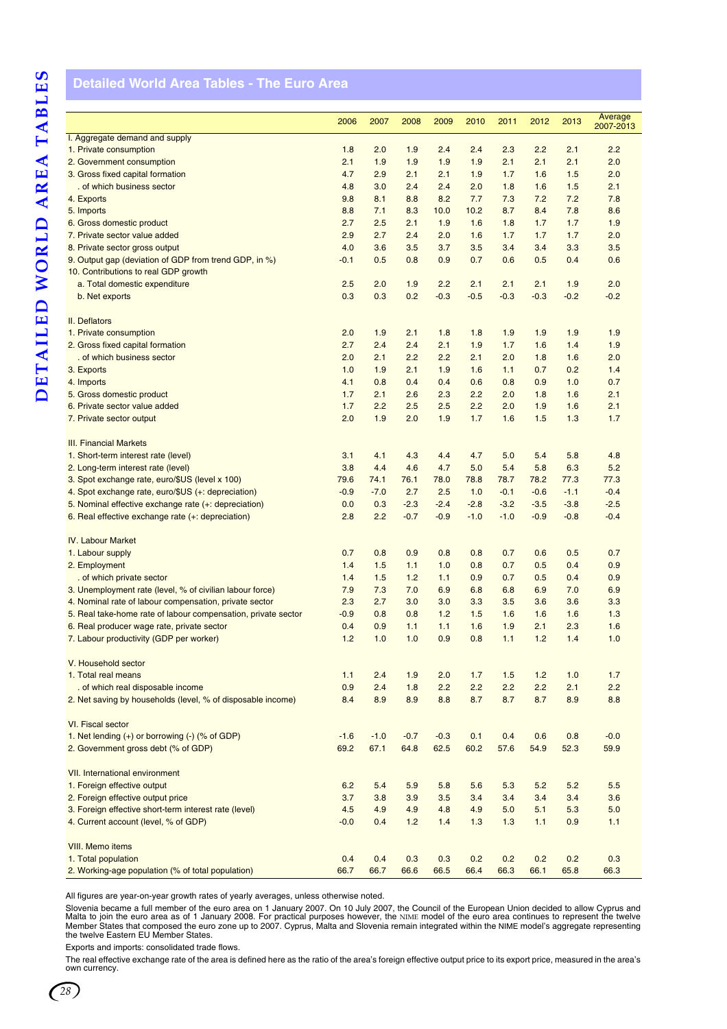# <span id="page-31-1"></span><span id="page-31-0"></span>**Detailed World Area Tables - The Euro Area**

|                                                               |            |        |            |            |        |            |            |            | Average   |
|---------------------------------------------------------------|------------|--------|------------|------------|--------|------------|------------|------------|-----------|
|                                                               | 2006       | 2007   | 2008       | 2009       | 2010   | 2011       | 2012       | 2013       | 2007-2013 |
| I. Aggregate demand and supply                                |            |        |            |            |        |            |            |            |           |
| 1. Private consumption                                        | 1.8        | 2.0    | 1.9        | 2.4        | 2.4    | 2.3        | 2.2        | 2.1        | 2.2       |
| 2. Government consumption                                     | 2.1        | 1.9    | 1.9        | 1.9        | 1.9    | 2.1        | 2.1        | 2.1        | 2.0       |
| 3. Gross fixed capital formation                              | 4.7        | 2.9    | 2.1        | 2.1        | 1.9    | 1.7        | 1.6        | 1.5        | 2.0       |
| . of which business sector                                    | 4.8        | 3.0    | 2.4        | 2.4        | 2.0    | 1.8        | 1.6        | 1.5        | 2.1       |
| 4. Exports                                                    | 9.8        | 8.1    | 8.8        | 8.2        | 7.7    | 7.3        | 7.2        | 7.2        | 7.8       |
| 5. Imports                                                    | 8.8        | 7.1    | 8.3        | 10.0       | 10.2   | 8.7        | 8.4        | 7.8        | 8.6       |
| 6. Gross domestic product                                     | 2.7        | 2.5    | 2.1        | 1.9        | 1.6    | 1.8        | 1.7        | 1.7        | 1.9       |
| 7. Private sector value added                                 | 2.9        | 2.7    | 2.4        | 2.0        | 1.6    | 1.7        | 1.7        | 1.7        | 2.0       |
| 8. Private sector gross output                                | 4.0        | 3.6    | 3.5        | 3.7        | 3.5    | 3.4        | 3.4        | 3.3        | 3.5       |
| 9. Output gap (deviation of GDP from trend GDP, in %)         | $-0.1$     | 0.5    | 0.8        | 0.9        | 0.7    | 0.6        | 0.5        | 0.4        | 0.6       |
| 10. Contributions to real GDP growth                          |            |        |            |            |        |            |            |            |           |
| a. Total domestic expenditure                                 | 2.5        | 2.0    | 1.9        | 2.2        | 2.1    | 2.1        | 2.1        | 1.9        | 2.0       |
| b. Net exports                                                | 0.3        | 0.3    | 0.2        | $-0.3$     | $-0.5$ | $-0.3$     | $-0.3$     | $-0.2$     | $-0.2$    |
| II. Deflators                                                 |            |        |            |            |        |            |            |            |           |
| 1. Private consumption                                        | 2.0        | 1.9    | 2.1        | 1.8        | 1.8    | 1.9        | 1.9        | 1.9        | 1.9       |
| 2. Gross fixed capital formation                              | 2.7        | 2.4    | 2.4        | 2.1        | 1.9    | 1.7        | 1.6        | 1.4        | 1.9       |
| of which business sector                                      | 2.0        | 2.1    | 2.2        | 2.2        | 2.1    | 2.0        | 1.8        | 1.6        | 2.0       |
| 3. Exports                                                    | 1.0        | 1.9    | 2.1        | 1.9        | 1.6    | 1.1        | 0.7        | 0.2        | 1.4       |
| 4. Imports                                                    | 4.1        | 0.8    | 0.4        | 0.4        | 0.6    | 0.8        | 0.9        | 1.0        | 0.7       |
| 5. Gross domestic product                                     | 1.7        | 2.1    | 2.6        | 2.3        | 2.2    | 2.0        | 1.8        | 1.6        | 2.1       |
| 6. Private sector value added                                 | 1.7        | 2.2    | 2.5        | 2.5        | 2.2    | 2.0        | 1.9        | 1.6        | 2.1       |
| 7. Private sector output                                      | 2.0        | 1.9    | 2.0        | 1.9        | 1.7    | 1.6        | 1.5        | 1.3        | 1.7       |
|                                                               |            |        |            |            |        |            |            |            |           |
| <b>III. Financial Markets</b>                                 |            |        |            |            |        |            |            |            |           |
| 1. Short-term interest rate (level)                           | 3.1        | 4.1    | 4.3        | 4.4        | 4.7    | 5.0        | 5.4        | 5.8        | 4.8       |
| 2. Long-term interest rate (level)                            | 3.8        | 4.4    | 4.6        | 4.7        | 5.0    | 5.4        | 5.8        | 6.3        | 5.2       |
| 3. Spot exchange rate, euro/\$US (level x 100)                | 79.6       | 74.1   | 76.1       | 78.0       | 78.8   | 78.7       | 78.2       | 77.3       | 77.3      |
| 4. Spot exchange rate, euro/\$US (+: depreciation)            | $-0.9$     | $-7.0$ | 2.7        | 2.5        | 1.0    | $-0.1$     | $-0.6$     | $-1.1$     | $-0.4$    |
| 5. Nominal effective exchange rate (+: depreciation)          | 0.0        | 0.3    | $-2.3$     | $-2.4$     | $-2.8$ | $-3.2$     | $-3.5$     | $-3.8$     | $-2.5$    |
| 6. Real effective exchange rate (+: depreciation)             | 2.8        | 2.2    | $-0.7$     | $-0.9$     | $-1.0$ | $-1.0$     | $-0.9$     | $-0.8$     | $-0.4$    |
|                                                               |            |        |            |            |        |            |            |            |           |
| <b>IV. Labour Market</b>                                      |            |        |            |            |        |            |            |            |           |
| 1. Labour supply                                              | 0.7        | 0.8    | 0.9        | 0.8        | 0.8    | 0.7        | 0.6        | 0.5        | 0.7       |
| 2. Employment                                                 | 1.4        | 1.5    | 1.1        | 1.0        | 0.8    | 0.7        | 0.5        | 0.4        | 0.9       |
| . of which private sector                                     | 1.4        | 1.5    | 1.2        | 1.1        | 0.9    | 0.7        | 0.5        | 0.4        | 0.9       |
| 3. Unemployment rate (level, % of civilian labour force)      | 7.9        | 7.3    | 7.0        | 6.9        | 6.8    | 6.8        | 6.9        | 7.0        | 6.9       |
| 4. Nominal rate of labour compensation, private sector        | 2.3        | 2.7    | 3.0        | 3.0        | 3.3    | 3.5        | 3.6        | 3.6        | 3.3       |
| 5. Real take-home rate of labour compensation, private sector | $-0.9$     | 0.8    | 0.8        | 1.2        | 1.5    | 1.6        | 1.6        | 1.6        | 1.3       |
| 6. Real producer wage rate, private sector                    | 0.4        | 0.9    | 1.1        | 1.1        | 1.6    | 1.9        | 2.1        | 2.3        | 1.6       |
| 7. Labour productivity (GDP per worker)                       | 1.2        | 1.0    | 1.0        | 0.9        | 0.8    | 1.1        | 1.2        | 1.4        | 1.0       |
| V. Household sector                                           |            |        |            |            |        |            |            |            |           |
| 1. Total real means                                           |            | 2.4    |            |            | 1.7    |            |            |            | 1.7       |
| . of which real disposable income                             | 1.1<br>0.9 | 2.4    | 1.9<br>1.8 | 2.0<br>2.2 | 2.2    | 1.5<br>2.2 | 1.2<br>2.2 | 1.0<br>2.1 | 2.2       |
| 2. Net saving by households (level, % of disposable income)   | 8.4        | 8.9    | 8.9        | 8.8        | 8.7    | 8.7        | 8.7        | 8.9        | 8.8       |
|                                                               |            |        |            |            |        |            |            |            |           |
| VI. Fiscal sector                                             |            |        |            |            |        |            |            |            |           |
| 1. Net lending $(+)$ or borrowing $(.)$ (% of GDP)            | $-1.6$     | $-1.0$ | $-0.7$     | $-0.3$     | 0.1    | 0.4        | 0.6        | 0.8        | $-0.0$    |
| 2. Government gross debt (% of GDP)                           | 69.2       | 67.1   | 64.8       | 62.5       | 60.2   | 57.6       | 54.9       | 52.3       | 59.9      |
|                                                               |            |        |            |            |        |            |            |            |           |
| VII. International environment                                |            |        |            |            |        |            |            |            |           |
| 1. Foreign effective output                                   | 6.2        | 5.4    | 5.9        | 5.8        | 5.6    | 5.3        | 5.2        | 5.2        | 5.5       |
| 2. Foreign effective output price                             | 3.7        | 3.8    | 3.9        | 3.5        | 3.4    | 3.4        | 3.4        | 3.4        | 3.6       |
| 3. Foreign effective short-term interest rate (level)         | 4.5        | 4.9    | 4.9        | 4.8        | 4.9    | 5.0        | 5.1        | 5.3        | 5.0       |
| 4. Current account (level, % of GDP)                          | $-0.0$     | 0.4    | 1.2        | 1.4        | 1.3    | 1.3        | 1.1        | 0.9        | 1.1       |
|                                                               |            |        |            |            |        |            |            |            |           |
| VIII. Memo items                                              |            |        |            |            |        |            |            |            |           |
| 1. Total population                                           | 0.4        | 0.4    | 0.3        | 0.3        | 0.2    | 0.2        | 0.2        | 0.2        | 0.3       |
| 2. Working-age population (% of total population)             | 66.7       | 66.7   | 66.6       | 66.5       | 66.4   | 66.3       | 66.1       | 65.8       | 66.3      |

All figures are year-on-year growth rates of yearly averages, unless otherwise noted.

Slovenia became a full member of the euro area on 1 January 2007. On 10 July 2007, the Council of the European Union decided to allow Cyprus and<br>Malta to join the euro area as of 1 January 2008. For practical purposes howe

Exports and imports: consolidated trade flows.

The real effective exchange rate of the area is defined here as the ratio of the area's foreign effective output price to its export price, measured in the area's own currency.

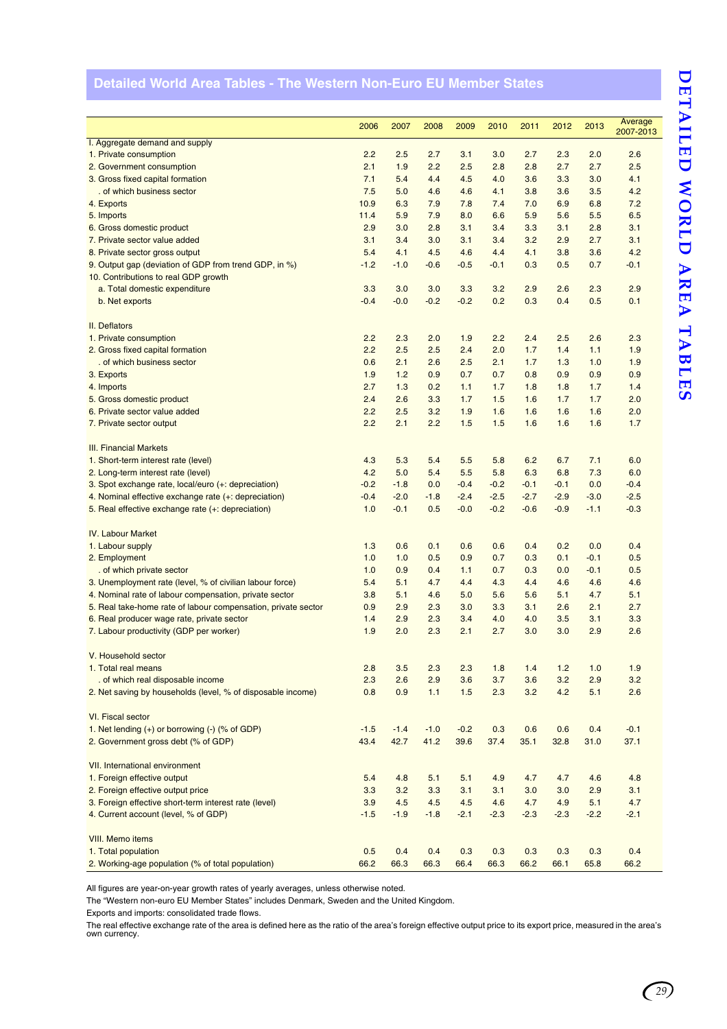# <span id="page-32-0"></span>**Detailed World Area Tables - The Western Non-Euro EU Member States**

|                                                               | 2006   | 2007   | 2008   | 2009   | 2010   | 2011   | 2012   | 2013   | Average   |
|---------------------------------------------------------------|--------|--------|--------|--------|--------|--------|--------|--------|-----------|
| I. Aggregate demand and supply                                |        |        |        |        |        |        |        |        | 2007-2013 |
| 1. Private consumption                                        | 2.2    | 2.5    | 2.7    | 3.1    | 3.0    | 2.7    | 2.3    | 2.0    | 2.6       |
| 2. Government consumption                                     | 2.1    | 1.9    | 2.2    | 2.5    | 2.8    | 2.8    | 2.7    | 2.7    | 2.5       |
| 3. Gross fixed capital formation                              | 7.1    | 5.4    | 4.4    | 4.5    | 4.0    | 3.6    | 3.3    | 3.0    | 4.1       |
| . of which business sector                                    | 7.5    | 5.0    | 4.6    | 4.6    | 4.1    | 3.8    | 3.6    | 3.5    | 4.2       |
| 4. Exports                                                    | 10.9   | 6.3    | 7.9    | 7.8    | 7.4    | 7.0    | 6.9    | 6.8    | 7.2       |
| 5. Imports                                                    | 11.4   | 5.9    | 7.9    | 8.0    | 6.6    | 5.9    | 5.6    | 5.5    | 6.5       |
| 6. Gross domestic product                                     | 2.9    | 3.0    | 2.8    | 3.1    | 3.4    | 3.3    | 3.1    | 2.8    | 3.1       |
| 7. Private sector value added                                 | 3.1    | 3.4    | 3.0    | 3.1    | 3.4    | 3.2    | 2.9    | 2.7    | 3.1       |
| 8. Private sector gross output                                | 5.4    | 4.1    | 4.5    | 4.6    | 4.4    | 4.1    | 3.8    | 3.6    | 4.2       |
| 9. Output gap (deviation of GDP from trend GDP, in %)         | $-1.2$ | $-1.0$ | $-0.6$ | $-0.5$ | $-0.1$ | 0.3    | 0.5    | 0.7    | $-0.1$    |
| 10. Contributions to real GDP growth                          |        |        |        |        |        |        |        |        |           |
| a. Total domestic expenditure                                 | 3.3    | 3.0    | 3.0    | 3.3    | 3.2    | 2.9    | 2.6    | 2.3    | 2.9       |
| b. Net exports                                                | $-0.4$ | $-0.0$ | $-0.2$ | $-0.2$ | 0.2    | 0.3    | 0.4    | 0.5    | 0.1       |
|                                                               |        |        |        |        |        |        |        |        |           |
| II. Deflators                                                 |        |        |        |        |        |        |        |        |           |
| 1. Private consumption                                        | 2.2    | 2.3    | 2.0    | 1.9    | 2.2    | 2.4    | 2.5    | 2.6    | 2.3       |
| 2. Gross fixed capital formation                              | 2.2    | 2.5    | 2.5    | 2.4    | 2.0    | 1.7    | 1.4    | 1.1    | 1.9       |
| . of which business sector                                    | 0.6    | 2.1    | 2.6    | 2.5    | 2.1    | 1.7    | 1.3    | 1.0    | 1.9       |
| 3. Exports                                                    | 1.9    | 1.2    | 0.9    | 0.7    | 0.7    | 0.8    | 0.9    | 0.9    | 0.9       |
| 4. Imports                                                    | 2.7    | 1.3    | 0.2    | 1.1    | 1.7    | 1.8    | 1.8    | 1.7    | 1.4       |
| 5. Gross domestic product                                     | 2.4    | 2.6    | 3.3    | 1.7    | 1.5    | 1.6    | 1.7    | 1.7    | 2.0       |
| 6. Private sector value added                                 | 2.2    | 2.5    | 3.2    | 1.9    | 1.6    | 1.6    | 1.6    | 1.6    | 2.0       |
| 7. Private sector output                                      | 2.2    | 2.1    | 2.2    | 1.5    | 1.5    | 1.6    | 1.6    | 1.6    | 1.7       |
|                                                               |        |        |        |        |        |        |        |        |           |
| <b>III. Financial Markets</b>                                 |        |        |        |        |        |        |        |        |           |
| 1. Short-term interest rate (level)                           | 4.3    | 5.3    | 5.4    | 5.5    | 5.8    | 6.2    | 6.7    | 7.1    | 6.0       |
| 2. Long-term interest rate (level)                            | 4.2    | 5.0    | 5.4    | 5.5    | 5.8    | 6.3    | 6.8    | 7.3    | 6.0       |
| 3. Spot exchange rate, local/euro (+: depreciation)           | $-0.2$ | $-1.8$ | 0.0    | $-0.4$ | $-0.2$ | $-0.1$ | $-0.1$ | 0.0    | $-0.4$    |
| 4. Nominal effective exchange rate (+: depreciation)          | $-0.4$ | $-2.0$ | $-1.8$ | $-2.4$ | $-2.5$ | $-2.7$ | $-2.9$ | $-3.0$ | $-2.5$    |
| 5. Real effective exchange rate (+: depreciation)             | 1.0    | $-0.1$ | 0.5    | $-0.0$ | $-0.2$ | $-0.6$ | $-0.9$ | $-1.1$ | $-0.3$    |
|                                                               |        |        |        |        |        |        |        |        |           |
| <b>IV. Labour Market</b>                                      |        |        |        |        |        |        |        |        |           |
| 1. Labour supply                                              | 1.3    | 0.6    | 0.1    | 0.6    | 0.6    | 0.4    | 0.2    | 0.0    | 0.4       |
| 2. Employment                                                 | 1.0    | 1.0    | 0.5    | 0.9    | 0.7    | 0.3    | 0.1    | $-0.1$ | 0.5       |
| . of which private sector                                     | 1.0    | 0.9    | 0.4    | 1.1    | 0.7    | 0.3    | 0.0    | $-0.1$ | 0.5       |
| 3. Unemployment rate (level, % of civilian labour force)      | 5.4    | 5.1    | 4.7    | 4.4    | 4.3    | 4.4    | 4.6    | 4.6    | 4.6       |
| 4. Nominal rate of labour compensation, private sector        | 3.8    | 5.1    | 4.6    | 5.0    | 5.6    | 5.6    | 5.1    | 4.7    | 5.1       |
| 5. Real take-home rate of labour compensation, private sector | 0.9    | 2.9    | 2.3    | 3.0    | 3.3    | 3.1    | 2.6    | 2.1    | 2.7       |
| 6. Real producer wage rate, private sector                    | 1.4    | 2.9    | 2.3    | 3.4    | 4.0    | 4.0    | 3.5    | 3.1    | 3.3       |
| 7. Labour productivity (GDP per worker)                       | 1.9    | 2.0    | 2.3    | 2.1    | 2.7    | 3.0    | 3.0    | 2.9    | 2.6       |
|                                                               |        |        |        |        |        |        |        |        |           |
| V. Household sector                                           |        |        |        |        |        |        |        |        |           |
| 1. Total real means                                           | 2.8    | 3.5    | 2.3    | 2.3    | 1.8    | 1.4    | 1.2    | 1.0    | 1.9       |
| . of which real disposable income                             | 2.3    | 2.6    | 2.9    | 3.6    | 3.7    | 3.6    | 3.2    | 2.9    | 3.2       |
| 2. Net saving by households (level, % of disposable income)   | 0.8    | 0.9    | 1.1    | 1.5    | 2.3    | 3.2    | 4.2    | 5.1    | 2.6       |
|                                                               |        |        |        |        |        |        |        |        |           |
| VI. Fiscal sector                                             |        |        |        |        |        |        |        |        |           |
| 1. Net lending $(+)$ or borrowing $(-)$ (% of GDP)            | $-1.5$ | $-1.4$ | $-1.0$ | $-0.2$ | 0.3    | 0.6    | 0.6    | 0.4    | $-0.1$    |
| 2. Government gross debt (% of GDP)                           | 43.4   | 42.7   | 41.2   | 39.6   | 37.4   | 35.1   | 32.8   | 31.0   | 37.1      |
|                                                               |        |        |        |        |        |        |        |        |           |
| <b>VII. International environment</b>                         |        |        |        |        |        |        |        |        |           |
| 1. Foreign effective output                                   | 5.4    | 4.8    | 5.1    | 5.1    | 4.9    | 4.7    | 4.7    | 4.6    | 4.8       |
| 2. Foreign effective output price                             | 3.3    | 3.2    | 3.3    | 3.1    | 3.1    | 3.0    | 3.0    | 2.9    | 3.1       |
| 3. Foreign effective short-term interest rate (level)         | 3.9    | 4.5    | 4.5    | 4.5    | 4.6    | 4.7    | 4.9    | 5.1    | 4.7       |
| 4. Current account (level, % of GDP)                          | $-1.5$ | $-1.9$ | $-1.8$ | $-2.1$ | $-2.3$ | $-2.3$ | $-2.3$ | $-2.2$ | $-2.1$    |
|                                                               |        |        |        |        |        |        |        |        |           |
| <b>VIII.</b> Memo items                                       |        |        |        |        |        |        |        |        |           |
| 1. Total population                                           | 0.5    | 0.4    | 0.4    | 0.3    | 0.3    | 0.3    | 0.3    | 0.3    | 0.4       |
| 2. Working-age population (% of total population)             | 66.2   | 66.3   | 66.3   | 66.4   | 66.3   | 66.2   | 66.1   | 65.8   | 66.2      |
|                                                               |        |        |        |        |        |        |        |        |           |

All figures are year-on-year growth rates of yearly averages, unless otherwise noted.

The "Western non-euro EU Member States" includes Denmark, Sweden and the United Kingdom.

Exports and imports: consolidated trade flows.

The real effective exchange rate of the area is defined here as the ratio of the area's foreign effective output price to its export price, measured in the area's own currency.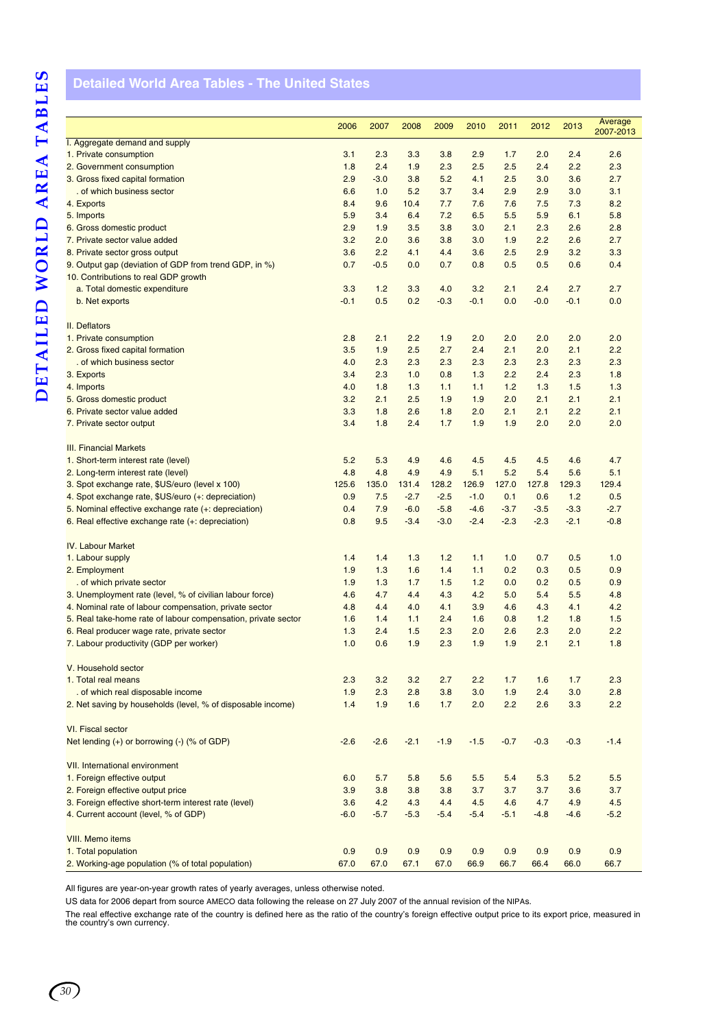# <span id="page-33-0"></span>**Detailed World Area Tables - The United States**

|                                                               | 2006   | 2007   | 2008   | 2009   | 2010   | 2011   | 2012   | 2013   | Average   |
|---------------------------------------------------------------|--------|--------|--------|--------|--------|--------|--------|--------|-----------|
| I. Aggregate demand and supply                                |        |        |        |        |        |        |        |        | 2007-2013 |
| 1. Private consumption                                        | 3.1    | 2.3    | 3.3    | 3.8    | 2.9    | 1.7    | 2.0    | 2.4    | 2.6       |
| 2. Government consumption                                     | 1.8    | 2.4    | 1.9    | 2.3    | 2.5    | 2.5    | 2.4    | 2.2    | 2.3       |
| 3. Gross fixed capital formation                              | 2.9    | $-3.0$ | 3.8    | 5.2    | 4.1    | 2.5    | 3.0    | 3.6    | 2.7       |
| . of which business sector                                    | 6.6    | 1.0    | 5.2    | 3.7    | 3.4    | 2.9    | 2.9    | 3.0    | 3.1       |
| 4. Exports                                                    | 8.4    | 9.6    | 10.4   | 7.7    | 7.6    | 7.6    | 7.5    | 7.3    | 8.2       |
| 5. Imports                                                    | 5.9    | 3.4    | 6.4    | 7.2    | 6.5    | 5.5    | 5.9    | 6.1    | 5.8       |
| 6. Gross domestic product                                     | 2.9    | 1.9    | 3.5    | 3.8    | 3.0    | 2.1    | 2.3    | 2.6    | 2.8       |
| 7. Private sector value added                                 | 3.2    | 2.0    | 3.6    | 3.8    | 3.0    | 1.9    | 2.2    | 2.6    | 2.7       |
| 8. Private sector gross output                                | 3.6    | 2.2    | 4.1    | 4.4    | 3.6    | 2.5    | 2.9    | 3.2    | 3.3       |
| 9. Output gap (deviation of GDP from trend GDP, in %)         | 0.7    | $-0.5$ | 0.0    | 0.7    | 0.8    | 0.5    | 0.5    | 0.6    | 0.4       |
| 10. Contributions to real GDP growth                          |        |        |        |        |        |        |        |        |           |
| a. Total domestic expenditure                                 | 3.3    | 1.2    | 3.3    | 4.0    | 3.2    | 2.1    | 2.4    | 2.7    | 2.7       |
| b. Net exports                                                | $-0.1$ | 0.5    | 0.2    | $-0.3$ | $-0.1$ | 0.0    | $-0.0$ | $-0.1$ | 0.0       |
| <b>II.</b> Deflators                                          |        |        |        |        |        |        |        |        |           |
| 1. Private consumption                                        | 2.8    | 2.1    | 2.2    | 1.9    | 2.0    | 2.0    | 2.0    | 2.0    | 2.0       |
| 2. Gross fixed capital formation                              | 3.5    | 1.9    | 2.5    | 2.7    | 2.4    | 2.1    | 2.0    | 2.1    | 2.2       |
| . of which business sector                                    | 4.0    | 2.3    | 2.3    | 2.3    | 2.3    | 2.3    | 2.3    | 2.3    | 2.3       |
| 3. Exports                                                    | 3.4    | 2.3    | 1.0    | 0.8    | 1.3    | 2.2    | 2.4    | 2.3    | 1.8       |
| 4. Imports                                                    | 4.0    | 1.8    | 1.3    | 1.1    | 1.1    | 1.2    | 1.3    | 1.5    | 1.3       |
| 5. Gross domestic product                                     | 3.2    | 2.1    | 2.5    | 1.9    | 1.9    | 2.0    | 2.1    | 2.1    | 2.1       |
| 6. Private sector value added                                 | 3.3    | 1.8    | 2.6    | 1.8    | 2.0    | 2.1    | 2.1    | 2.2    | 2.1       |
| 7. Private sector output                                      | 3.4    | 1.8    | 2.4    | 1.7    | 1.9    | 1.9    | 2.0    | 2.0    | 2.0       |
| <b>III. Financial Markets</b>                                 |        |        |        |        |        |        |        |        |           |
| 1. Short-term interest rate (level)                           | 5.2    | 5.3    | 4.9    | 4.6    | 4.5    | 4.5    | 4.5    | 4.6    | 4.7       |
| 2. Long-term interest rate (level)                            | 4.8    | 4.8    | 4.9    | 4.9    | 5.1    | 5.2    | 5.4    | 5.6    | 5.1       |
| 3. Spot exchange rate, \$US/euro (level x 100)                | 125.6  | 135.0  | 131.4  | 128.2  | 126.9  | 127.0  | 127.8  | 129.3  | 129.4     |
| 4. Spot exchange rate, \$US/euro (+: depreciation)            | 0.9    | 7.5    | $-2.7$ | $-2.5$ | $-1.0$ | 0.1    | 0.6    | 1.2    | 0.5       |
| 5. Nominal effective exchange rate (+: depreciation)          | 0.4    | 7.9    | $-6.0$ | $-5.8$ | $-4.6$ | $-3.7$ | $-3.5$ | $-3.3$ | $-2.7$    |
| 6. Real effective exchange rate (+: depreciation)             | 0.8    | 9.5    | $-3.4$ | $-3.0$ | $-2.4$ | $-2.3$ | $-2.3$ | $-2.1$ | $-0.8$    |
| <b>IV. Labour Market</b>                                      |        |        |        |        |        |        |        |        |           |
| 1. Labour supply                                              | 1.4    | 1.4    | 1.3    | 1.2    | 1.1    | 1.0    | 0.7    | 0.5    | 1.0       |
| 2. Employment                                                 | 1.9    | 1.3    | 1.6    | 1.4    | 1.1    | 0.2    | 0.3    | 0.5    | 0.9       |
| . of which private sector                                     | 1.9    | 1.3    | 1.7    | 1.5    | 1.2    | 0.0    | 0.2    | 0.5    | 0.9       |
| 3. Unemployment rate (level, % of civilian labour force)      | 4.6    | 4.7    | 4.4    | 4.3    | 4.2    | 5.0    | 5.4    | 5.5    | 4.8       |
| 4. Nominal rate of labour compensation, private sector        | 4.8    | 4.4    | 4.0    | 4.1    | 3.9    | 4.6    | 4.3    | 4.1    | 4.2       |
| 5. Real take-home rate of labour compensation, private sector | 1.6    | 1.4    | 1.1    | 2.4    | 1.6    | 0.8    | 1.2    | 1.8    | 1.5       |
| 6. Real producer wage rate, private sector                    | 1.3    | 2.4    | 1.5    | 2.3    | 2.0    | 2.6    | 2.3    | 2.0    | 2.2       |
| 7. Labour productivity (GDP per worker)                       | 1.0    | 0.6    | 1.9    | 2.3    | 1.9    | 1.9    | 2.1    | 2.1    | 1.8       |
| V. Household sector                                           |        |        |        |        |        |        |        |        |           |
| 1. Total real means                                           | 2.3    | 3.2    | 3.2    | 2.7    | 2.2    | 1.7    | 1.6    | 1.7    | 2.3       |
| . of which real disposable income                             | 1.9    | 2.3    | 2.8    | 3.8    | 3.0    | 1.9    | 2.4    | 3.0    | 2.8       |
| 2. Net saving by households (level, % of disposable income)   | 1.4    | 1.9    | 1.6    | 1.7    | 2.0    | 2.2    | 2.6    | 3.3    | 2.2       |
| VI. Fiscal sector                                             |        |        |        |        |        |        |        |        |           |
| Net lending (+) or borrowing (-) (% of GDP)                   | $-2.6$ | $-2.6$ | $-2.1$ | $-1.9$ | $-1.5$ | $-0.7$ | $-0.3$ | $-0.3$ | $-1.4$    |
| <b>VII.</b> International environment                         |        |        |        |        |        |        |        |        |           |
| 1. Foreign effective output                                   | 6.0    | 5.7    | 5.8    | 5.6    | 5.5    | 5.4    | 5.3    | 5.2    | 5.5       |
| 2. Foreign effective output price                             | 3.9    | 3.8    | 3.8    | 3.8    | 3.7    | 3.7    | 3.7    | 3.6    | 3.7       |
| 3. Foreign effective short-term interest rate (level)         | 3.6    | 4.2    | 4.3    | 4.4    | 4.5    | 4.6    | 4.7    | 4.9    | 4.5       |
| 4. Current account (level, % of GDP)                          | $-6.0$ | $-5.7$ | $-5.3$ | $-5.4$ | $-5.4$ | $-5.1$ | $-4.8$ | $-4.6$ | $-5.2$    |
| <b>VIII.</b> Memo items                                       |        |        |        |        |        |        |        |        |           |
| 1. Total population                                           | 0.9    | 0.9    | 0.9    | 0.9    | 0.9    | 0.9    | 0.9    | 0.9    | 0.9       |
| 2. Working-age population (% of total population)             | 67.0   | 67.0   | 67.1   | 67.0   | 66.9   | 66.7   | 66.4   | 66.0   | 66.7      |

All figures are year-on-year growth rates of yearly averages, unless otherwise noted.

US data for 2006 depart from source AMECO data following the release on 27 July 2007 of the annual revision of the NIPAs.

The real effective exchange rate of the country is defined here as the ratio of the country's foreign effective output price to its export price, measured in the country's own currency.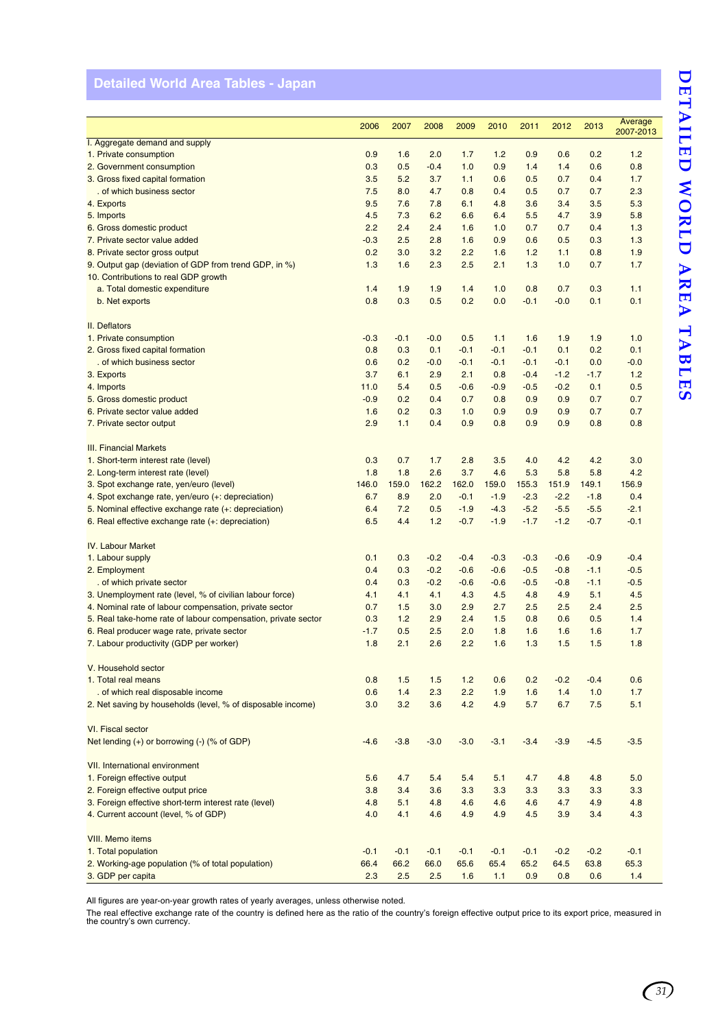# DETAILED WORLD AREA TABLES **DETAILED WORLD AREA TABLES**

# <span id="page-34-0"></span>**Detailed World Area Tables - Japan**

|                                                               |        |        |        |        |        |        |        |        | Average   |
|---------------------------------------------------------------|--------|--------|--------|--------|--------|--------|--------|--------|-----------|
|                                                               | 2006   | 2007   | 2008   | 2009   | 2010   | 2011   | 2012   | 2013   | 2007-2013 |
| I. Aggregate demand and supply                                |        |        |        |        |        |        |        |        |           |
| 1. Private consumption                                        | 0.9    | 1.6    | 2.0    | 1.7    | 1.2    | 0.9    | 0.6    | 0.2    | 1.2       |
| 2. Government consumption                                     | 0.3    | 0.5    | $-0.4$ | 1.0    | 0.9    | 1.4    | 1.4    | 0.6    | 0.8       |
| 3. Gross fixed capital formation                              | 3.5    | 5.2    | 3.7    | 1.1    | 0.6    | 0.5    | 0.7    | 0.4    | 1.7       |
| . of which business sector                                    | 7.5    | 8.0    | 4.7    | 0.8    | 0.4    | 0.5    | 0.7    | 0.7    | 2.3       |
| 4. Exports                                                    | 9.5    | 7.6    | 7.8    | 6.1    | 4.8    | 3.6    | 3.4    | 3.5    | 5.3       |
| 5. Imports                                                    | 4.5    | 7.3    | 6.2    | 6.6    | 6.4    | 5.5    | 4.7    | 3.9    | 5.8       |
| 6. Gross domestic product                                     | 2.2    | 2.4    | 2.4    | 1.6    | 1.0    | 0.7    | 0.7    | 0.4    | 1.3       |
| 7. Private sector value added                                 | $-0.3$ | 2.5    | 2.8    | 1.6    | 0.9    | 0.6    | 0.5    | 0.3    | 1.3       |
| 8. Private sector gross output                                | 0.2    | 3.0    | 3.2    | 2.2    | 1.6    | 1.2    | 1.1    | 0.8    | 1.9       |
| 9. Output gap (deviation of GDP from trend GDP, in %)         | 1.3    | 1.6    | 2.3    | 2.5    | 2.1    | 1.3    | 1.0    | 0.7    | 1.7       |
| 10. Contributions to real GDP growth                          |        |        |        |        |        |        |        |        |           |
| a. Total domestic expenditure                                 | 1.4    | 1.9    | 1.9    | 1.4    | 1.0    | 0.8    | 0.7    | 0.3    | 1.1       |
| b. Net exports                                                | 0.8    | 0.3    | 0.5    | 0.2    | 0.0    | $-0.1$ | $-0.0$ | 0.1    | 0.1       |
| II. Deflators                                                 |        |        |        |        |        |        |        |        |           |
| 1. Private consumption                                        | $-0.3$ | $-0.1$ | $-0.0$ | 0.5    | 1.1    | 1.6    | 1.9    | 1.9    | 1.0       |
| 2. Gross fixed capital formation                              | 0.8    | 0.3    | 0.1    | $-0.1$ | $-0.1$ | $-0.1$ | 0.1    | 0.2    | 0.1       |
| . of which business sector                                    | 0.6    | 0.2    | $-0.0$ | $-0.1$ | $-0.1$ | $-0.1$ | $-0.1$ | 0.0    | $-0.0$    |
| 3. Exports                                                    | 3.7    | 6.1    | 2.9    | 2.1    | 0.8    | $-0.4$ | $-1.2$ | $-1.7$ | 1.2       |
| 4. Imports                                                    | 11.0   | 5.4    | 0.5    | $-0.6$ | $-0.9$ | $-0.5$ | $-0.2$ | 0.1    | 0.5       |
| 5. Gross domestic product                                     | $-0.9$ | 0.2    | 0.4    | 0.7    | 0.8    | 0.9    | 0.9    | 0.7    | 0.7       |
| 6. Private sector value added                                 | 1.6    | 0.2    | 0.3    | 1.0    | 0.9    | 0.9    | 0.9    | 0.7    | 0.7       |
| 7. Private sector output                                      | 2.9    | 1.1    | 0.4    | 0.9    | 0.8    | 0.9    | 0.9    | 0.8    | 0.8       |
|                                                               |        |        |        |        |        |        |        |        |           |
| <b>III. Financial Markets</b>                                 |        |        |        |        |        |        |        |        |           |
| 1. Short-term interest rate (level)                           | 0.3    | 0.7    | 1.7    | 2.8    | 3.5    | 4.0    | 4.2    | 4.2    | 3.0       |
| 2. Long-term interest rate (level)                            | 1.8    | 1.8    | 2.6    | 3.7    | 4.6    | 5.3    | 5.8    | 5.8    | 4.2       |
| 3. Spot exchange rate, yen/euro (level)                       | 146.0  | 159.0  | 162.2  | 162.0  | 159.0  | 155.3  | 151.9  | 149.1  | 156.9     |
| 4. Spot exchange rate, yen/euro (+: depreciation)             | 6.7    | 8.9    | 2.0    | $-0.1$ | $-1.9$ | $-2.3$ | $-2.2$ | $-1.8$ | 0.4       |
| 5. Nominal effective exchange rate (+: depreciation)          | 6.4    | 7.2    | 0.5    | $-1.9$ | $-4.3$ | $-5.2$ | $-5.5$ | $-5.5$ | $-2.1$    |
| 6. Real effective exchange rate (+: depreciation)             | 6.5    | 4.4    | 1.2    | $-0.7$ | $-1.9$ | $-1.7$ | $-1.2$ | $-0.7$ | $-0.1$    |
|                                                               |        |        |        |        |        |        |        |        |           |
| <b>IV. Labour Market</b>                                      |        |        |        |        |        |        |        |        |           |
| 1. Labour supply                                              | 0.1    | 0.3    | $-0.2$ | $-0.4$ | $-0.3$ | $-0.3$ | $-0.6$ | $-0.9$ | $-0.4$    |
| 2. Employment                                                 | 0.4    | 0.3    | $-0.2$ | $-0.6$ | $-0.6$ | $-0.5$ | $-0.8$ | $-1.1$ | $-0.5$    |
| . of which private sector                                     | 0.4    | 0.3    | $-0.2$ | $-0.6$ | $-0.6$ | $-0.5$ | $-0.8$ | $-1.1$ | $-0.5$    |
| 3. Unemployment rate (level, % of civilian labour force)      | 4.1    | 4.1    | 4.1    | 4.3    | 4.5    | 4.8    | 4.9    | 5.1    | 4.5       |
| 4. Nominal rate of labour compensation, private sector        | 0.7    | 1.5    | 3.0    | 2.9    | 2.7    | 2.5    | 2.5    | 2.4    | 2.5       |
| 5. Real take-home rate of labour compensation, private sector | 0.3    | 1.2    | 2.9    | 2.4    | 1.5    | 0.8    | 0.6    | 0.5    | 1.4       |
| 6. Real producer wage rate, private sector                    | $-1.7$ | 0.5    | 2.5    | 2.0    | 1.8    | 1.6    | 1.6    | 1.6    | 1.7       |
| 7. Labour productivity (GDP per worker)                       | 1.8    | 2.1    | 2.6    | 2.2    | 1.6    | 1.3    | 1.5    | 1.5    | 1.8       |
|                                                               |        |        |        |        |        |        |        |        |           |
| V. Household sector                                           |        |        |        |        |        |        |        |        |           |
| 1. Total real means                                           | 0.8    | 1.5    | 1.5    | 1.2    | 0.6    | 0.2    | $-0.2$ | $-0.4$ | 0.6       |
| . of which real disposable income                             | 0.6    | 1.4    | 2.3    | 2.2    | 1.9    | 1.6    | 1.4    | 1.0    | 1.7       |
| 2. Net saving by households (level, % of disposable income)   | 3.0    | 3.2    | 3.6    | 4.2    | 4.9    | 5.7    | 6.7    | 7.5    | 5.1       |
|                                                               |        |        |        |        |        |        |        |        |           |
| VI. Fiscal sector                                             |        |        |        |        |        |        |        |        |           |
| Net lending (+) or borrowing (-) (% of GDP)                   | $-4.6$ | $-3.8$ | $-3.0$ | $-3.0$ | $-3.1$ | $-3.4$ | $-3.9$ | $-4.5$ | $-3.5$    |
|                                                               |        |        |        |        |        |        |        |        |           |
| VII. International environment                                |        |        |        |        |        |        |        |        |           |
| 1. Foreign effective output                                   | 5.6    | 4.7    | 5.4    | 5.4    | 5.1    | 4.7    | 4.8    | 4.8    | 5.0       |
| 2. Foreign effective output price                             | 3.8    | 3.4    | 3.6    | 3.3    | 3.3    | 3.3    | 3.3    | 3.3    | 3.3       |
| 3. Foreign effective short-term interest rate (level)         | 4.8    | 5.1    | 4.8    | 4.6    | 4.6    | 4.6    | 4.7    | 4.9    | 4.8       |
| 4. Current account (level, % of GDP)                          | 4.0    | 4.1    | 4.6    | 4.9    | 4.9    | 4.5    | 3.9    | 3.4    | 4.3       |
|                                                               |        |        |        |        |        |        |        |        |           |
| VIII. Memo items                                              |        |        |        |        |        |        |        |        |           |
| 1. Total population                                           | $-0.1$ | $-0.1$ | $-0.1$ | $-0.1$ | $-0.1$ | $-0.1$ | $-0.2$ | $-0.2$ | $-0.1$    |
| 2. Working-age population (% of total population)             | 66.4   | 66.2   | 66.0   | 65.6   | 65.4   | 65.2   | 64.5   | 63.8   | 65.3      |
| 3. GDP per capita                                             | 2.3    | 2.5    | 2.5    | 1.6    | 1.1    | 0.9    | 0.8    | 0.6    | $1.4$     |

All figures are year-on-year growth rates of yearly averages, unless otherwise noted.

The real effective exchange rate of the country is defined here as the ratio of the country's foreign effective output price to its export price, measured in the country's own currency.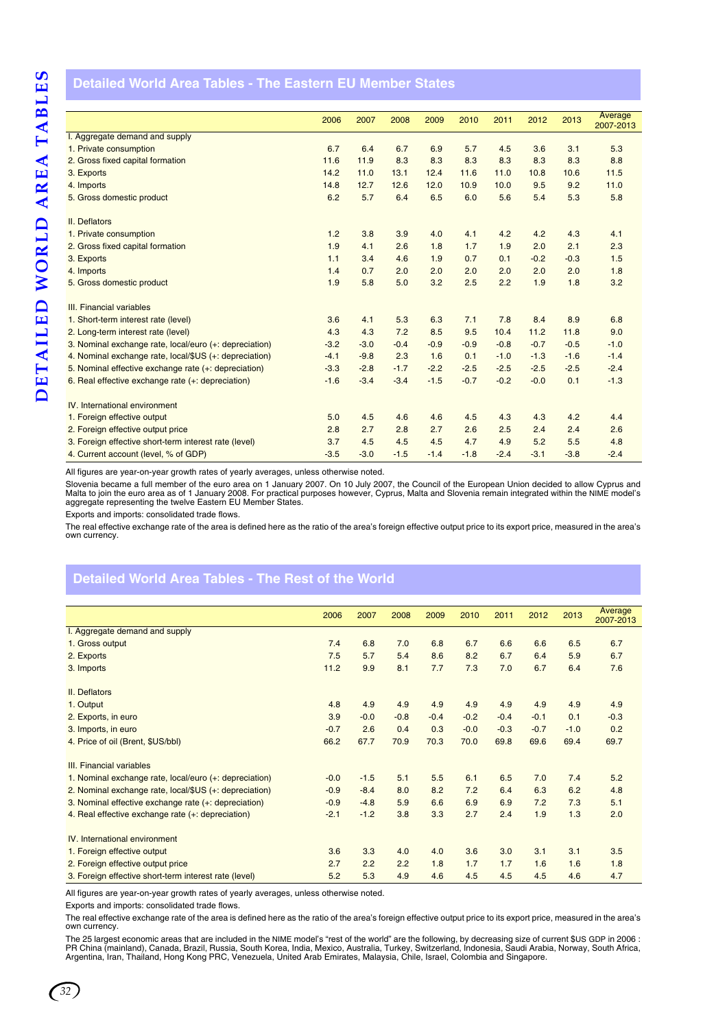### <span id="page-35-0"></span>**Detailed World Area Tables - The Eastern EU Member States**

|                                                        | 2006   | 2007   | 2008   | 2009   | 2010   | 2011   | 2012   | 2013   | Average<br>2007-2013 |
|--------------------------------------------------------|--------|--------|--------|--------|--------|--------|--------|--------|----------------------|
| I. Aggregate demand and supply                         |        |        |        |        |        |        |        |        |                      |
| 1. Private consumption                                 | 6.7    | 6.4    | 6.7    | 6.9    | 5.7    | 4.5    | 3.6    | 3.1    | 5.3                  |
| 2. Gross fixed capital formation                       | 11.6   | 11.9   | 8.3    | 8.3    | 8.3    | 8.3    | 8.3    | 8.3    | 8.8                  |
| 3. Exports                                             | 14.2   | 11.0   | 13.1   | 12.4   | 11.6   | 11.0   | 10.8   | 10.6   | 11.5                 |
| 4. Imports                                             | 14.8   | 12.7   | 12.6   | 12.0   | 10.9   | 10.0   | 9.5    | 9.2    | 11.0                 |
| 5. Gross domestic product                              | 6.2    | 5.7    | 6.4    | 6.5    | 6.0    | 5.6    | 5.4    | 5.3    | 5.8                  |
| II. Deflators                                          |        |        |        |        |        |        |        |        |                      |
| 1. Private consumption                                 | 1.2    | 3.8    | 3.9    | 4.0    | 4.1    | 4.2    | 4.2    | 4.3    | 4.1                  |
| 2. Gross fixed capital formation                       | 1.9    | 4.1    | 2.6    | 1.8    | 1.7    | 1.9    | 2.0    | 2.1    | 2.3                  |
| 3. Exports                                             | 1.1    | 3.4    | 4.6    | 1.9    | 0.7    | 0.1    | $-0.2$ | $-0.3$ | 1.5                  |
| 4. Imports                                             | 1.4    | 0.7    | 2.0    | 2.0    | 2.0    | 2.0    | 2.0    | 2.0    | 1.8                  |
| 5. Gross domestic product                              | 1.9    | 5.8    | 5.0    | 3.2    | 2.5    | 2.2    | 1.9    | 1.8    | 3.2                  |
| III. Financial variables                               |        |        |        |        |        |        |        |        |                      |
| 1. Short-term interest rate (level)                    | 3.6    | 4.1    | 5.3    | 6.3    | 7.1    | 7.8    | 8.4    | 8.9    | 6.8                  |
| 2. Long-term interest rate (level)                     | 4.3    | 4.3    | 7.2    | 8.5    | 9.5    | 10.4   | 11.2   | 11.8   | 9.0                  |
| 3. Nominal exchange rate, local/euro (+: depreciation) | $-3.2$ | $-3.0$ | $-0.4$ | $-0.9$ | $-0.9$ | $-0.8$ | $-0.7$ | $-0.5$ | $-1.0$               |
| 4. Nominal exchange rate, local/\$US (+: depreciation) | $-4.1$ | $-9.8$ | 2.3    | 1.6    | 0.1    | $-1.0$ | $-1.3$ | $-1.6$ | $-1.4$               |
| 5. Nominal effective exchange rate (+: depreciation)   | $-3.3$ | $-2.8$ | $-1.7$ | $-2.2$ | $-2.5$ | $-2.5$ | $-2.5$ | $-2.5$ | $-2.4$               |
| 6. Real effective exchange rate (+: depreciation)      | $-1.6$ | $-3.4$ | $-3.4$ | $-1.5$ | $-0.7$ | $-0.2$ | $-0.0$ | 0.1    | $-1.3$               |
| IV. International environment                          |        |        |        |        |        |        |        |        |                      |
| 1. Foreign effective output                            | 5.0    | 4.5    | 4.6    | 4.6    | 4.5    | 4.3    | 4.3    | 4.2    | 4.4                  |
| 2. Foreign effective output price                      | 2.8    | 2.7    | 2.8    | 2.7    | 2.6    | 2.5    | 2.4    | 2.4    | 2.6                  |
| 3. Foreign effective short-term interest rate (level)  | 3.7    | 4.5    | 4.5    | 4.5    | 4.7    | 4.9    | 5.2    | 5.5    | 4.8                  |
| 4. Current account (level, % of GDP)                   | $-3.5$ | $-3.0$ | $-1.5$ | $-1.4$ | $-1.8$ | $-2.4$ | $-3.1$ | $-3.8$ | $-2.4$               |

All figures are year-on-year growth rates of yearly averages, unless otherwise noted.

Slovenia became a full member of the euro area on 1 January 2007. On 10 July 2007, the Council of the European Union decided to allow Cyprus and Malta to join the euro area as of 1 January 2008. For practical purposes however, Cyprus, Malta and Slovenia remain integrated within the NIME model's aggregate representing the twelve Eastern EU Member States.

Exports and imports: consolidated trade flows.

The real effective exchange rate of the area is defined here as the ratio of the area's foreign effective output price to its export price, measured in the area's own currency.

### <span id="page-35-1"></span>**Detailed World Area Tables - The Rest of the World**

|                                                        | 2006   | 2007   | 2008   | 2009   | 2010   | 2011   | 2012   | 2013   | Average<br>2007-2013 |
|--------------------------------------------------------|--------|--------|--------|--------|--------|--------|--------|--------|----------------------|
| I. Aggregate demand and supply                         |        |        |        |        |        |        |        |        |                      |
| 1. Gross output                                        | 7.4    | 6.8    | 7.0    | 6.8    | 6.7    | 6.6    | 6.6    | 6.5    | 6.7                  |
| 2. Exports                                             | 7.5    | 5.7    | 5.4    | 8.6    | 8.2    | 6.7    | 6.4    | 5.9    | 6.7                  |
| 3. Imports                                             | 11.2   | 9.9    | 8.1    | 7.7    | 7.3    | 7.0    | 6.7    | 6.4    | 7.6                  |
| II. Deflators                                          |        |        |        |        |        |        |        |        |                      |
| 1. Output                                              | 4.8    | 4.9    | 4.9    | 4.9    | 4.9    | 4.9    | 4.9    | 4.9    | 4.9                  |
| 2. Exports, in euro                                    | 3.9    | $-0.0$ | $-0.8$ | $-0.4$ | $-0.2$ | $-0.4$ | $-0.1$ | 0.1    | $-0.3$               |
| 3. Imports, in euro                                    | $-0.7$ | 2.6    | 0.4    | 0.3    | $-0.0$ | $-0.3$ | $-0.7$ | $-1.0$ | 0.2                  |
| 4. Price of oil (Brent, \$US/bbl)                      | 66.2   | 67.7   | 70.9   | 70.3   | 70.0   | 69.8   | 69.6   | 69.4   | 69.7                 |
| III. Financial variables                               |        |        |        |        |        |        |        |        |                      |
| 1. Nominal exchange rate, local/euro (+: depreciation) | $-0.0$ | $-1.5$ | 5.1    | 5.5    | 6.1    | 6.5    | 7.0    | 7.4    | 5.2                  |
| 2. Nominal exchange rate, local/\$US (+: depreciation) | $-0.9$ | $-8.4$ | 8.0    | 8.2    | 7.2    | 6.4    | 6.3    | 6.2    | 4.8                  |
| 3. Nominal effective exchange rate (+: depreciation)   | $-0.9$ | $-4.8$ | 5.9    | 6.6    | 6.9    | 6.9    | 7.2    | 7.3    | 5.1                  |
| 4. Real effective exchange rate (+: depreciation)      | $-2.1$ | $-1.2$ | 3.8    | 3.3    | 2.7    | 2.4    | 1.9    | 1.3    | 2.0                  |
| IV. International environment                          |        |        |        |        |        |        |        |        |                      |
| 1. Foreign effective output                            | 3.6    | 3.3    | 4.0    | 4.0    | 3.6    | 3.0    | 3.1    | 3.1    | 3.5                  |
| 2. Foreign effective output price                      | 2.7    | 2.2    | 2.2    | 1.8    | 1.7    | 1.7    | 1.6    | 1.6    | 1.8                  |
| 3. Foreign effective short-term interest rate (level)  | 5.2    | 5.3    | 4.9    | 4.6    | 4.5    | 4.5    | 4.5    | 4.6    | 4.7                  |

All figures are year-on-year growth rates of yearly averages, unless otherwise noted.

Exports and imports: consolidated trade flows.

The real effective exchange rate of the area is defined here as the ratio of the area's foreign effective output price to its export price, measured in the area's own currency.

The 25 largest economic areas that are included in the NIME model's "rest of the world" are the following, by decreasing size of current \$US GDP in 2006 :<br>PR China (mainland), Canada, Brazil, Russia, South Korea, India, Me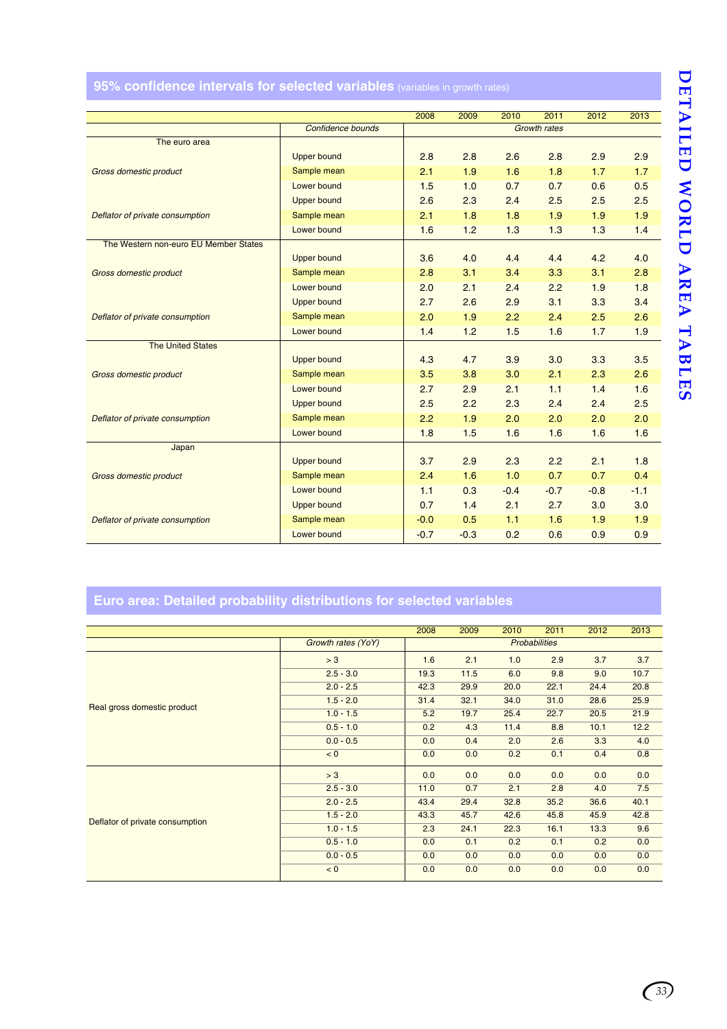# <span id="page-36-0"></span>**95% confidence intervals for selected variables** (variables in growth rates)

|                                       |                    | 2008   | 2009   | 2010   | 2011                | 2012   | 2013   |
|---------------------------------------|--------------------|--------|--------|--------|---------------------|--------|--------|
|                                       | Confidence bounds  |        |        |        | <b>Growth rates</b> |        |        |
| The euro area                         |                    |        |        |        |                     |        |        |
|                                       | <b>Upper bound</b> | 2.8    | 2.8    | 2.6    | 2.8                 | 2.9    | 2.9    |
| <b>Gross domestic product</b>         | Sample mean        | 2.1    | 1.9    | 1.6    | 1.8                 | 1.7    | 1.7    |
|                                       | Lower bound        | 1.5    | 1.0    | 0.7    | 0.7                 | 0.6    | 0.5    |
|                                       | <b>Upper bound</b> | 2.6    | 2.3    | 2.4    | 2.5                 | 2.5    | 2.5    |
| Deflator of private consumption       | Sample mean        | 2.1    | 1.8    | 1.8    | 1.9                 | 1.9    | 1.9    |
|                                       | Lower bound        | 1.6    | 1.2    | 1.3    | 1.3                 | 1.3    | 1.4    |
| The Western non-euro EU Member States |                    |        |        |        |                     |        |        |
|                                       | <b>Upper bound</b> | 3.6    | 4.0    | 4.4    | 4.4                 | 4.2    | 4.0    |
| Gross domestic product                | Sample mean        | 2.8    | 3.1    | 3.4    | 3.3                 | 3.1    | 2.8    |
|                                       | Lower bound        | 2.0    | 2.1    | 2.4    | 2.2                 | 1.9    | 1.8    |
|                                       | <b>Upper bound</b> | 2.7    | 2.6    | 2.9    | 3.1                 | 3.3    | 3.4    |
| Deflator of private consumption       | Sample mean        | 2.0    | 1.9    | 2.2    | 2.4                 | 2.5    | 2.6    |
|                                       | Lower bound        | 1.4    | 1.2    | 1.5    | 1.6                 | 1.7    | 1.9    |
| <b>The United States</b>              |                    |        |        |        |                     |        |        |
|                                       | <b>Upper bound</b> | 4.3    | 4.7    | 3.9    | 3.0                 | 3.3    | 3.5    |
| Gross domestic product                | Sample mean        | 3.5    | 3.8    | 3.0    | 2.1                 | 2.3    | 2.6    |
|                                       | Lower bound        | 2.7    | 2.9    | 2.1    | 1.1                 | 1.4    | 1.6    |
|                                       | <b>Upper bound</b> | 2.5    | 2.2    | 2.3    | 2.4                 | 2.4    | 2.5    |
| Deflator of private consumption       | Sample mean        | 2.2    | 1.9    | 2.0    | 2.0                 | 2.0    | 2.0    |
|                                       | Lower bound        | 1.8    | 1.5    | 1.6    | 1.6                 | 1.6    | 1.6    |
| Japan                                 |                    |        |        |        |                     |        |        |
|                                       | <b>Upper bound</b> | 3.7    | 2.9    | 2.3    | 2.2                 | 2.1    | 1.8    |
| Gross domestic product                | Sample mean        | 2.4    | 1.6    | 1.0    | 0.7                 | 0.7    | 0.4    |
|                                       | Lower bound        | 1.1    | 0.3    | $-0.4$ | $-0.7$              | $-0.8$ | $-1.1$ |
|                                       | <b>Upper bound</b> | 0.7    | 1.4    | 2.1    | 2.7                 | 3.0    | 3.0    |
| Deflator of private consumption       | Sample mean        | $-0.0$ | 0.5    | 1.1    | 1.6                 | 1.9    | 1.9    |
|                                       | Lower bound        | $-0.7$ | $-0.3$ | 0.2    | 0.6                 | 0.9    | 0.9    |

# **Euro area: Detailed probability distributions for selected variables**

|                                 |                    | 2008 | 2009 | 2010 | 2011                 | 2012 | 2013 |
|---------------------------------|--------------------|------|------|------|----------------------|------|------|
|                                 | Growth rates (YoY) |      |      |      | <b>Probabilities</b> |      |      |
|                                 | > 3                | 1.6  | 2.1  | 1.0  | 2.9                  | 3.7  | 3.7  |
|                                 | $2.5 - 3.0$        | 19.3 | 11.5 | 6.0  | 9.8                  | 9.0  | 10.7 |
| Real gross domestic product     | $2.0 - 2.5$        | 42.3 | 29.9 | 20.0 | 22.1                 | 24.4 | 20.8 |
|                                 | $1.5 - 2.0$        | 31.4 | 32.1 | 34.0 | 31.0                 | 28.6 | 25.9 |
|                                 | $1.0 - 1.5$        | 5.2  | 19.7 | 25.4 | 22.7                 | 20.5 | 21.9 |
|                                 | $0.5 - 1.0$        | 0.2  | 4.3  | 11.4 | 8.8                  | 10.1 | 12.2 |
|                                 | $0.0 - 0.5$        | 0.0  | 0.4  | 2.0  | 2.6                  | 3.3  | 4.0  |
|                                 | < 0                | 0.0  | 0.0  | 0.2  | 0.1                  | 0.4  | 0.8  |
|                                 | > 3                | 0.0  | 0.0  | 0.0  | 0.0                  | 0.0  | 0.0  |
|                                 | $2.5 - 3.0$        | 11.0 | 0.7  | 2.1  | 2.8                  | 4.0  | 7.5  |
|                                 | $2.0 - 2.5$        | 43.4 | 29.4 | 32.8 | 35.2                 | 36.6 | 40.1 |
| Deflator of private consumption | $1.5 - 2.0$        | 43.3 | 45.7 | 42.6 | 45.8                 | 45.9 | 42.8 |
|                                 | $1.0 - 1.5$        | 2.3  | 24.1 | 22.3 | 16.1                 | 13.3 | 9.6  |
|                                 | $0.5 - 1.0$        | 0.0  | 0.1  | 0.2  | 0.1                  | 0.2  | 0.0  |
|                                 | $0.0 - 0.5$        | 0.0  | 0.0  | 0.0  | 0.0                  | 0.0  | 0.0  |
|                                 | < 0                | 0.0  | 0.0  | 0.0  | 0.0                  | 0.0  | 0.0  |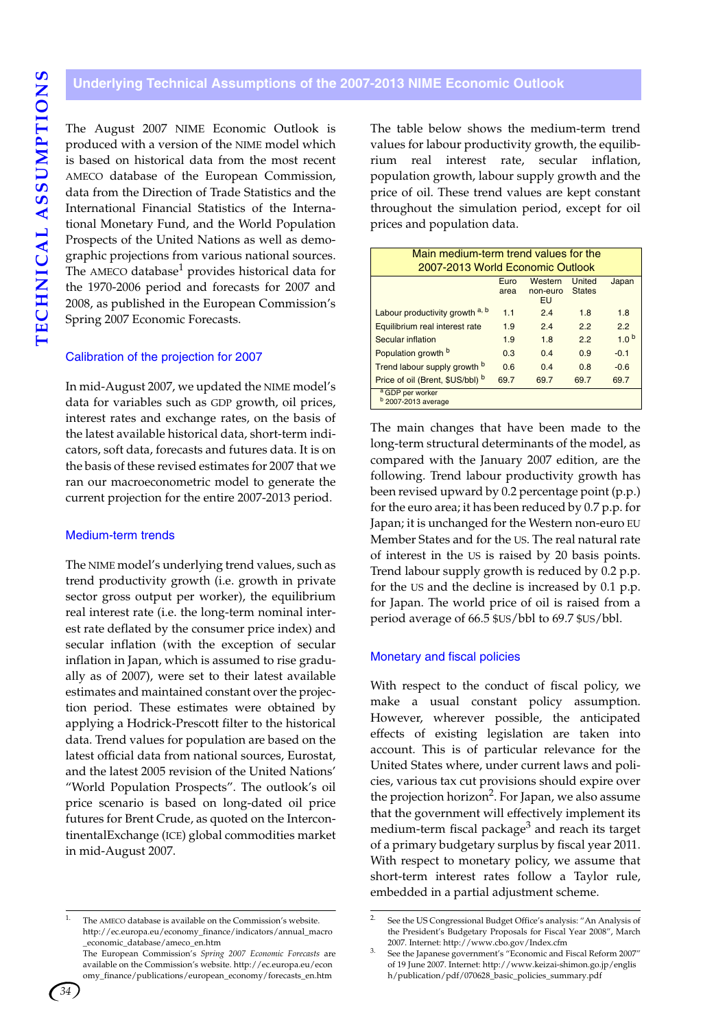### <span id="page-37-0"></span>**Underlying Technical Assumptions of the 2007-2013 NIME Economic Outlook**

The August 2007 NIME Economic Outlook is produced with a version of the NIME model which is based on historical data from the most recent AMECO database of the European Commission, data from the Direction of Trade Statistics and the International Financial Statistics of the International Monetary Fund, and the World Population Prospects of the United Nations as well as demographic projections from various national sources. The AMECO database $<sup>1</sup>$  provides historical data for</sup> the 1970-2006 period and forecasts for 2007 and 2008, as published in the European Commission's Spring 2007 Economic Forecasts.

### Calibration of the projection for 2007

In mid-August 2007, we updated the NIME model's data for variables such as GDP growth, oil prices, interest rates and exchange rates, on the basis of the latest available historical data, short-term indicators, soft data, forecasts and futures data. It is on the basis of these revised estimates for 2007 that we ran our macroeconometric model to generate the current projection for the entire 2007-2013 period.

### Medium-term trends

The NIME model's underlying trend values, such as trend productivity growth (i.e. growth in private sector gross output per worker), the equilibrium real interest rate (i.e. the long-term nominal interest rate deflated by the consumer price index) and secular inflation (with the exception of secular inflation in Japan, which is assumed to rise gradually as of 2007), were set to their latest available estimates and maintained constant over the projection period. These estimates were obtained by applying a Hodrick-Prescott filter to the historical data. Trend values for population are based on the latest official data from national sources, Eurostat, and the latest 2005 revision of the United Nations' "World Population Prospects". The outlook's oil price scenario is based on long-dated oil price futures for Brent Crude, as quoted on the IntercontinentalExchange (ICE) global commodities market in mid-August 2007.

The table below shows the medium-term trend values for labour productivity growth, the equilibrium real interest rate, secular inflation, population growth, labour supply growth and the price of oil. These trend values are kept constant throughout the simulation period, except for oil prices and population data.

| Main medium-term trend values for the                                                |      |      |      |                  |  |  |  |  |  |  |  |
|--------------------------------------------------------------------------------------|------|------|------|------------------|--|--|--|--|--|--|--|
| 2007-2013 World Economic Outlook                                                     |      |      |      |                  |  |  |  |  |  |  |  |
| Western<br><b>United</b><br>Japan<br>Euro<br><b>States</b><br>non-euro<br>area<br>EU |      |      |      |                  |  |  |  |  |  |  |  |
| Labour productivity growth a, b                                                      | 1.1  | 2.4  | 1.8  | 1.8              |  |  |  |  |  |  |  |
| Equilibrium real interest rate<br>2.2<br>1.9<br>2.4<br>2.2                           |      |      |      |                  |  |  |  |  |  |  |  |
| Secular inflation                                                                    | 1.9  | 1.8  | 2.2  | 1.0 <sup>b</sup> |  |  |  |  |  |  |  |
| Population growth b                                                                  | 0.3  | 0.4  | 0.9  | $-0.1$           |  |  |  |  |  |  |  |
| Trend labour supply growth b                                                         | 0.6  | 0.4  | 0.8  | $-0.6$           |  |  |  |  |  |  |  |
| Price of oil (Brent, \$US/bbl) b                                                     | 69.7 | 69.7 | 69.7 | 69.7             |  |  |  |  |  |  |  |
| a GDP per worker<br>$b$ 2007-2013 average                                            |      |      |      |                  |  |  |  |  |  |  |  |

The main changes that have been made to the long-term structural determinants of the model, as compared with the January 2007 edition, are the following. Trend labour productivity growth has been revised upward by 0.2 percentage point (p.p.) for the euro area; it has been reduced by 0.7 p.p. for Japan; it is unchanged for the Western non-euro EU Member States and for the US. The real natural rate of interest in the US is raised by 20 basis points. Trend labour supply growth is reduced by 0.2 p.p. for the US and the decline is increased by 0.1 p.p. for Japan. The world price of oil is raised from a period average of 66.5 \$US/bbl to 69.7 \$US/bbl.

### Monetary and fiscal policies

With respect to the conduct of fiscal policy, we make a usual constant policy assumption. However, wherever possible, the anticipated effects of existing legislation are taken into account. This is of particular relevance for the United States where, under current laws and policies, various tax cut provisions should expire over the projection horizon<sup>2</sup>. For Japan, we also assume that the government will effectively implement its medium-term fiscal package<sup>3</sup> and reach its target of a primary budgetary surplus by fiscal year 2011. With respect to monetary policy, we assume that short-term interest rates follow a Taylor rule, embedded in a partial adjustment scheme.



The AMECO database is available on the Commission's website. http://ec.europa.eu/economy\_finance/indicators/annual\_macro \_economic\_database/ameco\_en.htm The European Commission's *Spring 2007 Economic Forecasts* are

available on the Commission's website. http://ec.europa.eu/econ omy\_finance/publications/european\_economy/forecasts\_en.htm

<sup>2.</sup> See the US Congressional Budget Office's analysis: "An Analysis of the President's Budgetary Proposals for Fiscal Year 2008", March 2007. Internet: http://www.cbo.gov/Index.cfm

See the Japanese government's "Economic and Fiscal Reform 2007" of 19 June 2007. Internet: http://www.keizai-shimon.go.jp/englis h/publication/pdf/070628\_basic\_policies\_summary.pdf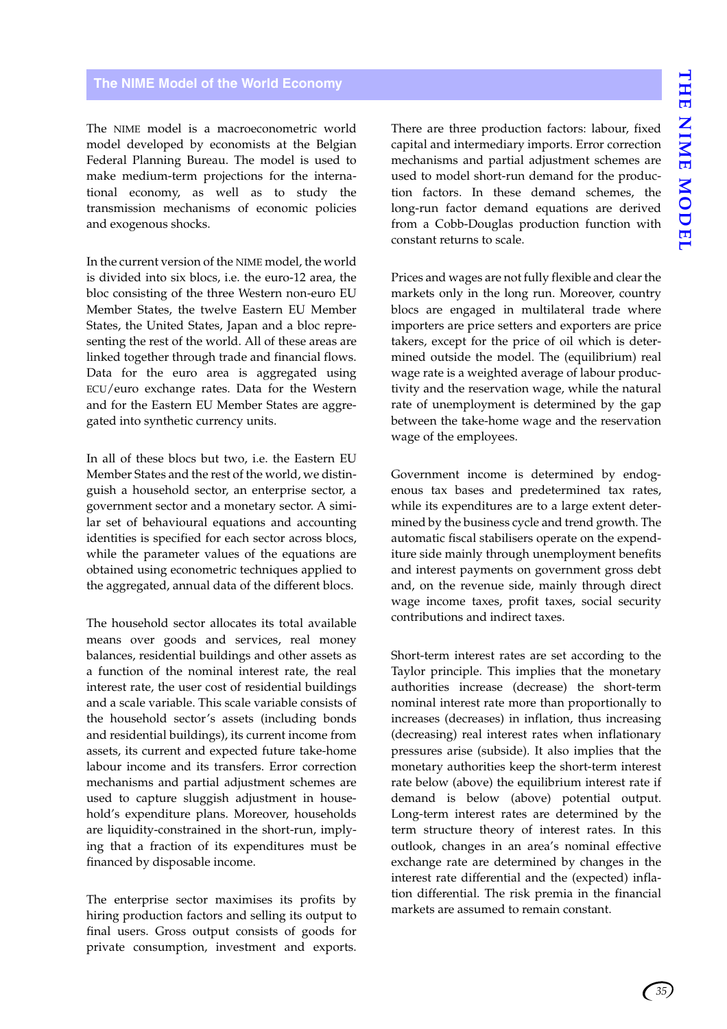### <span id="page-38-0"></span>**The NIME Model of the World Economy**

The NIME model is a macroeconometric world model developed by economists at the Belgian Federal Planning Bureau. The model is used to make medium-term projections for the international economy, as well as to study the transmission mechanisms of economic policies and exogenous shocks.

In the current version of the NIME model, the world is divided into six blocs, i.e. the euro-12 area, the bloc consisting of the three Western non-euro EU Member States, the twelve Eastern EU Member States, the United States, Japan and a bloc representing the rest of the world. All of these areas are linked together through trade and financial flows. Data for the euro area is aggregated using ECU/euro exchange rates. Data for the Western and for the Eastern EU Member States are aggregated into synthetic currency units.

In all of these blocs but two, i.e. the Eastern EU Member States and the rest of the world, we distinguish a household sector, an enterprise sector, a government sector and a monetary sector. A similar set of behavioural equations and accounting identities is specified for each sector across blocs, while the parameter values of the equations are obtained using econometric techniques applied to the aggregated, annual data of the different blocs.

The household sector allocates its total available means over goods and services, real money balances, residential buildings and other assets as a function of the nominal interest rate, the real interest rate, the user cost of residential buildings and a scale variable. This scale variable consists of the household sector's assets (including bonds and residential buildings), its current income from assets, its current and expected future take-home labour income and its transfers. Error correction mechanisms and partial adjustment schemes are used to capture sluggish adjustment in household's expenditure plans. Moreover, households are liquidity-constrained in the short-run, implying that a fraction of its expenditures must be financed by disposable income.

The enterprise sector maximises its profits by hiring production factors and selling its output to final users. Gross output consists of goods for private consumption, investment and exports.

There are three production factors: labour, fixed capital and intermediary imports. Error correction mechanisms and partial adjustment schemes are used to model short-run demand for the production factors. In these demand schemes, the long-run factor demand equations are derived from a Cobb-Douglas production function with constant returns to scale.

Prices and wages are not fully flexible and clear the markets only in the long run. Moreover, country blocs are engaged in multilateral trade where importers are price setters and exporters are price takers, except for the price of oil which is determined outside the model. The (equilibrium) real wage rate is a weighted average of labour productivity and the reservation wage, while the natural rate of unemployment is determined by the gap between the take-home wage and the reservation wage of the employees.

Government income is determined by endogenous tax bases and predetermined tax rates, while its expenditures are to a large extent determined by the business cycle and trend growth. The automatic fiscal stabilisers operate on the expenditure side mainly through unemployment benefits and interest payments on government gross debt and, on the revenue side, mainly through direct wage income taxes, profit taxes, social security contributions and indirect taxes.

Short-term interest rates are set according to the Taylor principle. This implies that the monetary authorities increase (decrease) the short-term nominal interest rate more than proportionally to increases (decreases) in inflation, thus increasing (decreasing) real interest rates when inflationary pressures arise (subside). It also implies that the monetary authorities keep the short-term interest rate below (above) the equilibrium interest rate if demand is below (above) potential output. Long-term interest rates are determined by the term structure theory of interest rates. In this outlook, changes in an area's nominal effective exchange rate are determined by changes in the interest rate differential and the (expected) inflation differential. The risk premia in the financial markets are assumed to remain constant.